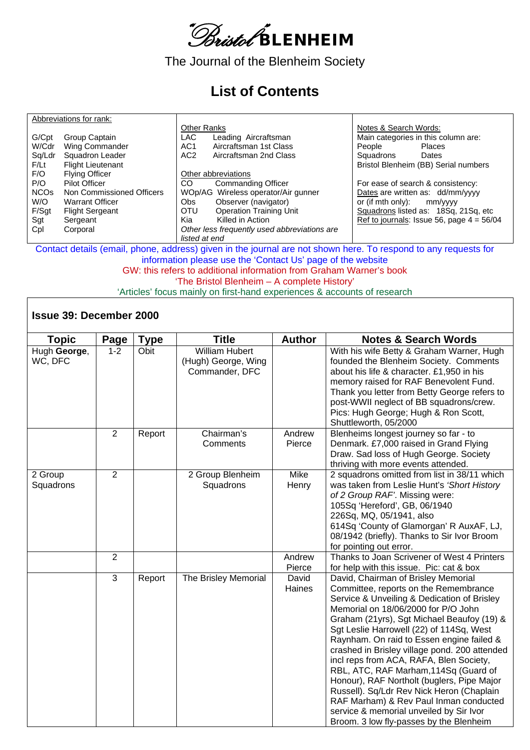

The Journal of the Blenheim Society

## **List of Contents**

|                        | Abbreviations for rank:   |                    |                                              |                       |                                             |
|------------------------|---------------------------|--------------------|----------------------------------------------|-----------------------|---------------------------------------------|
|                        |                           | <b>Other Ranks</b> |                                              | Notes & Search Words: |                                             |
| G/Cpt                  | Group Captain             | <b>LAC</b>         | Leading Aircraftsman                         |                       | Main categories in this column are:         |
| W/Cdr                  | Wing Commander            | AC <sub>1</sub>    | Aircraftsman 1st Class                       | People                | <b>Places</b>                               |
| Sq/Ldr                 | Squadron Leader           | AC <sub>2</sub>    | Aircraftsman 2nd Class                       | Squadrons             | Dates                                       |
| F/Lt                   | <b>Flight Lieutenant</b>  |                    |                                              |                       | Bristol Blenheim (BB) Serial numbers        |
| F/O                    | <b>Flying Officer</b>     |                    | Other abbreviations                          |                       |                                             |
| P/O                    | Pilot Officer             | CO.                | <b>Commanding Officer</b>                    |                       | For ease of search & consistency:           |
| <b>NCO<sub>s</sub></b> | Non Commissioned Officers |                    | WOp/AG Wireless operator/Air gunner          |                       | Dates are written as: dd/mm/yyyy            |
| W/O                    | <b>Warrant Officer</b>    | Obs.               | Observer (navigator)                         | or (if mth only):     | mm/yyyy                                     |
| F/Sgt                  | <b>Flight Sergeant</b>    | <b>OTU</b>         | <b>Operation Training Unit</b>               |                       | Squadrons listed as: 18Sq, 21Sq, etc        |
| Sgt                    | Sergeant                  | Kia                | Killed in Action                             |                       | Ref to journals: Issue 56, page $4 = 56/04$ |
| Cpl                    | Corporal                  |                    | Other less frequently used abbreviations are |                       |                                             |
|                        |                           | listed at end      |                                              |                       |                                             |

Contact details (email, phone, address) given in the journal are not shown here. To respond to any requests for information please use the 'Contact Us' page of the website GW: this refers to additional information from Graham Warner's book

'The Bristol Blenheim – A complete History'

'Articles' focus mainly on first-hand experiences & accounts of research

## **Issue 39: December 2000**

| <b>Topic</b>            | Page           | <b>Type</b> | <b>Title</b>                                            | <b>Author</b>        | <b>Notes &amp; Search Words</b>                                                                                                                                                                                                                                                                                                                                                                                                                                                                                                                                                                                                                                           |
|-------------------------|----------------|-------------|---------------------------------------------------------|----------------------|---------------------------------------------------------------------------------------------------------------------------------------------------------------------------------------------------------------------------------------------------------------------------------------------------------------------------------------------------------------------------------------------------------------------------------------------------------------------------------------------------------------------------------------------------------------------------------------------------------------------------------------------------------------------------|
| Hugh George,<br>WC, DFC | $1 - 2$        | Obit        | William Hubert<br>(Hugh) George, Wing<br>Commander, DFC |                      | With his wife Betty & Graham Warner, Hugh<br>founded the Blenheim Society. Comments<br>about his life & character. £1,950 in his<br>memory raised for RAF Benevolent Fund.<br>Thank you letter from Betty George refers to<br>post-WWII neglect of BB squadrons/crew.<br>Pics: Hugh George; Hugh & Ron Scott,<br>Shuttleworth, 05/2000                                                                                                                                                                                                                                                                                                                                    |
|                         | 2              | Report      | Chairman's<br>Comments                                  | Andrew<br>Pierce     | Blenheims longest journey so far - to<br>Denmark. £7,000 raised in Grand Flying<br>Draw. Sad loss of Hugh George. Society<br>thriving with more events attended.                                                                                                                                                                                                                                                                                                                                                                                                                                                                                                          |
| 2 Group<br>Squadrons    | $\overline{2}$ |             | 2 Group Blenheim<br>Squadrons                           | <b>Mike</b><br>Henry | 2 squadrons omitted from list in 38/11 which<br>was taken from Leslie Hunt's 'Short History<br>of 2 Group RAF'. Missing were:<br>105Sq 'Hereford', GB, 06/1940<br>226Sq, MQ, 05/1941, also<br>614Sq 'County of Glamorgan' R AuxAF, LJ,<br>08/1942 (briefly). Thanks to Sir Ivor Broom<br>for pointing out error.                                                                                                                                                                                                                                                                                                                                                          |
|                         | $\overline{2}$ |             |                                                         | Andrew<br>Pierce     | Thanks to Joan Scrivener of West 4 Printers<br>for help with this issue. Pic: cat & box                                                                                                                                                                                                                                                                                                                                                                                                                                                                                                                                                                                   |
|                         | 3              | Report      | The Brisley Memorial                                    | David<br>Haines      | David, Chairman of Brisley Memorial<br>Committee, reports on the Remembrance<br>Service & Unveiling & Dedication of Brisley<br>Memorial on 18/06/2000 for P/O John<br>Graham (21yrs), Sgt Michael Beaufoy (19) &<br>Sgt Leslie Harrowell (22) of 114Sq, West<br>Raynham. On raid to Essen engine failed &<br>crashed in Brisley village pond. 200 attended<br>incl reps from ACA, RAFA, Blen Society,<br>RBL, ATC, RAF Marham, 114Sq (Guard of<br>Honour), RAF Northolt (buglers, Pipe Major<br>Russell). Sq/Ldr Rev Nick Heron (Chaplain<br>RAF Marham) & Rev Paul Inman conducted<br>service & memorial unveiled by Sir Ivor<br>Broom. 3 low fly-passes by the Blenheim |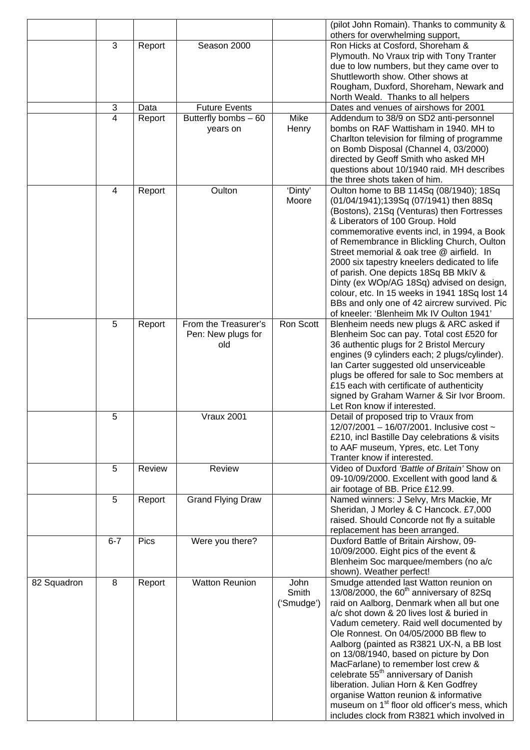|             |         |        |                                  |                  | (pilot John Romain). Thanks to community &                                                         |
|-------------|---------|--------|----------------------------------|------------------|----------------------------------------------------------------------------------------------------|
|             | 3       | Report | Season 2000                      |                  | others for overwhelming support,<br>Ron Hicks at Cosford, Shoreham &                               |
|             |         |        |                                  |                  | Plymouth. No Vraux trip with Tony Tranter                                                          |
|             |         |        |                                  |                  | due to low numbers, but they came over to                                                          |
|             |         |        |                                  |                  | Shuttleworth show. Other shows at                                                                  |
|             |         |        |                                  |                  | Rougham, Duxford, Shoreham, Newark and                                                             |
|             |         |        |                                  |                  | North Weald. Thanks to all helpers                                                                 |
|             | 3<br>4  | Data   | <b>Future Events</b>             | Mike             | Dates and venues of airshows for 2001                                                              |
|             |         | Report | Butterfly bombs - 60<br>years on | Henry            | Addendum to 38/9 on SD2 anti-personnel<br>bombs on RAF Wattisham in 1940. MH to                    |
|             |         |        |                                  |                  | Charlton television for filming of programme                                                       |
|             |         |        |                                  |                  | on Bomb Disposal (Channel 4, 03/2000)                                                              |
|             |         |        |                                  |                  | directed by Geoff Smith who asked MH                                                               |
|             |         |        |                                  |                  | questions about 10/1940 raid. MH describes                                                         |
|             |         |        |                                  |                  | the three shots taken of him.                                                                      |
|             | 4       | Report | Oulton                           | 'Dinty'<br>Moore | Oulton home to BB 114Sq (08/1940); 18Sq                                                            |
|             |         |        |                                  |                  | (01/04/1941);139Sq (07/1941) then 88Sq<br>(Bostons), 21Sq (Venturas) then Fortresses               |
|             |         |        |                                  |                  | & Liberators of 100 Group. Hold                                                                    |
|             |         |        |                                  |                  | commemorative events incl, in 1994, a Book                                                         |
|             |         |        |                                  |                  | of Remembrance in Blickling Church, Oulton                                                         |
|             |         |        |                                  |                  | Street memorial & oak tree @ airfield. In                                                          |
|             |         |        |                                  |                  | 2000 six tapestry kneelers dedicated to life                                                       |
|             |         |        |                                  |                  | of parish. One depicts 18Sq BB MkIV &                                                              |
|             |         |        |                                  |                  | Dinty (ex WOp/AG 18Sq) advised on design,<br>colour, etc. In 15 weeks in 1941 18Sq lost 14         |
|             |         |        |                                  |                  | BBs and only one of 42 aircrew survived. Pic                                                       |
|             |         |        |                                  |                  | of kneeler: 'Blenheim Mk IV Oulton 1941'                                                           |
|             | 5       | Report | From the Treasurer's             | Ron Scott        | Blenheim needs new plugs & ARC asked if                                                            |
|             |         |        | Pen: New plugs for               |                  | Blenheim Soc can pay. Total cost £520 for                                                          |
|             |         |        | old                              |                  | 36 authentic plugs for 2 Bristol Mercury                                                           |
|             |         |        |                                  |                  | engines (9 cylinders each; 2 plugs/cylinder).                                                      |
|             |         |        |                                  |                  | Ian Carter suggested old unserviceable<br>plugs be offered for sale to Soc members at              |
|             |         |        |                                  |                  | £15 each with certificate of authenticity                                                          |
|             |         |        |                                  |                  | signed by Graham Warner & Sir Ivor Broom.                                                          |
|             |         |        |                                  |                  | Let Ron know if interested.                                                                        |
|             | 5       |        | <b>Vraux 2001</b>                |                  | Detail of proposed trip to Vraux from                                                              |
|             |         |        |                                  |                  | 12/07/2001 - 16/07/2001. Inclusive cost ~                                                          |
|             |         |        |                                  |                  |                                                                                                    |
|             |         |        |                                  |                  | £210, incl Bastille Day celebrations & visits                                                      |
|             |         |        |                                  |                  | to AAF museum, Ypres, etc. Let Tony                                                                |
|             |         |        |                                  |                  | Tranter know if interested.                                                                        |
|             | 5       | Review | Review                           |                  | Video of Duxford 'Battle of Britain' Show on<br>09-10/09/2000. Excellent with good land &          |
|             |         |        |                                  |                  | air footage of BB. Price £12.99.                                                                   |
|             | 5       | Report | <b>Grand Flying Draw</b>         |                  | Named winners: J Selvy, Mrs Mackie, Mr                                                             |
|             |         |        |                                  |                  | Sheridan, J Morley & C Hancock. £7,000                                                             |
|             |         |        |                                  |                  | raised. Should Concorde not fly a suitable                                                         |
|             |         |        |                                  |                  | replacement has been arranged.                                                                     |
|             | $6 - 7$ | Pics   | Were you there?                  |                  | Duxford Battle of Britain Airshow, 09-                                                             |
|             |         |        |                                  |                  | 10/09/2000. Eight pics of the event &<br>Blenheim Soc marquee/members (no a/c                      |
|             |         |        |                                  |                  | shown). Weather perfect!                                                                           |
| 82 Squadron | 8       | Report | <b>Watton Reunion</b>            | John             | Smudge attended last Watton reunion on                                                             |
|             |         |        |                                  | Smith            | 13/08/2000, the 60 <sup>th</sup> anniversary of 82Sq                                               |
|             |         |        |                                  | ('Smudge')       | raid on Aalborg, Denmark when all but one                                                          |
|             |         |        |                                  |                  | a/c shot down & 20 lives lost & buried in                                                          |
|             |         |        |                                  |                  | Vadum cemetery. Raid well documented by                                                            |
|             |         |        |                                  |                  | Ole Ronnest. On 04/05/2000 BB flew to<br>Aalborg (painted as R3821 UX-N, a BB lost                 |
|             |         |        |                                  |                  | on 13/08/1940, based on picture by Don                                                             |
|             |         |        |                                  |                  | MacFarlane) to remember lost crew &                                                                |
|             |         |        |                                  |                  | celebrate 55 <sup>th</sup> anniversary of Danish                                                   |
|             |         |        |                                  |                  | liberation. Julian Horn & Ken Godfrey                                                              |
|             |         |        |                                  |                  | organise Watton reunion & informative<br>museum on 1 <sup>st</sup> floor old officer's mess, which |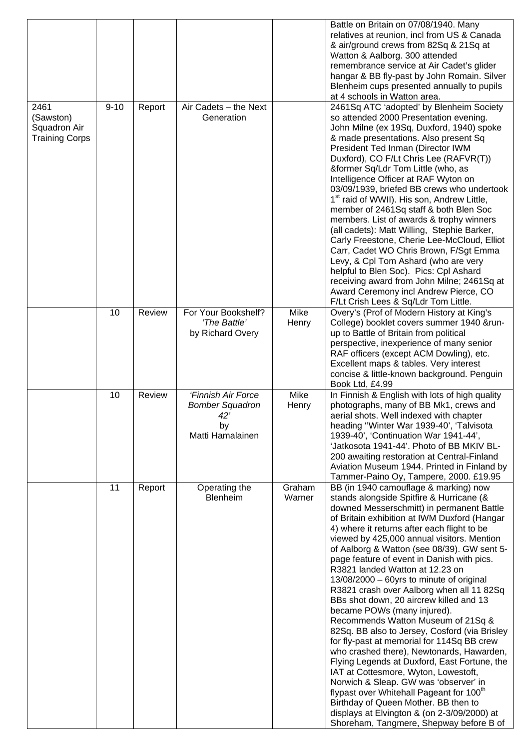| 2461<br>(Sawston)                     | $9 - 10$ | Report | Air Cadets - the Next<br>Generation                                                    |                      | Battle on Britain on 07/08/1940. Many<br>relatives at reunion, incl from US & Canada<br>& air/ground crews from 82Sq & 21Sq at<br>Watton & Aalborg. 300 attended<br>remembrance service at Air Cadet's glider<br>hangar & BB fly-past by John Romain. Silver<br>Blenheim cups presented annually to pupils<br>at 4 schools in Watton area.<br>2461Sq ATC 'adopted' by Blenheim Society<br>so attended 2000 Presentation evening.                                                                                                                                                                                                                                                                                                                                                                                                                                                                                                                                                                                                                                                            |
|---------------------------------------|----------|--------|----------------------------------------------------------------------------------------|----------------------|---------------------------------------------------------------------------------------------------------------------------------------------------------------------------------------------------------------------------------------------------------------------------------------------------------------------------------------------------------------------------------------------------------------------------------------------------------------------------------------------------------------------------------------------------------------------------------------------------------------------------------------------------------------------------------------------------------------------------------------------------------------------------------------------------------------------------------------------------------------------------------------------------------------------------------------------------------------------------------------------------------------------------------------------------------------------------------------------|
| Squadron Air<br><b>Training Corps</b> |          |        |                                                                                        |                      | John Milne (ex 19Sq, Duxford, 1940) spoke<br>& made presentations. Also present Sq<br>President Ted Inman (Director IWM<br>Duxford), CO F/Lt Chris Lee (RAFVR(T))<br>&former Sq/Ldr Tom Little (who, as<br>Intelligence Officer at RAF Wyton on<br>03/09/1939, briefed BB crews who undertook<br>1 <sup>st</sup> raid of WWII). His son, Andrew Little,<br>member of 2461Sq staff & both Blen Soc<br>members. List of awards & trophy winners<br>(all cadets): Matt Willing, Stephie Barker,<br>Carly Freestone, Cherie Lee-McCloud, Elliot<br>Carr, Cadet WO Chris Brown, F/Sgt Emma<br>Levy, & Cpl Tom Ashard (who are very<br>helpful to Blen Soc). Pics: Cpl Ashard<br>receiving award from John Milne; 2461Sq at<br>Award Ceremony incl Andrew Pierce, CO<br>F/Lt Crish Lees & Sq/Ldr Tom Little.                                                                                                                                                                                                                                                                                      |
|                                       | 10       | Review | For Your Bookshelf?<br>'The Battle'<br>by Richard Overy                                | Mike<br>Henry        | Overy's (Prof of Modern History at King's<br>College) booklet covers summer 1940 &run-<br>up to Battle of Britain from political<br>perspective, inexperience of many senior<br>RAF officers (except ACM Dowling), etc.<br>Excellent maps & tables. Very interest<br>concise & little-known background. Penguin<br>Book Ltd, £4.99                                                                                                                                                                                                                                                                                                                                                                                                                                                                                                                                                                                                                                                                                                                                                          |
|                                       | 10       | Review | 'Finnish Air Force<br><b>Bomber Squadron</b><br>$42^{\circ}$<br>by<br>Matti Hamalainen | <b>Mike</b><br>Henry | In Finnish & English with lots of high quality<br>photographs, many of BB Mk1, crews and<br>aerial shots. Well indexed with chapter<br>heading "Winter War 1939-40", 'Talvisota<br>1939-40', 'Continuation War 1941-44',<br>'Jatkosota 1941-44'. Photo of BB MKIV BL-<br>200 awaiting restoration at Central-Finland<br>Aviation Museum 1944. Printed in Finland by<br>Tammer-Paino Oy, Tampere, 2000. £19.95                                                                                                                                                                                                                                                                                                                                                                                                                                                                                                                                                                                                                                                                               |
|                                       | 11       | Report | Operating the<br>Blenheim                                                              | Graham<br>Warner     | BB (in 1940 camouflage & marking) now<br>stands alongside Spitfire & Hurricane (&<br>downed Messerschmitt) in permanent Battle<br>of Britain exhibition at IWM Duxford (Hangar<br>4) where it returns after each flight to be<br>viewed by 425,000 annual visitors. Mention<br>of Aalborg & Watton (see 08/39). GW sent 5-<br>page feature of event in Danish with pics.<br>R3821 landed Watton at 12.23 on<br>13/08/2000 - 60yrs to minute of original<br>R3821 crash over Aalborg when all 11 82Sq<br>BBs shot down, 20 aircrew killed and 13<br>became POWs (many injured).<br>Recommends Watton Museum of 21Sq &<br>82Sq. BB also to Jersey, Cosford (via Brisley<br>for fly-past at memorial for 114Sq BB crew<br>who crashed there), Newtonards, Hawarden,<br>Flying Legends at Duxford, East Fortune, the<br>IAT at Cottesmore, Wyton, Lowestoft,<br>Norwich & Sleap. GW was 'observer' in<br>flypast over Whitehall Pageant for 100 <sup>th</sup><br>Birthday of Queen Mother. BB then to<br>displays at Elvington & (on 2-3/09/2000) at<br>Shoreham, Tangmere, Shepway before B of |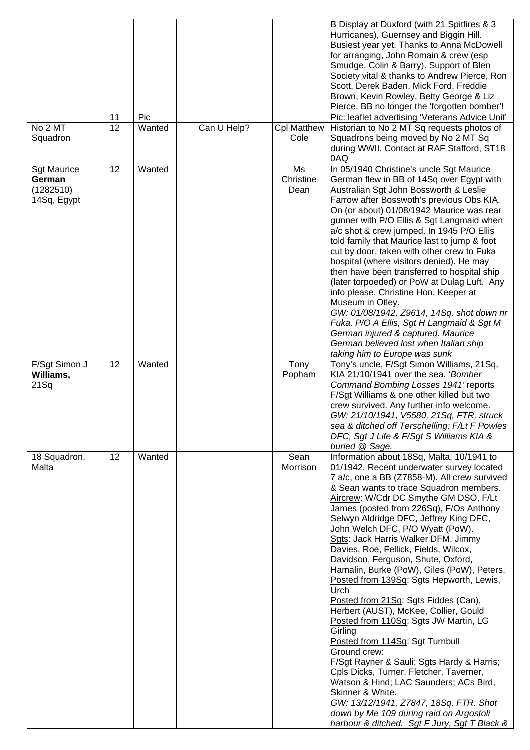|                                                          |    |        |             |                            | B Display at Duxford (with 21 Spitfires & 3<br>Hurricanes), Guernsey and Biggin Hill.<br>Busiest year yet. Thanks to Anna McDowell<br>for arranging, John Romain & crew (esp<br>Smudge, Colin & Barry). Support of Blen<br>Society vital & thanks to Andrew Pierce, Ron<br>Scott, Derek Baden, Mick Ford, Freddie<br>Brown, Kevin Rowley, Betty George & Liz<br>Pierce. BB no longer the 'forgotten bomber'!                                                                                                                                                                                                                                                                                                                                                                                                                                                                                                                                                                                                                                                    |
|----------------------------------------------------------|----|--------|-------------|----------------------------|-----------------------------------------------------------------------------------------------------------------------------------------------------------------------------------------------------------------------------------------------------------------------------------------------------------------------------------------------------------------------------------------------------------------------------------------------------------------------------------------------------------------------------------------------------------------------------------------------------------------------------------------------------------------------------------------------------------------------------------------------------------------------------------------------------------------------------------------------------------------------------------------------------------------------------------------------------------------------------------------------------------------------------------------------------------------|
|                                                          | 11 | Pic    |             |                            | Pic: leaflet advertising 'Veterans Advice Unit'                                                                                                                                                                                                                                                                                                                                                                                                                                                                                                                                                                                                                                                                                                                                                                                                                                                                                                                                                                                                                 |
| No 2 MT<br>Squadron                                      | 12 | Wanted | Can U Help? | <b>Cpl Matthew</b><br>Cole | Historian to No 2 MT Sq requests photos of<br>Squadrons being moved by No 2 MT Sq<br>during WWII. Contact at RAF Stafford, ST18<br>0AQ                                                                                                                                                                                                                                                                                                                                                                                                                                                                                                                                                                                                                                                                                                                                                                                                                                                                                                                          |
| <b>Sgt Maurice</b><br>German<br>(1282510)<br>14Sq, Egypt | 12 | Wanted |             | Ms<br>Christine<br>Dean    | In 05/1940 Christine's uncle Sgt Maurice<br>German flew in BB of 14Sq over Egypt with<br>Australian Sgt John Bossworth & Leslie<br>Farrow after Bosswoth's previous Obs KIA.<br>On (or about) 01/08/1942 Maurice was rear<br>gunner with P/O Ellis & Sgt Langmaid when<br>a/c shot & crew jumped. In 1945 P/O Ellis<br>told family that Maurice last to jump & foot<br>cut by door, taken with other crew to Fuka<br>hospital (where visitors denied). He may<br>then have been transferred to hospital ship<br>(later torpoeded) or PoW at Dulag Luft. Any<br>info please. Christine Hon. Keeper at<br>Museum in Otley.<br>GW: 01/08/1942, Z9614, 14Sq, shot down nr<br>Fuka. P/O A Ellis, Sgt H Langmaid & Sgt M<br>German injured & captured. Maurice<br>German believed lost when Italian ship<br>taking him to Europe was sunk                                                                                                                                                                                                                             |
| F/Sgt Simon J<br>Williams,<br>$21$ Sq                    | 12 | Wanted |             | Tony<br>Popham             | Tony's uncle, F/Sgt Simon Williams, 21Sq,<br>KIA 21/10/1941 over the sea. 'Bomber<br>Command Bombing Losses 1941' reports<br>F/Sgt Williams & one other killed but two<br>crew survived. Any further info welcome.<br>GW: 21/10/1941, V5580, 21Sq, FTR, struck<br>sea & ditched off Terschelling; F/Lt F Powles<br>DFC, Sgt J Life & F/Sgt S Williams KIA &<br>buried @ Sage.                                                                                                                                                                                                                                                                                                                                                                                                                                                                                                                                                                                                                                                                                   |
| 18 Squadron,<br>Malta                                    | 12 | Wanted |             | Sean<br>Morrison           | Information about 18Sq, Malta, 10/1941 to<br>01/1942. Recent underwater survey located<br>7 a/c, one a BB (Z7858-M). All crew survived<br>& Sean wants to trace Squadron members.<br>Aircrew: W/Cdr DC Smythe GM DSO, F/Lt<br>James (posted from 226Sq), F/Os Anthony<br>Selwyn Aldridge DFC, Jeffrey King DFC,<br>John Welch DFC, P/O Wyatt (PoW).<br>Sgts: Jack Harris Walker DFM, Jimmy<br>Davies, Roe, Fellick, Fields, Wilcox,<br>Davidson, Ferguson, Shute, Oxford,<br>Hamalin, Burke (PoW), Giles (PoW), Peters.<br>Posted from 139Sq: Sgts Hepworth, Lewis,<br>Urch<br>Posted from 21Sq: Sgts Fiddes (Can),<br>Herbert (AUST), McKee, Collier, Gould<br>Posted from 110Sq: Sgts JW Martin, LG<br>Girling<br>Posted from 114Sq: Sgt Turnbull<br>Ground crew:<br>F/Sgt Rayner & Sauli; Sgts Hardy & Harris;<br>Cpls Dicks, Turner, Fletcher, Taverner,<br>Watson & Hind; LAC Saunders; ACs Bird,<br>Skinner & White.<br>GW: 13/12/1941, Z7847, 18Sq, FTR. Shot<br>down by Me 109 during raid on Argostoli<br>harbour & ditched. Sgt F Jury, Sgt T Black & |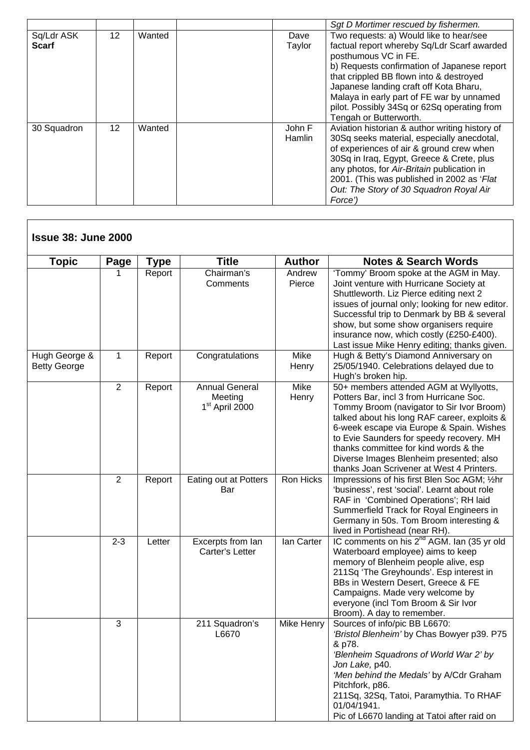|                            |                 |        |                  | Sgt D Mortimer rescued by fishermen.                                                                                                                                                                                                                                                                                                                                     |
|----------------------------|-----------------|--------|------------------|--------------------------------------------------------------------------------------------------------------------------------------------------------------------------------------------------------------------------------------------------------------------------------------------------------------------------------------------------------------------------|
| Sq/Ldr ASK<br><b>Scarf</b> | 12 <sup>2</sup> | Wanted | Dave<br>Taylor   | Two requests: a) Would like to hear/see<br>factual report whereby Sq/Ldr Scarf awarded<br>posthumous VC in FE.<br>b) Requests confirmation of Japanese report<br>that crippled BB flown into & destroyed<br>Japanese landing craft off Kota Bharu,<br>Malaya in early part of FE war by unnamed<br>pilot. Possibly 34Sq or 62Sq operating from<br>Tengah or Butterworth. |
| 30 Squadron                | 12              | Wanted | John F<br>Hamlin | Aviation historian & author writing history of<br>30Sq seeks material, especially anecdotal,<br>of experiences of air & ground crew when<br>30Sq in Iraq, Egypt, Greece & Crete, plus<br>any photos, for Air-Britain publication in<br>2001. (This was published in 2002 as 'Flat<br>Out: The Story of 30 Squadron Royal Air<br>Force')                                  |

| <b>Topic</b>                         | Page           | <b>Type</b> | <b>Title</b>                                                   | <b>Author</b>        | <b>Notes &amp; Search Words</b>                                                                                                                                                                                                                                                                                                                                                                         |
|--------------------------------------|----------------|-------------|----------------------------------------------------------------|----------------------|---------------------------------------------------------------------------------------------------------------------------------------------------------------------------------------------------------------------------------------------------------------------------------------------------------------------------------------------------------------------------------------------------------|
|                                      |                | Report      | Chairman's<br>Comments                                         | Andrew<br>Pierce     | 'Tommy' Broom spoke at the AGM in May.<br>Joint venture with Hurricane Society at<br>Shuttleworth. Liz Pierce editing next 2<br>issues of journal only; looking for new editor.<br>Successful trip to Denmark by BB & several<br>show, but some show organisers require<br>insurance now, which costly (£250-£400).<br>Last issue Mike Henry editing; thanks given.                                     |
| Hugh George &<br><b>Betty George</b> | 1              | Report      | Congratulations                                                | Mike<br>Henry        | Hugh & Betty's Diamond Anniversary on<br>25/05/1940. Celebrations delayed due to<br>Hugh's broken hip.                                                                                                                                                                                                                                                                                                  |
|                                      | $\overline{2}$ | Report      | <b>Annual General</b><br>Meeting<br>1 <sup>st</sup> April 2000 | <b>Mike</b><br>Henry | 50+ members attended AGM at Wyllyotts,<br>Potters Bar, incl 3 from Hurricane Soc.<br>Tommy Broom (navigator to Sir Ivor Broom)<br>talked about his long RAF career, exploits &<br>6-week escape via Europe & Spain. Wishes<br>to Evie Saunders for speedy recovery. MH<br>thanks committee for kind words & the<br>Diverse Images Blenheim presented; also<br>thanks Joan Scrivener at West 4 Printers. |
|                                      | $\overline{2}$ | Report      | Eating out at Potters<br>Bar                                   | Ron Hicks            | Impressions of his first Blen Soc AGM; 1/2hr<br>'business', rest 'social'. Learnt about role<br>RAF in 'Combined Operations'; RH laid<br>Summerfield Track for Royal Engineers in<br>Germany in 50s. Tom Broom interesting &<br>lived in Portishead (near RH).                                                                                                                                          |
|                                      | $2 - 3$        | Letter      | Excerpts from lan<br>Carter's Letter                           | lan Carter           | IC comments on his 2 <sup>nd</sup> AGM. Ian (35 yr old<br>Waterboard employee) aims to keep<br>memory of Blenheim people alive, esp<br>211Sq 'The Greyhounds'. Esp interest in<br>BBs in Western Desert, Greece & FE<br>Campaigns. Made very welcome by<br>everyone (incl Tom Broom & Sir Ivor<br>Broom). A day to remember.                                                                            |
|                                      | 3              |             | 211 Squadron's<br>L6670                                        | Mike Henry           | Sources of info/pic BB L6670:<br>'Bristol Blenheim' by Chas Bowyer p39. P75<br>& p78.<br>'Blenheim Squadrons of World War 2' by<br>Jon Lake, p40.<br>'Men behind the Medals' by A/Cdr Graham<br>Pitchfork, p86.<br>211Sq, 32Sq, Tatoi, Paramythia. To RHAF<br>01/04/1941.<br>Pic of L6670 landing at Tatoi after raid on                                                                                |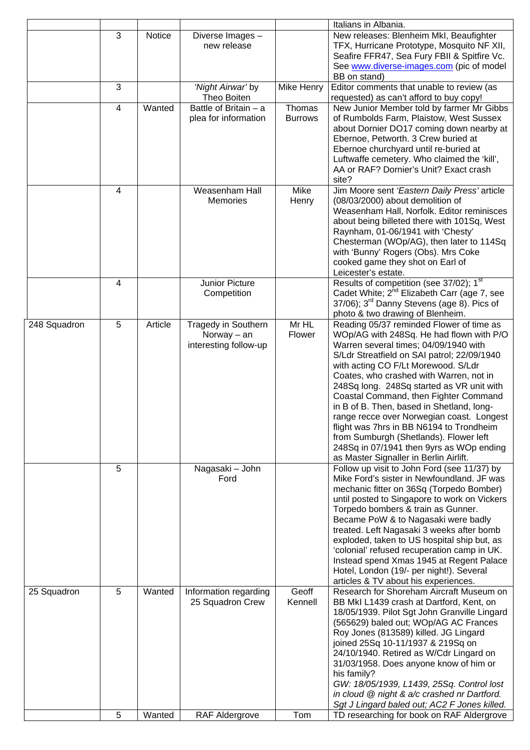|              |                |         |                                                               |                          | Italians in Albania.                                                                                                                                                                                                                                                                                                                                                                                                                                                                                                                                                                                                       |
|--------------|----------------|---------|---------------------------------------------------------------|--------------------------|----------------------------------------------------------------------------------------------------------------------------------------------------------------------------------------------------------------------------------------------------------------------------------------------------------------------------------------------------------------------------------------------------------------------------------------------------------------------------------------------------------------------------------------------------------------------------------------------------------------------------|
|              | 3              | Notice  | Diverse Images -<br>new release                               |                          | New releases: Blenheim MkI, Beaufighter<br>TFX, Hurricane Prototype, Mosquito NF XII,<br>Seafire FFR47, Sea Fury FBII & Spitfire Vc.<br>See www.diverse-images.com (pic of model<br>BB on stand)                                                                                                                                                                                                                                                                                                                                                                                                                           |
|              | 3              |         | 'Night Airwar' by<br>Theo Boiten                              | Mike Henry               | Editor comments that unable to review (as<br>requested) as can't afford to buy copy!                                                                                                                                                                                                                                                                                                                                                                                                                                                                                                                                       |
|              | $\overline{4}$ | Wanted  | Battle of Britain - a<br>plea for information                 | Thomas<br><b>Burrows</b> | New Junior Member told by farmer Mr Gibbs<br>of Rumbolds Farm, Plaistow, West Sussex<br>about Dornier DO17 coming down nearby at<br>Ebernoe, Petworth. 3 Crew buried at<br>Ebernoe churchyard until re-buried at<br>Luftwaffe cemetery. Who claimed the 'kill',<br>AA or RAF? Dornier's Unit? Exact crash<br>site?                                                                                                                                                                                                                                                                                                         |
|              | 4              |         | Weasenham Hall<br>Memories                                    | Mike<br>Henry            | Jim Moore sent 'Eastern Daily Press' article<br>(08/03/2000) about demolition of<br>Weasenham Hall, Norfolk. Editor reminisces<br>about being billeted there with 101Sq, West<br>Raynham, 01-06/1941 with 'Chesty'<br>Chesterman (WOp/AG), then later to 114Sq<br>with 'Bunny' Rogers (Obs). Mrs Coke<br>cooked game they shot on Earl of<br>Leicester's estate.                                                                                                                                                                                                                                                           |
|              | 4              |         | Junior Picture<br>Competition                                 |                          | Results of competition (see 37/02); 1st<br>Cadet White; 2 <sup>nd</sup> Elizabeth Carr (age 7, see<br>$37/06$ ; $3rd$ Danny Stevens (age 8). Pics of<br>photo & two drawing of Blenheim.                                                                                                                                                                                                                                                                                                                                                                                                                                   |
| 248 Squadron | 5              | Article | Tragedy in Southern<br>Norway $-$ an<br>interesting follow-up | Mr HL<br>Flower          | Reading 05/37 reminded Flower of time as<br>WOp/AG with 248Sq. He had flown with P/O<br>Warren several times; 04/09/1940 with<br>S/Ldr Streatfield on SAI patrol; 22/09/1940<br>with acting CO F/Lt Morewood. S/Ldr<br>Coates, who crashed with Warren, not in<br>248Sq long. 248Sq started as VR unit with<br>Coastal Command, then Fighter Command<br>in B of B. Then, based in Shetland, long-<br>range recce over Norwegian coast. Longest<br>flight was 7hrs in BB N6194 to Trondheim<br>from Sumburgh (Shetlands). Flower left<br>248Sq in 07/1941 then 9yrs as WOp ending<br>as Master Signaller in Berlin Airlift. |
|              | 5              |         | Nagasaki - John<br>Ford                                       |                          | Follow up visit to John Ford (see 11/37) by<br>Mike Ford's sister in Newfoundland. JF was<br>mechanic fitter on 36Sq (Torpedo Bomber)<br>until posted to Singapore to work on Vickers<br>Torpedo bombers & train as Gunner.<br>Became PoW & to Nagasaki were badly<br>treated. Left Nagasaki 3 weeks after bomb<br>exploded, taken to US hospital ship but, as<br>'colonial' refused recuperation camp in UK.<br>Instead spend Xmas 1945 at Regent Palace<br>Hotel, London (19/- per night!). Several<br>articles & TV about his experiences.                                                                              |
| 25 Squadron  | 5              | Wanted  | Information regarding<br>25 Squadron Crew                     | Geoff<br>Kennell         | Research for Shoreham Aircraft Museum on<br>BB MkI L1439 crash at Dartford, Kent, on<br>18/05/1939. Pilot Sgt John Granville Lingard<br>(565629) baled out; WOp/AG AC Frances<br>Roy Jones (813589) killed. JG Lingard<br>joined 25Sq 10-11/1937 & 219Sq on<br>24/10/1940. Retired as W/Cdr Lingard on<br>31/03/1958. Does anyone know of him or<br>his family?<br>GW: 18/05/1939, L1439, 25Sq. Control lost<br>in cloud @ night & a/c crashed nr Dartford.<br>Sgt J Lingard baled out; AC2 F Jones killed.                                                                                                                |
|              | 5              | Wanted  | RAF Aldergrove                                                | Tom                      | TD researching for book on RAF Aldergrove                                                                                                                                                                                                                                                                                                                                                                                                                                                                                                                                                                                  |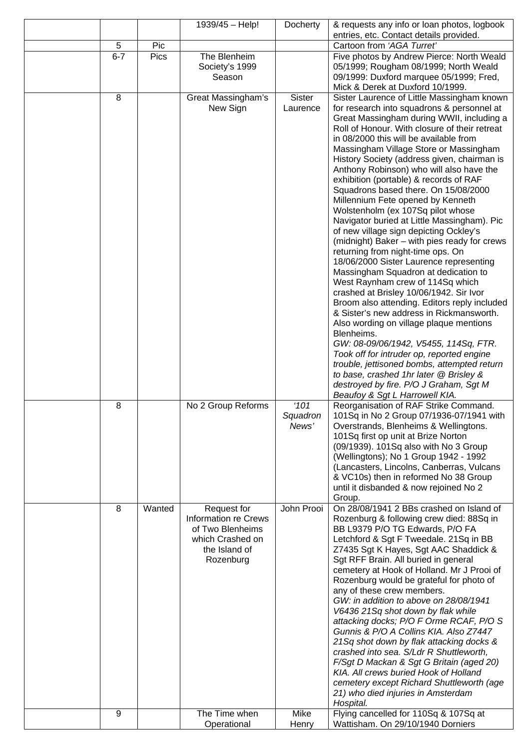|         |             | 1939/45 - Help!                                                                                                  | Docherty                  | & requests any info or loan photos, logbook<br>entries, etc. Contact details provided.                                                                                                                                                                                                                                                                                                                                                                                                                                                                                                                                                                                                                                                                                                                                                                                                                                                                                                                                                                                                                                                                                                                                                                                                                                                |
|---------|-------------|------------------------------------------------------------------------------------------------------------------|---------------------------|---------------------------------------------------------------------------------------------------------------------------------------------------------------------------------------------------------------------------------------------------------------------------------------------------------------------------------------------------------------------------------------------------------------------------------------------------------------------------------------------------------------------------------------------------------------------------------------------------------------------------------------------------------------------------------------------------------------------------------------------------------------------------------------------------------------------------------------------------------------------------------------------------------------------------------------------------------------------------------------------------------------------------------------------------------------------------------------------------------------------------------------------------------------------------------------------------------------------------------------------------------------------------------------------------------------------------------------|
| 5       | Pic         |                                                                                                                  |                           | Cartoon from 'AGA Turret'                                                                                                                                                                                                                                                                                                                                                                                                                                                                                                                                                                                                                                                                                                                                                                                                                                                                                                                                                                                                                                                                                                                                                                                                                                                                                                             |
| $6 - 7$ | <b>Pics</b> | The Blenheim<br>Society's 1999<br>Season                                                                         |                           | Five photos by Andrew Pierce: North Weald<br>05/1999; Rougham 08/1999; North Weald<br>09/1999: Duxford marquee 05/1999; Fred,                                                                                                                                                                                                                                                                                                                                                                                                                                                                                                                                                                                                                                                                                                                                                                                                                                                                                                                                                                                                                                                                                                                                                                                                         |
| 8       |             | Great Massingham's<br>New Sign                                                                                   | <b>Sister</b><br>Laurence | Mick & Derek at Duxford 10/1999.<br>Sister Laurence of Little Massingham known<br>for research into squadrons & personnel at<br>Great Massingham during WWII, including a<br>Roll of Honour. With closure of their retreat<br>in 08/2000 this will be available from<br>Massingham Village Store or Massingham<br>History Society (address given, chairman is<br>Anthony Robinson) who will also have the<br>exhibition (portable) & records of RAF<br>Squadrons based there. On 15/08/2000<br>Millennium Fete opened by Kenneth<br>Wolstenholm (ex 107Sq pilot whose<br>Navigator buried at Little Massingham). Pic<br>of new village sign depicting Ockley's<br>(midnight) Baker - with pies ready for crews<br>returning from night-time ops. On<br>18/06/2000 Sister Laurence representing<br>Massingham Squadron at dedication to<br>West Raynham crew of 114Sq which<br>crashed at Brisley 10/06/1942. Sir Ivor<br>Broom also attending. Editors reply included<br>& Sister's new address in Rickmansworth.<br>Also wording on village plaque mentions<br>Blenheims.<br>GW: 08-09/06/1942, V5455, 114Sq, FTR.<br>Took off for intruder op, reported engine<br>trouble, jettisoned bombs, attempted return<br>to base, crashed 1hr later @ Brisley &<br>destroyed by fire. P/O J Graham, Sgt M<br>Beaufoy & Sgt L Harrowell KIA. |
| 8       |             | No 2 Group Reforms                                                                                               | '101<br>Squadron<br>News' | Reorganisation of RAF Strike Command.<br>101Sq in No 2 Group 07/1936-07/1941 with<br>Overstrands, Blenheims & Wellingtons.<br>101Sq first op unit at Brize Norton<br>(09/1939). 101Sq also with No 3 Group<br>(Wellingtons); No 1 Group 1942 - 1992<br>(Lancasters, Lincolns, Canberras, Vulcans<br>& VC10s) then in reformed No 38 Group<br>until it disbanded & now rejoined No 2<br>Group.                                                                                                                                                                                                                                                                                                                                                                                                                                                                                                                                                                                                                                                                                                                                                                                                                                                                                                                                         |
| 8       | Wanted      | Request for<br><b>Information re Crews</b><br>of Two Blenheims<br>which Crashed on<br>the Island of<br>Rozenburg | John Prooi                | On 28/08/1941 2 BBs crashed on Island of<br>Rozenburg & following crew died: 88Sq in<br>BB L9379 P/O TG Edwards, P/O FA<br>Letchford & Sgt F Tweedale. 21Sq in BB<br>Z7435 Sgt K Hayes, Sgt AAC Shaddick &<br>Sgt RFF Brain. All buried in general<br>cemetery at Hook of Holland. Mr J Prooi of<br>Rozenburg would be grateful for photo of<br>any of these crew members.<br>GW: in addition to above on 28/08/1941<br>V6436 21Sq shot down by flak while<br>attacking docks; P/O F Orme RCAF, P/O S<br>Gunnis & P/O A Collins KIA. Also Z7447<br>21Sq shot down by flak attacking docks &<br>crashed into sea. S/Ldr R Shuttleworth,<br>F/Sgt D Mackan & Sgt G Britain (aged 20)<br>KIA. All crews buried Hook of Holland<br>cemetery except Richard Shuttleworth (age<br>21) who died injuries in Amsterdam<br>Hospital.                                                                                                                                                                                                                                                                                                                                                                                                                                                                                                           |
| 9       |             | The Time when<br>Operational                                                                                     | Mike<br>Henry             | Flying cancelled for 110Sq & 107Sq at<br>Wattisham. On 29/10/1940 Dorniers                                                                                                                                                                                                                                                                                                                                                                                                                                                                                                                                                                                                                                                                                                                                                                                                                                                                                                                                                                                                                                                                                                                                                                                                                                                            |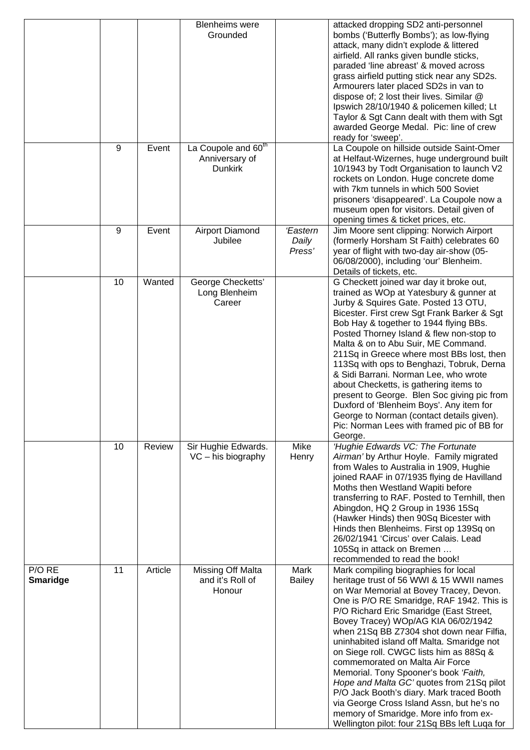|                           |    |         | <b>Blenheims</b> were<br>Grounded                                   |                             | attacked dropping SD2 anti-personnel<br>bombs ('Butterfly Bombs'); as low-flying<br>attack, many didn't explode & littered<br>airfield. All ranks given bundle sticks,<br>paraded 'line abreast' & moved across<br>grass airfield putting stick near any SD2s.<br>Armourers later placed SD2s in van to<br>dispose of; 2 lost their lives. Similar @<br>Ipswich 28/10/1940 & policemen killed; Lt<br>Taylor & Sgt Cann dealt with them with Sgt<br>awarded George Medal. Pic: line of crew<br>ready for 'sweep'.                                                                                                                                                                                               |
|---------------------------|----|---------|---------------------------------------------------------------------|-----------------------------|----------------------------------------------------------------------------------------------------------------------------------------------------------------------------------------------------------------------------------------------------------------------------------------------------------------------------------------------------------------------------------------------------------------------------------------------------------------------------------------------------------------------------------------------------------------------------------------------------------------------------------------------------------------------------------------------------------------|
|                           | 9  | Event   | La Coupole and 60 <sup>th</sup><br>Anniversary of<br><b>Dunkirk</b> |                             | La Coupole on hillside outside Saint-Omer<br>at Helfaut-Wizernes, huge underground built<br>10/1943 by Todt Organisation to launch V2<br>rockets on London. Huge concrete dome<br>with 7km tunnels in which 500 Soviet<br>prisoners 'disappeared'. La Coupole now a<br>museum open for visitors. Detail given of<br>opening times & ticket prices, etc.                                                                                                                                                                                                                                                                                                                                                        |
|                           | 9  | Event   | Airport Diamond<br>Jubilee                                          | 'Eastern<br>Daily<br>Press' | Jim Moore sent clipping: Norwich Airport<br>(formerly Horsham St Faith) celebrates 60<br>year of flight with two-day air-show (05-<br>06/08/2000), including 'our' Blenheim.<br>Details of tickets, etc.                                                                                                                                                                                                                                                                                                                                                                                                                                                                                                       |
|                           | 10 | Wanted  | George Checketts'<br>Long Blenheim<br>Career                        |                             | G Checkett joined war day it broke out,<br>trained as WOp at Yatesbury & gunner at<br>Jurby & Squires Gate. Posted 13 OTU,<br>Bicester. First crew Sgt Frank Barker & Sgt<br>Bob Hay & together to 1944 flying BBs.<br>Posted Thorney Island & flew non-stop to<br>Malta & on to Abu Suir, ME Command.<br>211Sq in Greece where most BBs lost, then<br>113Sq with ops to Benghazi, Tobruk, Derna<br>& Sidi Barrani. Norman Lee, who wrote<br>about Checketts, is gathering items to<br>present to George. Blen Soc giving pic from<br>Duxford of 'Blenheim Boys'. Any item for<br>George to Norman (contact details given).<br>Pic: Norman Lees with framed pic of BB for<br>George.                           |
|                           | 10 | Review  | Sir Hughie Edwards.<br>$VC - his biography$                         | Mike<br>Henry               | 'Hughie Edwards VC: The Fortunate<br>Airman' by Arthur Hoyle. Family migrated<br>from Wales to Australia in 1909, Hughie<br>joined RAAF in 07/1935 flying de Havilland<br>Moths then Westland Wapiti before<br>transferring to RAF. Posted to Ternhill, then<br>Abingdon, HQ 2 Group in 1936 15Sq<br>(Hawker Hinds) then 90Sq Bicester with<br>Hinds then Blenheims. First op 139Sq on<br>26/02/1941 'Circus' over Calais. Lead<br>105Sq in attack on Bremen<br>recommended to read the book!                                                                                                                                                                                                                  |
| P/O RE<br><b>Smaridge</b> | 11 | Article | Missing Off Malta<br>and it's Roll of<br>Honour                     | Mark<br><b>Bailey</b>       | Mark compiling biographies for local<br>heritage trust of 56 WWI & 15 WWII names<br>on War Memorial at Bovey Tracey, Devon.<br>One is P/O RE Smaridge, RAF 1942. This is<br>P/O Richard Eric Smaridge (East Street,<br>Bovey Tracey) WOp/AG KIA 06/02/1942<br>when 21Sq BB Z7304 shot down near Filfia,<br>uninhabited island off Malta. Smaridge not<br>on Siege roll. CWGC lists him as 88Sq &<br>commemorated on Malta Air Force<br>Memorial. Tony Spooner's book 'Faith,<br>Hope and Malta GC' quotes from 21Sq pilot<br>P/O Jack Booth's diary. Mark traced Booth<br>via George Cross Island Assn, but he's no<br>memory of Smaridge. More info from ex-<br>Wellington pilot: four 21Sq BBs left Luqa for |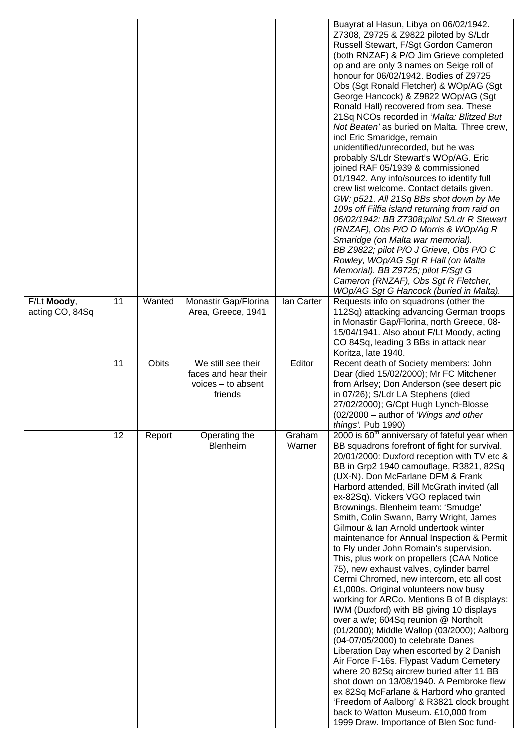|                                |    |              |                                                                               |                  | Buayrat al Hasun, Libya on 06/02/1942.                                                                                                                                                                                                                                                                                                                                                                                                                                                                                                                                                                                                                                                                                                                                                                                                                                                                                                                                                                                                                                                                                                                                                                                                                                                                              |
|--------------------------------|----|--------------|-------------------------------------------------------------------------------|------------------|---------------------------------------------------------------------------------------------------------------------------------------------------------------------------------------------------------------------------------------------------------------------------------------------------------------------------------------------------------------------------------------------------------------------------------------------------------------------------------------------------------------------------------------------------------------------------------------------------------------------------------------------------------------------------------------------------------------------------------------------------------------------------------------------------------------------------------------------------------------------------------------------------------------------------------------------------------------------------------------------------------------------------------------------------------------------------------------------------------------------------------------------------------------------------------------------------------------------------------------------------------------------------------------------------------------------|
|                                |    |              |                                                                               |                  | Z7308, Z9725 & Z9822 piloted by S/Ldr<br>Russell Stewart, F/Sgt Gordon Cameron<br>(both RNZAF) & P/O Jim Grieve completed<br>op and are only 3 names on Seige roll of<br>honour for 06/02/1942. Bodies of Z9725<br>Obs (Sgt Ronald Fletcher) & WOp/AG (Sgt<br>George Hancock) & Z9822 WOp/AG (Sgt<br>Ronald Hall) recovered from sea. These<br>21Sq NCOs recorded in 'Malta: Blitzed But<br>Not Beaten' as buried on Malta. Three crew,<br>incl Eric Smaridge, remain<br>unidentified/unrecorded, but he was<br>probably S/Ldr Stewart's WOp/AG. Eric<br>joined RAF 05/1939 & commissioned<br>01/1942. Any info/sources to identify full<br>crew list welcome. Contact details given.<br>GW: p521. All 21Sq BBs shot down by Me<br>109s off Filfia island returning from raid on<br>06/02/1942: BB Z7308;pilot S/Ldr R Stewart<br>(RNZAF), Obs P/O D Morris & WOp/Ag R<br>Smaridge (on Malta war memorial).<br>BB Z9822; pilot P/O J Grieve, Obs P/O C<br>Rowley, WOp/AG Sgt R Hall (on Malta<br>Memorial). BB Z9725; pilot F/Sgt G<br>Cameron (RNZAF), Obs Sgt R Fletcher,<br>WOp/AG Sgt G Hancock (buried in Malta).                                                                                                                                                                                              |
| F/Lt Moody,<br>acting CO, 84Sq | 11 | Wanted       | Monastir Gap/Florina<br>Area, Greece, 1941                                    | lan Carter       | Requests info on squadrons (other the<br>112Sq) attacking advancing German troops<br>in Monastir Gap/Florina, north Greece, 08-<br>15/04/1941. Also about F/Lt Moody, acting<br>CO 84Sq, leading 3 BBs in attack near<br>Koritza, late 1940.                                                                                                                                                                                                                                                                                                                                                                                                                                                                                                                                                                                                                                                                                                                                                                                                                                                                                                                                                                                                                                                                        |
|                                | 11 | <b>Obits</b> | We still see their<br>faces and hear their<br>$voices - to absent$<br>friends | Editor           | Recent death of Society members: John<br>Dear (died 15/02/2000); Mr FC Mitchener<br>from Arlsey; Don Anderson (see desert pic<br>in 07/26); S/Ldr LA Stephens (died<br>27/02/2000); G/Cpt Hugh Lynch-Blosse<br>(02/2000 - author of 'Wings and other<br>things'. Pub 1990)                                                                                                                                                                                                                                                                                                                                                                                                                                                                                                                                                                                                                                                                                                                                                                                                                                                                                                                                                                                                                                          |
|                                | 12 | Report       | Operating the<br>Blenheim                                                     | Graham<br>Warner | 2000 is 60 <sup>th</sup> anniversary of fateful year when<br>BB squadrons forefront of fight for survival.<br>20/01/2000: Duxford reception with TV etc &<br>BB in Grp2 1940 camouflage, R3821, 82Sq<br>(UX-N). Don McFarlane DFM & Frank<br>Harbord attended, Bill McGrath invited (all<br>ex-82Sq). Vickers VGO replaced twin<br>Brownings. Blenheim team: 'Smudge'<br>Smith, Colin Swann, Barry Wright, James<br>Gilmour & Ian Arnold undertook winter<br>maintenance for Annual Inspection & Permit<br>to Fly under John Romain's supervision.<br>This, plus work on propellers (CAA Notice<br>75), new exhaust valves, cylinder barrel<br>Cermi Chromed, new intercom, etc all cost<br>£1,000s. Original volunteers now busy<br>working for ARCo. Mentions B of B displays:<br>IWM (Duxford) with BB giving 10 displays<br>over a w/e; 604Sq reunion @ Northolt<br>(01/2000); Middle Wallop (03/2000); Aalborg<br>(04-07/05/2000) to celebrate Danes<br>Liberation Day when escorted by 2 Danish<br>Air Force F-16s. Flypast Vadum Cemetery<br>where 20 82Sq aircrew buried after 11 BB<br>shot down on 13/08/1940. A Pembroke flew<br>ex 82Sq McFarlane & Harbord who granted<br>'Freedom of Aalborg' & R3821 clock brought<br>back to Watton Museum. £10,000 from<br>1999 Draw. Importance of Blen Soc fund- |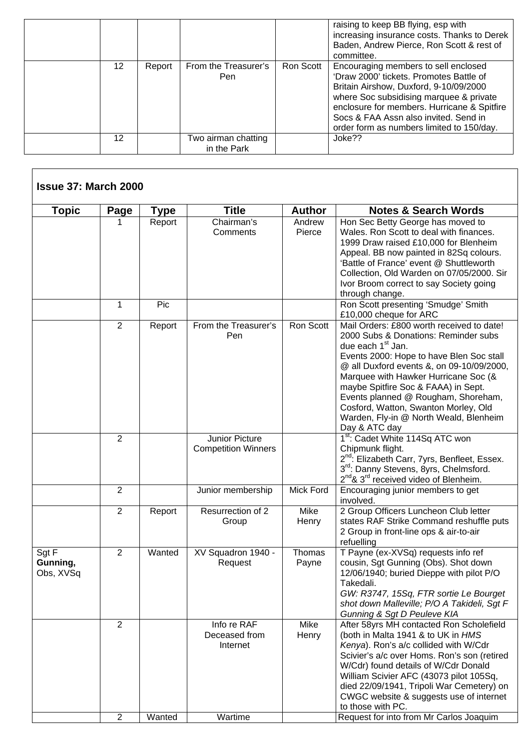|    |        |                                    |           | raising to keep BB flying, esp with<br>increasing insurance costs. Thanks to Derek<br>Baden, Andrew Pierce, Ron Scott & rest of<br>committee.                                                                                                                                                             |
|----|--------|------------------------------------|-----------|-----------------------------------------------------------------------------------------------------------------------------------------------------------------------------------------------------------------------------------------------------------------------------------------------------------|
| 12 | Report | From the Treasurer's<br>Pen        | Ron Scott | Encouraging members to sell enclosed<br>'Draw 2000' tickets. Promotes Battle of<br>Britain Airshow, Duxford, 9-10/09/2000<br>where Soc subsidising marquee & private<br>enclosure for members. Hurricane & Spitfire<br>Socs & FAA Assn also invited. Send in<br>order form as numbers limited to 150/day. |
| 12 |        | Two airman chatting<br>in the Park |           | Joke??                                                                                                                                                                                                                                                                                                    |

Г

| <b>Topic</b>                   | <b>Page</b>    | Type   | <b>Title</b>                                 | <b>Author</b>    | <b>Notes &amp; Search Words</b>                                                                                                                                                                                                                                                                                                                                                                                                      |
|--------------------------------|----------------|--------|----------------------------------------------|------------------|--------------------------------------------------------------------------------------------------------------------------------------------------------------------------------------------------------------------------------------------------------------------------------------------------------------------------------------------------------------------------------------------------------------------------------------|
|                                | 1              | Report | Chairman's<br>Comments                       | Andrew<br>Pierce | Hon Sec Betty George has moved to<br>Wales. Ron Scott to deal with finances.<br>1999 Draw raised £10,000 for Blenheim<br>Appeal. BB now painted in 82Sq colours.<br>'Battle of France' event @ Shuttleworth<br>Collection, Old Warden on 07/05/2000. Sir<br>Ivor Broom correct to say Society going<br>through change.                                                                                                               |
|                                | 1              | Pic    |                                              |                  | Ron Scott presenting 'Smudge' Smith<br>£10,000 cheque for ARC                                                                                                                                                                                                                                                                                                                                                                        |
|                                | 2              | Report | From the Treasurer's<br>Pen                  | Ron Scott        | Mail Orders: £800 worth received to date!<br>2000 Subs & Donations: Reminder subs<br>due each 1 <sup>st</sup> Jan.<br>Events 2000: Hope to have Blen Soc stall<br>@ all Duxford events &, on 09-10/09/2000,<br>Marquee with Hawker Hurricane Soc (&<br>maybe Spitfire Soc & FAAA) in Sept.<br>Events planned @ Rougham, Shoreham,<br>Cosford, Watton, Swanton Morley, Old<br>Warden, Fly-in @ North Weald, Blenheim<br>Day & ATC day |
|                                | $\overline{2}$ |        | Junior Picture<br><b>Competition Winners</b> |                  | 1 <sup>st</sup> : Cadet White 114Sq ATC won<br>Chipmunk flight.<br>2 <sup>nd</sup> : Elizabeth Carr, 7yrs, Benfleet, Essex.<br>3rd: Danny Stevens, 8yrs, Chelmsford.<br>2 <sup>nd</sup> & 3 <sup>rd</sup> received video of Blenheim.                                                                                                                                                                                                |
|                                | $\overline{2}$ |        | Junior membership                            | <b>Mick Ford</b> | Encouraging junior members to get<br>involved.                                                                                                                                                                                                                                                                                                                                                                                       |
|                                | 2              | Report | Resurrection of 2<br>Group                   | Mike<br>Henry    | 2 Group Officers Luncheon Club letter<br>states RAF Strike Command reshuffle puts<br>2 Group in front-line ops & air-to-air<br>refuelling                                                                                                                                                                                                                                                                                            |
| Sgt F<br>Gunning,<br>Obs, XVSq | 2              | Wanted | XV Squadron 1940 -<br>Request                | Thomas<br>Payne  | T Payne (ex-XVSq) requests info ref<br>cousin, Sgt Gunning (Obs). Shot down<br>12/06/1940; buried Dieppe with pilot P/O<br>Takedali.<br>GW: R3747, 15Sq, FTR sortie Le Bourget<br>shot down Malleville; P/O A Takideli, Sgt F<br>Gunning & Sgt D Peuleve KIA                                                                                                                                                                         |
|                                | 2              |        | Info re RAF<br>Deceased from<br>Internet     | Mike<br>Henry    | After 58yrs MH contacted Ron Scholefield<br>(both in Malta 1941 & to UK in HMS<br>Kenya). Ron's a/c collided with W/Cdr<br>Scivier's a/c over Homs. Ron's son (retired<br>W/Cdr) found details of W/Cdr Donald<br>William Scivier AFC (43073 pilot 105Sq,<br>died 22/09/1941, Tripoli War Cemetery) on<br>CWGC website & suggests use of internet<br>to those with PC.                                                               |
|                                | $\overline{2}$ | Wanted | Wartime                                      |                  | Request for into from Mr Carlos Joaquim                                                                                                                                                                                                                                                                                                                                                                                              |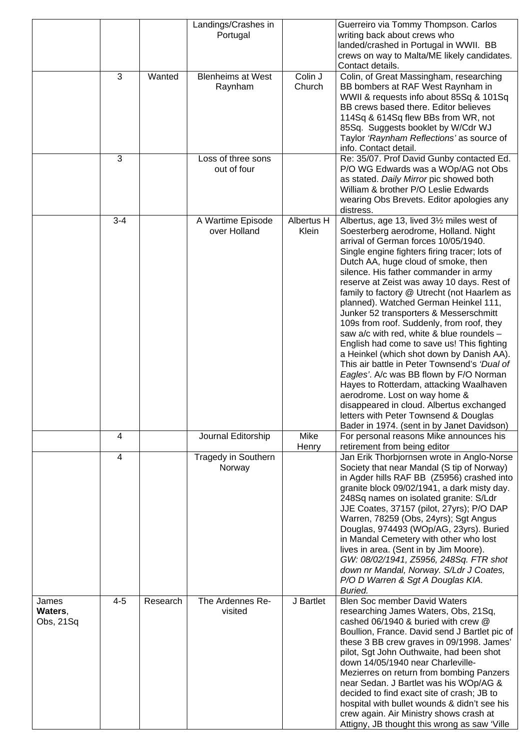|                               | 3                       | Wanted   | Landings/Crashes in<br>Portugal<br><b>Blenheims at West</b><br>Raynham | $\overline{\text{Col}}$ in J<br>Church | Guerreiro via Tommy Thompson. Carlos<br>writing back about crews who<br>landed/crashed in Portugal in WWII. BB<br>crews on way to Malta/ME likely candidates.<br>Contact details.<br>Colin, of Great Massingham, researching<br>BB bombers at RAF West Raynham in<br>WWII & requests info about 85Sq & 101Sq<br>BB crews based there. Editor believes<br>114Sq & 614Sq flew BBs from WR, not<br>85Sq. Suggests booklet by W/Cdr WJ<br>Taylor 'Raynham Reflections' as source of<br>info. Contact detail.                                                                                                                                                                                                                                                                                                                                                                                                                                    |
|-------------------------------|-------------------------|----------|------------------------------------------------------------------------|----------------------------------------|---------------------------------------------------------------------------------------------------------------------------------------------------------------------------------------------------------------------------------------------------------------------------------------------------------------------------------------------------------------------------------------------------------------------------------------------------------------------------------------------------------------------------------------------------------------------------------------------------------------------------------------------------------------------------------------------------------------------------------------------------------------------------------------------------------------------------------------------------------------------------------------------------------------------------------------------|
|                               | 3                       |          | Loss of three sons<br>out of four                                      |                                        | Re: 35/07. Prof David Gunby contacted Ed.<br>P/O WG Edwards was a WOp/AG not Obs<br>as stated. Daily Mirror pic showed both<br>William & brother P/O Leslie Edwards<br>wearing Obs Brevets. Editor apologies any<br>distress.                                                                                                                                                                                                                                                                                                                                                                                                                                                                                                                                                                                                                                                                                                               |
|                               | $3 - 4$                 |          | A Wartime Episode<br>over Holland                                      | Albertus H<br>Klein                    | Albertus, age 13, lived 31/2 miles west of<br>Soesterberg aerodrome, Holland. Night<br>arrival of German forces 10/05/1940.<br>Single engine fighters firing tracer; lots of<br>Dutch AA, huge cloud of smoke, then<br>silence. His father commander in army<br>reserve at Zeist was away 10 days. Rest of<br>family to factory @ Utrecht (not Haarlem as<br>planned). Watched German Heinkel 111,<br>Junker 52 transporters & Messerschmitt<br>109s from roof. Suddenly, from roof, they<br>saw a/c with red, white & blue roundels -<br>English had come to save us! This fighting<br>a Heinkel (which shot down by Danish AA).<br>This air battle in Peter Townsend's 'Dual of<br>Eagles'. A/c was BB flown by F/O Norman<br>Hayes to Rotterdam, attacking Waalhaven<br>aerodrome. Lost on way home &<br>disappeared in cloud. Albertus exchanged<br>letters with Peter Townsend & Douglas<br>Bader in 1974. (sent in by Janet Davidson) |
|                               | 4                       |          | Journal Editorship                                                     | Mike<br>Henry                          | For personal reasons Mike announces his<br>retirement from being editor                                                                                                                                                                                                                                                                                                                                                                                                                                                                                                                                                                                                                                                                                                                                                                                                                                                                     |
|                               | $\overline{\mathbf{4}}$ |          | Tragedy in Southern<br>Norway                                          |                                        | Jan Erik Thorbjornsen wrote in Anglo-Norse<br>Society that near Mandal (S tip of Norway)<br>in Agder hills RAF BB (Z5956) crashed into<br>granite block 09/02/1941, a dark misty day.<br>248Sq names on isolated granite: S/Ldr<br>JJE Coates, 37157 (pilot, 27yrs); P/O DAP<br>Warren, 78259 (Obs, 24yrs); Sgt Angus<br>Douglas, 974493 (WOp/AG, 23yrs). Buried<br>in Mandal Cemetery with other who lost<br>lives in area. (Sent in by Jim Moore).<br>GW: 08/02/1941, Z5956, 248Sq. FTR shot<br>down nr Mandal, Norway. S/Ldr J Coates,<br>P/O D Warren & Sgt A Douglas KIA.<br>Buried.                                                                                                                                                                                                                                                                                                                                                   |
| James<br>Waters,<br>Obs, 21Sq | $4 - 5$                 | Research | The Ardennes Re-<br>visited                                            | J Bartlet                              | <b>Blen Soc member David Waters</b><br>researching James Waters, Obs, 21Sq,<br>cashed 06/1940 & buried with crew @<br>Boullion, France. David send J Bartlet pic of<br>these 3 BB crew graves in 09/1998. James'<br>pilot, Sgt John Outhwaite, had been shot<br>down 14/05/1940 near Charleville-<br>Mezierres on return from bombing Panzers<br>near Sedan. J Bartlet was his WOp/AG &<br>decided to find exact site of crash; JB to<br>hospital with bullet wounds & didn't see his<br>crew again. Air Ministry shows crash at<br>Attigny, JB thought this wrong as saw 'Ville                                                                                                                                                                                                                                                                                                                                                            |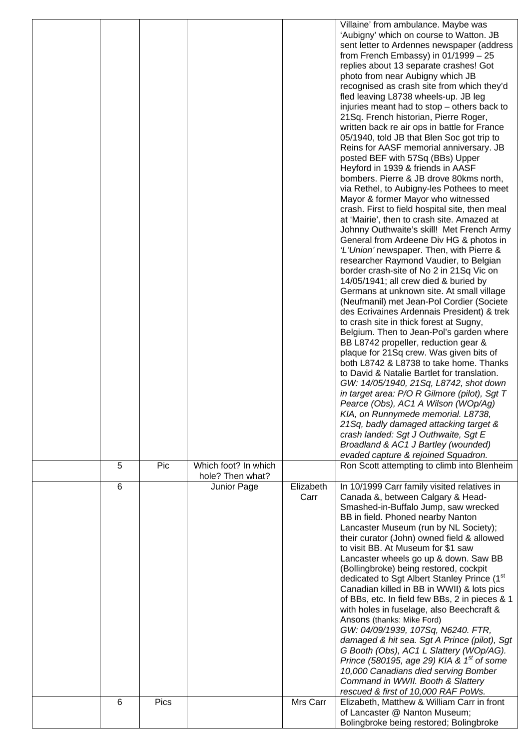| Villaine' from ambulance. Maybe was<br>'Aubigny' which on course to Watton. JB<br>sent letter to Ardennes newspaper (address<br>from French Embassy) in $01/1999 - 25$<br>replies about 13 separate crashes! Got<br>photo from near Aubigny which JB<br>recognised as crash site from which they'd<br>fled leaving L8738 wheels-up. JB leg<br>injuries meant had to stop – others back to<br>21Sq. French historian, Pierre Roger,<br>written back re air ops in battle for France<br>05/1940, told JB that Blen Soc got trip to<br>Reins for AASF memorial anniversary. JB<br>posted BEF with 57Sq (BBs) Upper<br>Heyford in 1939 & friends in AASF<br>bombers. Pierre & JB drove 80kms north,<br>via Rethel, to Aubigny-les Pothees to meet<br>Mayor & former Mayor who witnessed<br>crash. First to field hospital site, then meal<br>at 'Mairie', then to crash site. Amazed at<br>Johnny Outhwaite's skill! Met French Army<br>General from Ardeene Div HG & photos in<br>'L'Union' newspaper. Then, with Pierre &<br>researcher Raymond Vaudier, to Belgian<br>border crash-site of No 2 in 21Sq Vic on<br>14/05/1941; all crew died & buried by<br>Germans at unknown site. At small village<br>(Neufmanil) met Jean-Pol Cordier (Societe<br>des Ecrivaines Ardennais President) & trek<br>to crash site in thick forest at Sugny,<br>Belgium. Then to Jean-Pol's garden where<br>BB L8742 propeller, reduction gear &<br>plaque for 21Sq crew. Was given bits of<br>both L8742 & L8738 to take home. Thanks<br>to David & Natalie Bartlet for translation.<br>GW: 14/05/1940, 21Sq, L8742, shot down<br>in target area: P/O R Gilmore (pilot), Sgt T<br>Pearce (Obs), AC1 A Wilson (WOp/Ag)<br>KIA, on Runnymede memorial. L8738,<br>21Sq, badly damaged attacking target &<br>crash landed: Sgt J Outhwaite, Sgt E<br>Broadland & AC1 J Bartley (wounded)<br>evaded capture & rejoined Squadron.<br>Which foot? In which<br>5<br>Pic<br>Ron Scott attempting to climb into Blenheim<br>hole? Then what?<br>6<br>Elizabeth<br>In 10/1999 Carr family visited relatives in<br>Junior Page<br>Carr<br>Canada &, between Calgary & Head-<br>Smashed-in-Buffalo Jump, saw wrecked<br>BB in field. Phoned nearby Nanton<br>Lancaster Museum (run by NL Society);<br>their curator (John) owned field & allowed<br>to visit BB. At Museum for \$1 saw<br>Lancaster wheels go up & down. Saw BB<br>(Bollingbroke) being restored, cockpit<br>dedicated to Sgt Albert Stanley Prince (1st<br>Canadian killed in BB in WWII) & lots pics<br>of BBs, etc. In field few BBs, 2 in pieces & 1<br>with holes in fuselage, also Beechcraft &<br>Ansons (thanks: Mike Ford)<br>GW: 04/09/1939, 107Sq, N6240. FTR,<br>damaged & hit sea. Sgt A Prince (pilot), Sgt<br>G Booth (Obs), AC1 L Slattery (WOp/AG).<br>Prince (580195, age 29) KIA & $1st$ of some<br>10,000 Canadians died serving Bomber<br>Command in WWII. Booth & Slattery<br>rescued & first of 10,000 RAF PoWs.<br>Mrs Carr<br>Pics<br>Elizabeth, Matthew & William Carr in front<br>6<br>of Lancaster @ Nanton Museum;<br>Bolingbroke being restored; Bolingbroke |  |  |  |
|-----------------------------------------------------------------------------------------------------------------------------------------------------------------------------------------------------------------------------------------------------------------------------------------------------------------------------------------------------------------------------------------------------------------------------------------------------------------------------------------------------------------------------------------------------------------------------------------------------------------------------------------------------------------------------------------------------------------------------------------------------------------------------------------------------------------------------------------------------------------------------------------------------------------------------------------------------------------------------------------------------------------------------------------------------------------------------------------------------------------------------------------------------------------------------------------------------------------------------------------------------------------------------------------------------------------------------------------------------------------------------------------------------------------------------------------------------------------------------------------------------------------------------------------------------------------------------------------------------------------------------------------------------------------------------------------------------------------------------------------------------------------------------------------------------------------------------------------------------------------------------------------------------------------------------------------------------------------------------------------------------------------------------------------------------------------------------------------------------------------------------------------------------------------------------------------------------------------------------------------------------------------------------------------------------------------------------------------------------------------------------------------------------------------------------------------------------------------------------------------------------------------------------------------------------------------------------------------------------------------------------------------------------------------------------------------------------------------------------------------------------------------------------------------------------------------------------------------------------------------------------------------------------------------------------------------------------------------------------------------------------------------------------------------------------------------------------------------------------------------------------|--|--|--|
|                                                                                                                                                                                                                                                                                                                                                                                                                                                                                                                                                                                                                                                                                                                                                                                                                                                                                                                                                                                                                                                                                                                                                                                                                                                                                                                                                                                                                                                                                                                                                                                                                                                                                                                                                                                                                                                                                                                                                                                                                                                                                                                                                                                                                                                                                                                                                                                                                                                                                                                                                                                                                                                                                                                                                                                                                                                                                                                                                                                                                                                                                                                             |  |  |  |
|                                                                                                                                                                                                                                                                                                                                                                                                                                                                                                                                                                                                                                                                                                                                                                                                                                                                                                                                                                                                                                                                                                                                                                                                                                                                                                                                                                                                                                                                                                                                                                                                                                                                                                                                                                                                                                                                                                                                                                                                                                                                                                                                                                                                                                                                                                                                                                                                                                                                                                                                                                                                                                                                                                                                                                                                                                                                                                                                                                                                                                                                                                                             |  |  |  |
|                                                                                                                                                                                                                                                                                                                                                                                                                                                                                                                                                                                                                                                                                                                                                                                                                                                                                                                                                                                                                                                                                                                                                                                                                                                                                                                                                                                                                                                                                                                                                                                                                                                                                                                                                                                                                                                                                                                                                                                                                                                                                                                                                                                                                                                                                                                                                                                                                                                                                                                                                                                                                                                                                                                                                                                                                                                                                                                                                                                                                                                                                                                             |  |  |  |
|                                                                                                                                                                                                                                                                                                                                                                                                                                                                                                                                                                                                                                                                                                                                                                                                                                                                                                                                                                                                                                                                                                                                                                                                                                                                                                                                                                                                                                                                                                                                                                                                                                                                                                                                                                                                                                                                                                                                                                                                                                                                                                                                                                                                                                                                                                                                                                                                                                                                                                                                                                                                                                                                                                                                                                                                                                                                                                                                                                                                                                                                                                                             |  |  |  |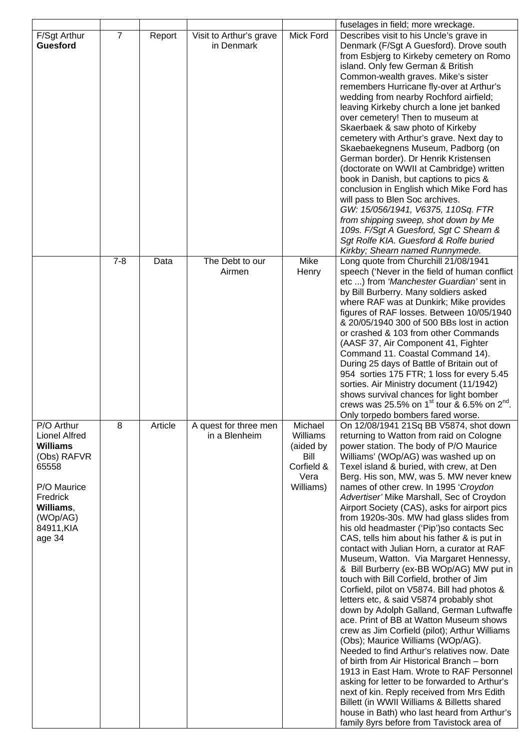|                                                                                                                                                           |                |         |                                        |                                                                             | fuselages in field; more wreckage.                                                                                                                                                                                                                                                                                                                                                                                                                                                                                                                                                                                                                                                                                                                                                                                                                                                                                                                                                                                                                                                                                                                                                                                                                                                                                                                                                 |
|-----------------------------------------------------------------------------------------------------------------------------------------------------------|----------------|---------|----------------------------------------|-----------------------------------------------------------------------------|------------------------------------------------------------------------------------------------------------------------------------------------------------------------------------------------------------------------------------------------------------------------------------------------------------------------------------------------------------------------------------------------------------------------------------------------------------------------------------------------------------------------------------------------------------------------------------------------------------------------------------------------------------------------------------------------------------------------------------------------------------------------------------------------------------------------------------------------------------------------------------------------------------------------------------------------------------------------------------------------------------------------------------------------------------------------------------------------------------------------------------------------------------------------------------------------------------------------------------------------------------------------------------------------------------------------------------------------------------------------------------|
| F/Sgt Arthur<br><b>Guesford</b>                                                                                                                           | $\overline{7}$ | Report  | Visit to Arthur's grave<br>in Denmark  | Mick Ford                                                                   | Describes visit to his Uncle's grave in<br>Denmark (F/Sgt A Guesford). Drove south<br>from Esbjerg to Kirkeby cemetery on Romo<br>island. Only few German & British<br>Common-wealth graves. Mike's sister<br>remembers Hurricane fly-over at Arthur's<br>wedding from nearby Rochford airfield;                                                                                                                                                                                                                                                                                                                                                                                                                                                                                                                                                                                                                                                                                                                                                                                                                                                                                                                                                                                                                                                                                   |
|                                                                                                                                                           |                |         |                                        |                                                                             | leaving Kirkeby church a lone jet banked<br>over cemetery! Then to museum at<br>Skaerbaek & saw photo of Kirkeby<br>cemetery with Arthur's grave. Next day to<br>Skaebaekegnens Museum, Padborg (on<br>German border). Dr Henrik Kristensen<br>(doctorate on WWII at Cambridge) written<br>book in Danish, but captions to pics &<br>conclusion in English which Mike Ford has<br>will pass to Blen Soc archives.<br>GW: 15/056/1941, V6375, 110Sq. FTR<br>from shipping sweep, shot down by Me<br>109s. F/Sgt A Guesford, Sgt C Shearn &<br>Sgt Rolfe KIA. Guesford & Rolfe buried<br>Kirkby; Shearn named Runnymede.                                                                                                                                                                                                                                                                                                                                                                                                                                                                                                                                                                                                                                                                                                                                                             |
|                                                                                                                                                           | $7 - 8$        | Data    | The Debt to our<br>Airmen              | Mike<br>Henry                                                               | Long quote from Churchill 21/08/1941<br>speech ('Never in the field of human conflict<br>etc ) from 'Manchester Guardian' sent in<br>by Bill Burberry. Many soldiers asked<br>where RAF was at Dunkirk; Mike provides<br>figures of RAF losses. Between 10/05/1940<br>& 20/05/1940 300 of 500 BBs lost in action<br>or crashed & 103 from other Commands<br>(AASF 37, Air Component 41, Fighter<br>Command 11. Coastal Command 14).<br>During 25 days of Battle of Britain out of<br>954 sorties 175 FTR; 1 loss for every 5.45<br>sorties. Air Ministry document (11/1942)<br>shows survival chances for light bomber<br>crews was 25.5% on 1 <sup>st</sup> tour & 6.5% on $2^{nd}$ .<br>Only torpedo bombers fared worse.                                                                                                                                                                                                                                                                                                                                                                                                                                                                                                                                                                                                                                                        |
| P/O Arthur<br><b>Lionel Alfred</b><br><b>Williams</b><br>(Obs) RAFVR<br>65558<br>P/O Maurice<br>Fredrick<br>Williams,<br>(WOp/AG)<br>84911, KIA<br>age 34 | 8              | Article | A quest for three men<br>in a Blenheim | Michael<br>Williams<br>(aided by<br>Bill<br>Corfield &<br>Vera<br>Williams) | On 12/08/1941 21Sq BB V5874, shot down<br>returning to Watton from raid on Cologne<br>power station. The body of P/O Maurice<br>Williams' (WOp/AG) was washed up on<br>Texel island & buried, with crew, at Den<br>Berg. His son, MW, was 5. MW never knew<br>names of other crew. In 1995 'Croydon<br>Advertiser' Mike Marshall, Sec of Croydon<br>Airport Society (CAS), asks for airport pics<br>from 1920s-30s. MW had glass slides from<br>his old headmaster ('Pip')so contacts Sec<br>CAS, tells him about his father & is put in<br>contact with Julian Horn, a curator at RAF<br>Museum, Watton. Via Margaret Hennessy,<br>& Bill Burberry (ex-BB WOp/AG) MW put in<br>touch with Bill Corfield, brother of Jim<br>Corfield, pilot on V5874. Bill had photos &<br>letters etc, & said V5874 probably shot<br>down by Adolph Galland, German Luftwaffe<br>ace. Print of BB at Watton Museum shows<br>crew as Jim Corfield (pilot); Arthur Williams<br>(Obs); Maurice Williams (WOp/AG).<br>Needed to find Arthur's relatives now. Date<br>of birth from Air Historical Branch - born<br>1913 in East Ham. Wrote to RAF Personnel<br>asking for letter to be forwarded to Arthur's<br>next of kin. Reply received from Mrs Edith<br>Billett (in WWII Williams & Billetts shared<br>house in Bath) who last heard from Arthur's<br>family 8yrs before from Tavistock area of |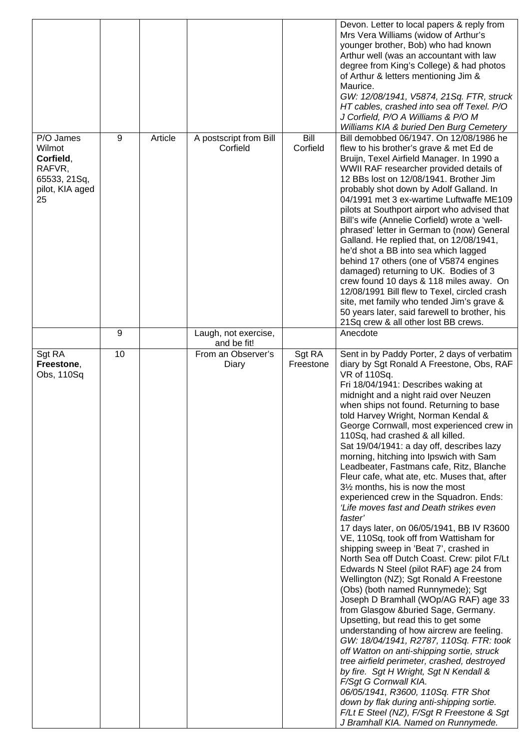|                                                                                     |    |         |                                            |                     | Devon. Letter to local papers & reply from<br>Mrs Vera Williams (widow of Arthur's<br>younger brother, Bob) who had known<br>Arthur well (was an accountant with law<br>degree from King's College) & had photos<br>of Arthur & letters mentioning Jim &<br>Maurice.<br>GW: 12/08/1941, V5874, 21Sq. FTR, struck<br>HT cables, crashed into sea off Texel. P/O<br>J Corfield, P/O A Williams & P/O M<br>Williams KIA & buried Den Burg Cemetery                                                                                                                                                                                                                                                                                                                                                                                                                                                                                                                                                                                                                                                                                                                                                                                                                                                                                                                                                                                                                                                                                                       |
|-------------------------------------------------------------------------------------|----|---------|--------------------------------------------|---------------------|-------------------------------------------------------------------------------------------------------------------------------------------------------------------------------------------------------------------------------------------------------------------------------------------------------------------------------------------------------------------------------------------------------------------------------------------------------------------------------------------------------------------------------------------------------------------------------------------------------------------------------------------------------------------------------------------------------------------------------------------------------------------------------------------------------------------------------------------------------------------------------------------------------------------------------------------------------------------------------------------------------------------------------------------------------------------------------------------------------------------------------------------------------------------------------------------------------------------------------------------------------------------------------------------------------------------------------------------------------------------------------------------------------------------------------------------------------------------------------------------------------------------------------------------------------|
| P/O James<br>Wilmot<br>Corfield,<br>RAFVR,<br>65533, 21Sq,<br>pilot, KIA aged<br>25 | 9  | Article | A postscript from Bill<br>Corfield         | Bill<br>Corfield    | Bill demobbed 06/1947. On 12/08/1986 he<br>flew to his brother's grave & met Ed de<br>Bruijn, Texel Airfield Manager. In 1990 a<br>WWII RAF researcher provided details of<br>12 BBs lost on 12/08/1941. Brother Jim<br>probably shot down by Adolf Galland. In<br>04/1991 met 3 ex-wartime Luftwaffe ME109<br>pilots at Southport airport who advised that<br>Bill's wife (Annelie Corfield) wrote a 'well-<br>phrased' letter in German to (now) General<br>Galland. He replied that, on 12/08/1941,<br>he'd shot a BB into sea which lagged<br>behind 17 others (one of V5874 engines<br>damaged) returning to UK. Bodies of 3<br>crew found 10 days & 118 miles away. On<br>12/08/1991 Bill flew to Texel, circled crash<br>site, met family who tended Jim's grave &<br>50 years later, said farewell to brother, his<br>21Sq crew & all other lost BB crews.                                                                                                                                                                                                                                                                                                                                                                                                                                                                                                                                                                                                                                                                                    |
|                                                                                     | 9  |         | Laugh, not exercise,                       |                     | Anecdote                                                                                                                                                                                                                                                                                                                                                                                                                                                                                                                                                                                                                                                                                                                                                                                                                                                                                                                                                                                                                                                                                                                                                                                                                                                                                                                                                                                                                                                                                                                                              |
| Sgt RA<br>Freestone,<br>Obs, 110Sq                                                  | 10 |         | and be fit!<br>From an Observer's<br>Diary | Sgt RA<br>Freestone | Sent in by Paddy Porter, 2 days of verbatim<br>diary by Sgt Ronald A Freestone, Obs, RAF<br>VR of 110Sq.<br>Fri 18/04/1941: Describes waking at<br>midnight and a night raid over Neuzen<br>when ships not found. Returning to base<br>told Harvey Wright, Norman Kendal &<br>George Cornwall, most experienced crew in<br>110Sq, had crashed & all killed.<br>Sat 19/04/1941: a day off, describes lazy<br>morning, hitching into Ipswich with Sam<br>Leadbeater, Fastmans cafe, Ritz, Blanche<br>Fleur cafe, what ate, etc. Muses that, after<br>3½ months, his is now the most<br>experienced crew in the Squadron. Ends:<br>'Life moves fast and Death strikes even<br>faster'<br>17 days later, on 06/05/1941, BB IV R3600<br>VE, 110Sq, took off from Wattisham for<br>shipping sweep in 'Beat 7', crashed in<br>North Sea off Dutch Coast. Crew: pilot F/Lt<br>Edwards N Steel (pilot RAF) age 24 from<br>Wellington (NZ); Sgt Ronald A Freestone<br>(Obs) (both named Runnymede); Sgt<br>Joseph D Bramhall (WOp/AG RAF) age 33<br>from Glasgow &buried Sage, Germany.<br>Upsetting, but read this to get some<br>understanding of how aircrew are feeling.<br>GW: 18/04/1941, R2787, 110Sq. FTR: took<br>off Watton on anti-shipping sortie, struck<br>tree airfield perimeter, crashed, destroyed<br>by fire. Sgt H Wright, Sgt N Kendall &<br>F/Sgt G Cornwall KIA.<br>06/05/1941, R3600, 110Sq. FTR Shot<br>down by flak during anti-shipping sortie.<br>F/Lt E Steel (NZ), F/Sgt R Freestone & Sgt<br>J Bramhall KIA. Named on Runnymede. |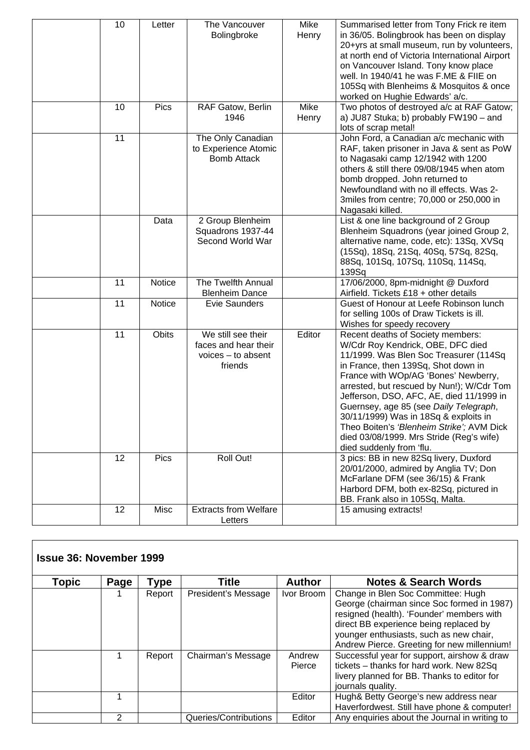| 10 | Letter        | The Vancouver<br>Bolingbroke                                                  | Mike<br>Henry | Summarised letter from Tony Frick re item<br>in 36/05. Bolingbrook has been on display<br>20+yrs at small museum, run by volunteers,<br>at north end of Victoria International Airport<br>on Vancouver Island. Tony know place                                                                                                                                                                                                                                                                   |
|----|---------------|-------------------------------------------------------------------------------|---------------|--------------------------------------------------------------------------------------------------------------------------------------------------------------------------------------------------------------------------------------------------------------------------------------------------------------------------------------------------------------------------------------------------------------------------------------------------------------------------------------------------|
|    |               |                                                                               |               | well. In 1940/41 he was F.ME & FIIE on<br>105Sq with Blenheims & Mosquitos & once<br>worked on Hughie Edwards' a/c.                                                                                                                                                                                                                                                                                                                                                                              |
| 10 | Pics          | RAF Gatow, Berlin<br>1946                                                     | Mike<br>Henry | Two photos of destroyed a/c at RAF Gatow;<br>a) JU87 Stuka; b) probably FW190 - and<br>lots of scrap metal!                                                                                                                                                                                                                                                                                                                                                                                      |
| 11 |               | The Only Canadian<br>to Experience Atomic<br><b>Bomb Attack</b>               |               | John Ford, a Canadian a/c mechanic with<br>RAF, taken prisoner in Java & sent as PoW<br>to Nagasaki camp 12/1942 with 1200<br>others & still there 09/08/1945 when atom<br>bomb dropped. John returned to<br>Newfoundland with no ill effects. Was 2-<br>3miles from centre; 70,000 or 250,000 in<br>Nagasaki killed.                                                                                                                                                                            |
|    | Data          | 2 Group Blenheim<br>Squadrons 1937-44<br>Second World War                     |               | List & one line background of 2 Group<br>Blenheim Squadrons (year joined Group 2,<br>alternative name, code, etc): 13Sq, XVSq<br>(15Sq), 18Sq, 21Sq, 40Sq, 57Sq, 82Sq,<br>88Sq, 101Sq, 107Sq, 110Sq, 114Sq,<br>139Sq                                                                                                                                                                                                                                                                             |
| 11 | <b>Notice</b> | The Twelfth Annual<br><b>Blenheim Dance</b>                                   |               | 17/06/2000, 8pm-midnight @ Duxford<br>Airfield. Tickets £18 + other details                                                                                                                                                                                                                                                                                                                                                                                                                      |
| 11 | Notice        | <b>Evie Saunders</b>                                                          |               | Guest of Honour at Leefe Robinson lunch<br>for selling 100s of Draw Tickets is ill.<br>Wishes for speedy recovery                                                                                                                                                                                                                                                                                                                                                                                |
| 11 | <b>Obits</b>  | We still see their<br>faces and hear their<br>$voices - to absent$<br>friends | Editor        | Recent deaths of Society members:<br>W/Cdr Roy Kendrick, OBE, DFC died<br>11/1999. Was Blen Soc Treasurer (114Sq<br>in France, then 139Sq, Shot down in<br>France with WOp/AG 'Bones' Newberry,<br>arrested, but rescued by Nun!); W/Cdr Tom<br>Jefferson, DSO, AFC, AE, died 11/1999 in<br>Guernsey, age 85 (see Daily Telegraph,<br>30/11/1999) Was in 18Sq & exploits in<br>Theo Boiten's 'Blenheim Strike'; AVM Dick<br>died 03/08/1999. Mrs Stride (Reg's wife)<br>died suddenly from 'flu. |
| 12 | Pics          | Roll Out!                                                                     |               | 3 pics: BB in new 82Sq livery, Duxford<br>20/01/2000, admired by Anglia TV; Don<br>McFarlane DFM (see 36/15) & Frank<br>Harbord DFM, both ex-82Sq, pictured in<br>BB. Frank also in 105Sq, Malta.                                                                                                                                                                                                                                                                                                |
| 12 | Misc          | <b>Extracts from Welfare</b><br>Letters                                       |               | 15 amusing extracts!                                                                                                                                                                                                                                                                                                                                                                                                                                                                             |

|       | <b>Issue 36: November 1999</b> |        |                       |                  |                                                                                                                                                                                                                                                                   |  |  |  |  |  |  |
|-------|--------------------------------|--------|-----------------------|------------------|-------------------------------------------------------------------------------------------------------------------------------------------------------------------------------------------------------------------------------------------------------------------|--|--|--|--|--|--|
| Topic | Page                           | Type   | Title                 | <b>Author</b>    | <b>Notes &amp; Search Words</b>                                                                                                                                                                                                                                   |  |  |  |  |  |  |
|       |                                | Report | President's Message   | Ivor Broom       | Change in Blen Soc Committee: Hugh<br>George (chairman since Soc formed in 1987)<br>resigned (health). 'Founder' members with<br>direct BB experience being replaced by<br>younger enthusiasts, such as new chair,<br>Andrew Pierce. Greeting for new millennium! |  |  |  |  |  |  |
|       |                                | Report | Chairman's Message    | Andrew<br>Pierce | Successful year for support, airshow & draw<br>tickets - thanks for hard work. New 82Sq<br>livery planned for BB. Thanks to editor for<br>journals quality.                                                                                                       |  |  |  |  |  |  |
|       |                                |        |                       | Editor           | Hugh& Betty George's new address near<br>Haverfordwest. Still have phone & computer!                                                                                                                                                                              |  |  |  |  |  |  |
|       | 2                              |        | Queries/Contributions | Editor           | Any enquiries about the Journal in writing to                                                                                                                                                                                                                     |  |  |  |  |  |  |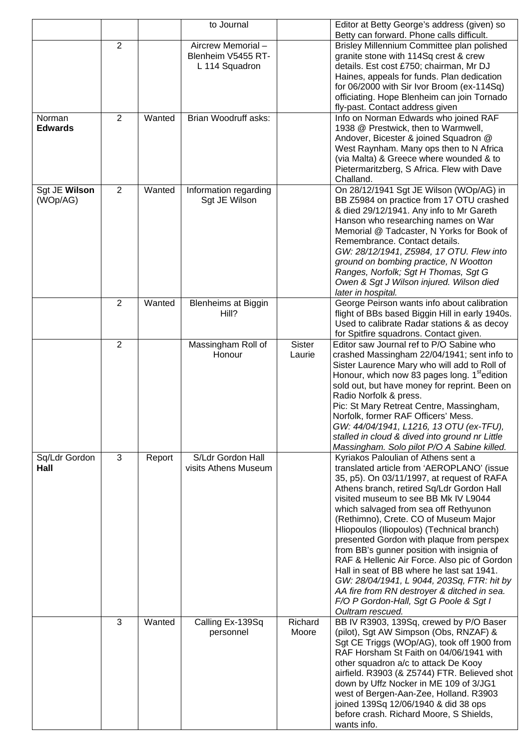|                |                |        | to Journal                          |               | Editor at Betty George's address (given) so                                                              |
|----------------|----------------|--------|-------------------------------------|---------------|----------------------------------------------------------------------------------------------------------|
|                | 2              |        | Aircrew Memorial-                   |               | Betty can forward. Phone calls difficult.<br>Brisley Millennium Committee plan polished                  |
|                |                |        | Blenheim V5455 RT-                  |               | granite stone with 114Sq crest & crew                                                                    |
|                |                |        | L 114 Squadron                      |               | details. Est cost £750; chairman, Mr DJ                                                                  |
|                |                |        |                                     |               | Haines, appeals for funds. Plan dedication                                                               |
|                |                |        |                                     |               | for 06/2000 with Sir Ivor Broom (ex-114Sq)                                                               |
|                |                |        |                                     |               | officiating. Hope Blenheim can join Tornado<br>fly-past. Contact address given                           |
| Norman         | $\overline{2}$ | Wanted | Brian Woodruff asks:                |               | Info on Norman Edwards who joined RAF                                                                    |
| <b>Edwards</b> |                |        |                                     |               | 1938 @ Prestwick, then to Warmwell,                                                                      |
|                |                |        |                                     |               | Andover, Bicester & joined Squadron @                                                                    |
|                |                |        |                                     |               | West Raynham. Many ops then to N Africa                                                                  |
|                |                |        |                                     |               | (via Malta) & Greece where wounded & to                                                                  |
|                |                |        |                                     |               | Pietermaritzberg, S Africa. Flew with Dave<br>Challand.                                                  |
| Sgt JE Wilson  | 2              | Wanted | Information regarding               |               | On 28/12/1941 Sgt JE Wilson (WOp/AG) in                                                                  |
| (WOp/AG)       |                |        | Sgt JE Wilson                       |               | BB Z5984 on practice from 17 OTU crashed                                                                 |
|                |                |        |                                     |               | & died 29/12/1941. Any info to Mr Gareth                                                                 |
|                |                |        |                                     |               | Hanson who researching names on War                                                                      |
|                |                |        |                                     |               | Memorial @ Tadcaster, N Yorks for Book of<br>Remembrance. Contact details.                               |
|                |                |        |                                     |               | GW: 28/12/1941, Z5984, 17 OTU. Flew into                                                                 |
|                |                |        |                                     |               | ground on bombing practice, N Wootton                                                                    |
|                |                |        |                                     |               | Ranges, Norfolk; Sgt H Thomas, Sgt G                                                                     |
|                |                |        |                                     |               | Owen & Sgt J Wilson injured. Wilson died                                                                 |
|                | $\overline{2}$ | Wanted |                                     |               | later in hospital.<br>George Peirson wants info about calibration                                        |
|                |                |        | <b>Blenheims at Biggin</b><br>Hill? |               | flight of BBs based Biggin Hill in early 1940s.                                                          |
|                |                |        |                                     |               | Used to calibrate Radar stations & as decoy                                                              |
|                |                |        |                                     |               | for Spitfire squadrons. Contact given.                                                                   |
|                | $\overline{2}$ |        | Massingham Roll of                  | <b>Sister</b> | Editor saw Journal ref to P/O Sabine who                                                                 |
|                |                |        | Honour                              | Laurie        | crashed Massingham 22/04/1941; sent info to                                                              |
|                |                |        |                                     |               | Sister Laurence Mary who will add to Roll of<br>Honour, which now 83 pages long. 1 <sup>st</sup> edition |
|                |                |        |                                     |               | sold out, but have money for reprint. Been on                                                            |
|                |                |        |                                     |               | Radio Norfolk & press.                                                                                   |
|                |                |        |                                     |               | Pic: St Mary Retreat Centre, Massingham,                                                                 |
|                |                |        |                                     |               | Norfolk, former RAF Officers' Mess.                                                                      |
|                |                |        |                                     |               | GW: 44/04/1941, L1216, 13 OTU (ex-TFU),<br>stalled in cloud & dived into ground nr Little                |
|                |                |        |                                     |               | Massingham. Solo pilot P/O A Sabine killed.                                                              |
| Sq/Ldr Gordon  | 3              | Report | S/Ldr Gordon Hall                   |               | Kyriakos Paloulian of Athens sent a                                                                      |
| Hall           |                |        | visits Athens Museum                |               | translated article from 'AEROPLANO' (issue                                                               |
|                |                |        |                                     |               | 35, p5). On 03/11/1997, at request of RAFA                                                               |
|                |                |        |                                     |               | Athens branch, retired Sq/Ldr Gordon Hall<br>visited museum to see BB Mk IV L9044                        |
|                |                |        |                                     |               | which salvaged from sea off Rethyunon                                                                    |
|                |                |        |                                     |               | (Rethimno), Crete. CO of Museum Major                                                                    |
|                |                |        |                                     |               | Hliopoulos (Iliopoulos) (Technical branch)                                                               |
|                |                |        |                                     |               | presented Gordon with plaque from perspex                                                                |
|                |                |        |                                     |               | from BB's gunner position with insignia of                                                               |
|                |                |        |                                     |               | RAF & Hellenic Air Force. Also pic of Gordon<br>Hall in seat of BB where he last sat 1941.               |
|                |                |        |                                     |               | GW: 28/04/1941, L 9044, 203Sq, FTR: hit by                                                               |
|                |                |        |                                     |               | AA fire from RN destroyer & ditched in sea.                                                              |
|                |                |        |                                     |               | F/O P Gordon-Hall, Sgt G Poole & Sgt I                                                                   |
|                | 3              | Wanted |                                     | Richard       | Oultram rescued.                                                                                         |
|                |                |        | Calling Ex-139Sq<br>personnel       | Moore         | BB IV R3903, 139Sq, crewed by P/O Baser<br>(pilot), Sgt AW Simpson (Obs, RNZAF) &                        |
|                |                |        |                                     |               | Sgt CE Triggs (WOp/AG), took off 1900 from                                                               |
|                |                |        |                                     |               | RAF Horsham St Faith on 04/06/1941 with                                                                  |
|                |                |        |                                     |               | other squadron a/c to attack De Kooy                                                                     |
|                |                |        |                                     |               | airfield. R3903 (& Z5744) FTR. Believed shot<br>down by Uffz Nocker in ME 109 of 3/JG1                   |
|                |                |        |                                     |               | west of Bergen-Aan-Zee, Holland. R3903                                                                   |
|                |                |        |                                     |               | joined 139Sq 12/06/1940 & did 38 ops                                                                     |
|                |                |        |                                     |               | before crash. Richard Moore, S Shields,                                                                  |
|                |                |        |                                     |               | wants info.                                                                                              |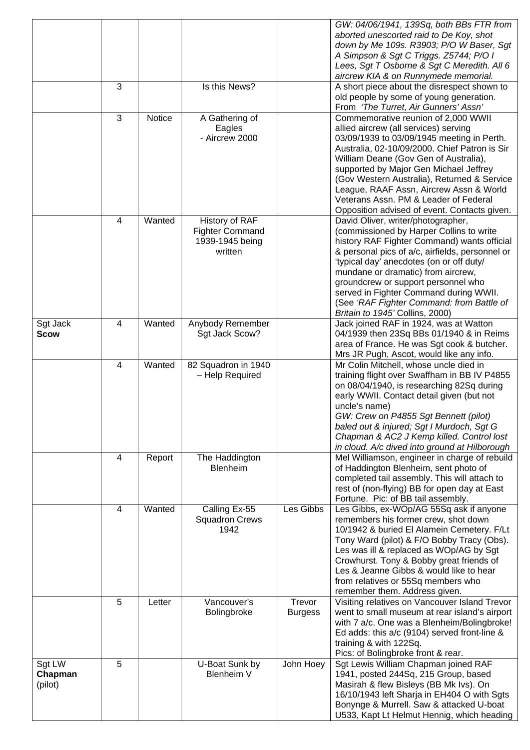|                              | 3 |        | Is this News?                                                          |                          | GW: 04/06/1941, 139Sq, both BBs FTR from<br>aborted unescorted raid to De Koy, shot<br>down by Me 109s. R3903; P/O W Baser, Sgt<br>A Simpson & Sgt C Triggs. Z5744; P/O I<br>Lees, Sgt T Osborne & Sgt C Meredith. All 6<br>aircrew KIA & on Runnymede memorial.<br>A short piece about the disrespect shown to<br>old people by some of young generation.                                                                                                                                |
|------------------------------|---|--------|------------------------------------------------------------------------|--------------------------|-------------------------------------------------------------------------------------------------------------------------------------------------------------------------------------------------------------------------------------------------------------------------------------------------------------------------------------------------------------------------------------------------------------------------------------------------------------------------------------------|
|                              | 3 | Notice | A Gathering of<br>Eagles<br>- Aircrew 2000                             |                          | From 'The Turret, Air Gunners' Assn'<br>Commemorative reunion of 2,000 WWII<br>allied aircrew (all services) serving<br>03/09/1939 to 03/09/1945 meeting in Perth.<br>Australia, 02-10/09/2000. Chief Patron is Sir<br>William Deane (Gov Gen of Australia),<br>supported by Major Gen Michael Jeffrey<br>(Gov Western Australia), Returned & Service<br>League, RAAF Assn, Aircrew Assn & World<br>Veterans Assn. PM & Leader of Federal<br>Opposition advised of event. Contacts given. |
|                              | 4 | Wanted | History of RAF<br><b>Fighter Command</b><br>1939-1945 being<br>written |                          | David Oliver, writer/photographer,<br>(commissioned by Harper Collins to write<br>history RAF Fighter Command) wants official<br>& personal pics of a/c, airfields, personnel or<br>'typical day' anecdotes (on or off duty/<br>mundane or dramatic) from aircrew,<br>groundcrew or support personnel who<br>served in Fighter Command during WWII.<br>(See 'RAF Fighter Command: from Battle of<br>Britain to 1945' Collins, 2000)                                                       |
| Sgt Jack<br><b>Scow</b>      | 4 | Wanted | Anybody Remember<br>Sgt Jack Scow?                                     |                          | Jack joined RAF in 1924, was at Watton<br>04/1939 then 23Sq BBs 01/1940 & in Reims<br>area of France. He was Sgt cook & butcher.<br>Mrs JR Pugh, Ascot, would like any info.                                                                                                                                                                                                                                                                                                              |
|                              | 4 | Wanted | 82 Squadron in 1940<br>- Help Required                                 |                          | Mr Colin Mitchell, whose uncle died in<br>training flight over Swaffham in BB IV P4855<br>on 08/04/1940, is researching 82Sq during<br>early WWII. Contact detail given (but not<br>uncle's name)<br>GW: Crew on P4855 Sgt Bennett (pilot)<br>baled out & injured; Sgt I Murdoch, Sgt G<br>Chapman & AC2 J Kemp killed. Control lost<br>in cloud. A/c dived into ground at Hilborough                                                                                                     |
|                              | 4 | Report | The Haddington<br><b>Blenheim</b>                                      |                          | Mel Williamson, engineer in charge of rebuild<br>of Haddington Blenheim, sent photo of<br>completed tail assembly. This will attach to<br>rest of (non-flying) BB for open day at East<br>Fortune. Pic: of BB tail assembly.                                                                                                                                                                                                                                                              |
|                              | 4 | Wanted | Calling Ex-55<br><b>Squadron Crews</b><br>1942                         | Les Gibbs                | Les Gibbs, ex-WOp/AG 55Sq ask if anyone<br>remembers his former crew, shot down<br>10/1942 & buried El Alamein Cemetery. F/Lt<br>Tony Ward (pilot) & F/O Bobby Tracy (Obs).<br>Les was ill & replaced as WOp/AG by Sgt<br>Crowhurst. Tony & Bobby great friends of<br>Les & Jeanne Gibbs & would like to hear<br>from relatives or 55Sq members who<br>remember them. Address given.                                                                                                      |
|                              | 5 | Letter | Vancouver's<br>Bolingbroke                                             | Trevor<br><b>Burgess</b> | Visiting relatives on Vancouver Island Trevor<br>went to small museum at rear island's airport<br>with 7 a/c. One was a Blenheim/Bolingbroke!<br>Ed adds: this a/c (9104) served front-line &<br>training & with 122Sq.<br>Pics: of Bolingbroke front & rear.                                                                                                                                                                                                                             |
| Sgt LW<br>Chapman<br>(pilot) | 5 |        | U-Boat Sunk by<br><b>Blenheim V</b>                                    | John Hoey                | Sgt Lewis William Chapman joined RAF<br>1941, posted 244Sq, 215 Group, based<br>Masirah & flew Bisleys (BB Mk Ivs). On<br>16/10/1943 left Sharja in EH404 O with Sgts<br>Bonynge & Murrell. Saw & attacked U-boat<br>U533, Kapt Lt Helmut Hennig, which heading                                                                                                                                                                                                                           |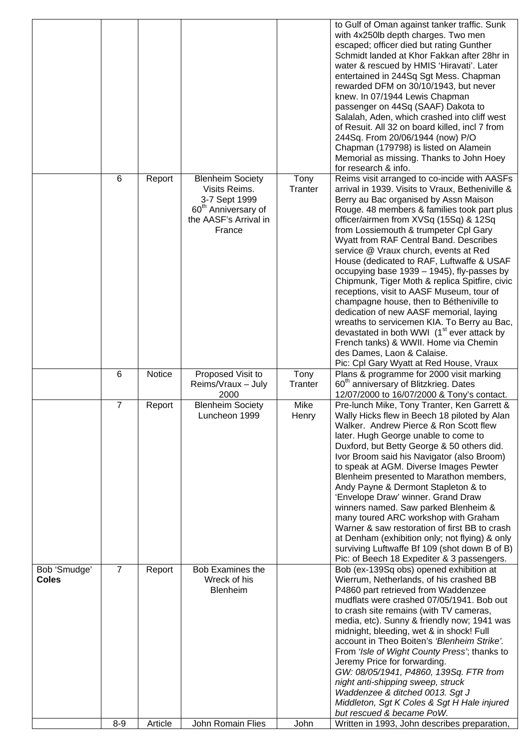|                              |                |         |                                                                                                                                 |                 | to Gulf of Oman against tanker traffic. Sunk<br>with 4x250lb depth charges. Two men<br>escaped; officer died but rating Gunther<br>Schmidt landed at Khor Fakkan after 28hr in<br>water & rescued by HMIS 'Hiravati'. Later<br>entertained in 244Sq Sgt Mess. Chapman<br>rewarded DFM on 30/10/1943, but never<br>knew. In 07/1944 Lewis Chapman<br>passenger on 44Sq (SAAF) Dakota to<br>Salalah, Aden, which crashed into cliff west<br>of Resuit. All 32 on board killed, incl 7 from<br>244Sq. From 20/06/1944 (now) P/O<br>Chapman (179798) is listed on Alamein<br>Memorial as missing. Thanks to John Hoey<br>for research & info.                                                                                                                                                                                                                                  |
|------------------------------|----------------|---------|---------------------------------------------------------------------------------------------------------------------------------|-----------------|----------------------------------------------------------------------------------------------------------------------------------------------------------------------------------------------------------------------------------------------------------------------------------------------------------------------------------------------------------------------------------------------------------------------------------------------------------------------------------------------------------------------------------------------------------------------------------------------------------------------------------------------------------------------------------------------------------------------------------------------------------------------------------------------------------------------------------------------------------------------------|
|                              | 6              | Report  | <b>Blenheim Society</b><br>Visits Reims.<br>3-7 Sept 1999<br>60 <sup>th</sup> Anniversary of<br>the AASF's Arrival in<br>France | Tony<br>Tranter | Reims visit arranged to co-incide with AASFs<br>arrival in 1939. Visits to Vraux, Betheniville &<br>Berry au Bac organised by Assn Maison<br>Rouge. 48 members & families took part plus<br>officer/airmen from XVSq (15Sq) & 12Sq<br>from Lossiemouth & trumpeter Cpl Gary<br>Wyatt from RAF Central Band. Describes<br>service @ Vraux church, events at Red<br>House (dedicated to RAF, Luftwaffe & USAF<br>occupying base 1939 - 1945), fly-passes by<br>Chipmunk, Tiger Moth & replica Spitfire, civic<br>receptions, visit to AASF Museum, tour of<br>champagne house, then to Bétheniville to<br>dedication of new AASF memorial, laying<br>wreaths to servicemen KIA. To Berry au Bac,<br>devastated in both WWI (1 <sup>st</sup> ever attack by<br>French tanks) & WWII. Home via Chemin<br>des Dames, Laon & Calaise.<br>Pic: Cpl Gary Wyatt at Red House, Vraux |
|                              | 6              | Notice  | Proposed Visit to<br>Reims/Vraux - July<br>2000                                                                                 | Tony<br>Tranter | Plans & programme for 2000 visit marking<br>60 <sup>th</sup> anniversary of Blitzkrieg. Dates<br>12/07/2000 to 16/07/2000 & Tony's contact.                                                                                                                                                                                                                                                                                                                                                                                                                                                                                                                                                                                                                                                                                                                                |
|                              | 7              | Report  | <b>Blenheim Society</b><br>Luncheon 1999                                                                                        | Mike<br>Henry   | Pre-lunch Mike, Tony Tranter, Ken Garrett &<br>Wally Hicks flew in Beech 18 piloted by Alan<br>Walker. Andrew Pierce & Ron Scott flew<br>later. Hugh George unable to come to<br>Duxford, but Betty George & 50 others did.<br>Ivor Broom said his Navigator (also Broom)<br>to speak at AGM. Diverse Images Pewter<br>Blenheim presented to Marathon members,<br>Andy Payne & Dermont Stapleton & to<br>'Envelope Draw' winner. Grand Draw<br>winners named. Saw parked Blenheim &<br>many toured ARC workshop with Graham<br>Warner & saw restoration of first BB to crash<br>at Denham (exhibition only; not flying) & only<br>surviving Luftwaffe Bf 109 (shot down B of B)<br>Pic: of Beech 18 Expediter & 3 passengers.                                                                                                                                              |
| Bob 'Smudge'<br><b>Coles</b> | $\overline{7}$ | Report  | <b>Bob Examines the</b><br>Wreck of his<br>Blenheim                                                                             |                 | Bob (ex-139Sq obs) opened exhibition at<br>Wierrum, Netherlands, of his crashed BB<br>P4860 part retrieved from Waddenzee<br>mudflats were crashed 07/05/1941. Bob out<br>to crash site remains (with TV cameras,<br>media, etc). Sunny & friendly now; 1941 was<br>midnight, bleeding, wet & in shock! Full<br>account in Theo Boiten's 'Blenheim Strike'.<br>From 'Isle of Wight County Press'; thanks to<br>Jeremy Price for forwarding.<br>GW: 08/05/1941, P4860, 139Sq. FTR from<br>night anti-shipping sweep, struck<br>Waddenzee & ditched 0013. Sgt J<br>Middleton, Sgt K Coles & Sgt H Hale injured<br>but rescued & became PoW.                                                                                                                                                                                                                                  |
|                              | $8 - 9$        | Article | <b>John Romain Flies</b>                                                                                                        | John            | Written in 1993, John describes preparation,                                                                                                                                                                                                                                                                                                                                                                                                                                                                                                                                                                                                                                                                                                                                                                                                                               |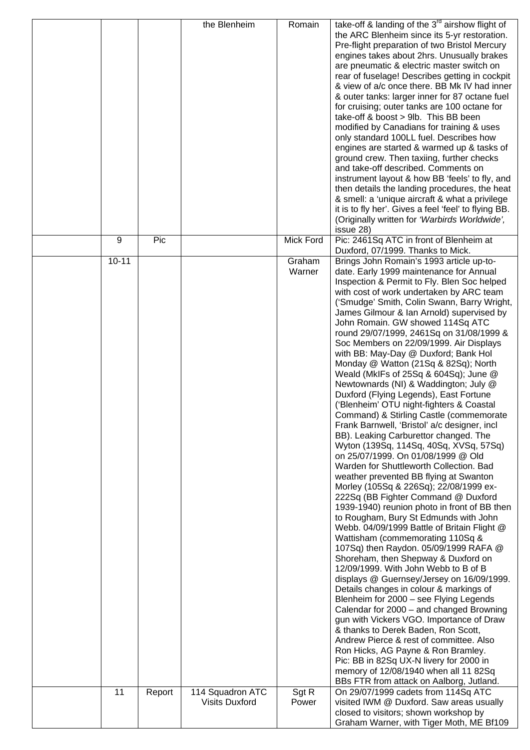|           |        | the Blenheim                              | Romain           | take-off & landing of the $3^{rd}$ airshow flight of<br>the ARC Blenheim since its 5-yr restoration.<br>Pre-flight preparation of two Bristol Mercury<br>engines takes about 2hrs. Unusually brakes<br>are pneumatic & electric master switch on<br>rear of fuselage! Describes getting in cockpit<br>& view of a/c once there. BB Mk IV had inner<br>& outer tanks: larger inner for 87 octane fuel<br>for cruising; outer tanks are 100 octane for<br>take-off & boost > 9lb. This BB been<br>modified by Canadians for training & uses<br>only standard 100LL fuel. Describes how<br>engines are started & warmed up & tasks of<br>ground crew. Then taxiing, further checks<br>and take-off described. Comments on<br>instrument layout & how BB 'feels' to fly, and<br>then details the landing procedures, the heat<br>& smell: a 'unique aircraft & what a privilege<br>it is to fly her'. Gives a feel 'feel' to flying BB.<br>(Originally written for 'Warbirds Worldwide',                                                                                                                                                                                                                                                                                                                                                                                                                                                                                                                                                                                                                                                                                                                                                                                                                                                   |
|-----------|--------|-------------------------------------------|------------------|----------------------------------------------------------------------------------------------------------------------------------------------------------------------------------------------------------------------------------------------------------------------------------------------------------------------------------------------------------------------------------------------------------------------------------------------------------------------------------------------------------------------------------------------------------------------------------------------------------------------------------------------------------------------------------------------------------------------------------------------------------------------------------------------------------------------------------------------------------------------------------------------------------------------------------------------------------------------------------------------------------------------------------------------------------------------------------------------------------------------------------------------------------------------------------------------------------------------------------------------------------------------------------------------------------------------------------------------------------------------------------------------------------------------------------------------------------------------------------------------------------------------------------------------------------------------------------------------------------------------------------------------------------------------------------------------------------------------------------------------------------------------------------------------------------------------------------------|
| 9         | Pic    |                                           | <b>Mick Ford</b> | issue 28)<br>Pic: 2461Sq ATC in front of Blenheim at                                                                                                                                                                                                                                                                                                                                                                                                                                                                                                                                                                                                                                                                                                                                                                                                                                                                                                                                                                                                                                                                                                                                                                                                                                                                                                                                                                                                                                                                                                                                                                                                                                                                                                                                                                                   |
| $10 - 11$ |        |                                           | Graham<br>Warner | Duxford, 07/1999. Thanks to Mick.<br>Brings John Romain's 1993 article up-to-<br>date. Early 1999 maintenance for Annual<br>Inspection & Permit to Fly. Blen Soc helped<br>with cost of work undertaken by ARC team<br>('Smudge' Smith, Colin Swann, Barry Wright,<br>James Gilmour & Ian Arnold) supervised by<br>John Romain. GW showed 114Sq ATC<br>round 29/07/1999, 2461Sq on 31/08/1999 &<br>Soc Members on 22/09/1999. Air Displays<br>with BB: May-Day @ Duxford; Bank Hol<br>Monday @ Watton (21Sq & 82Sq); North<br>Weald (MkIFs of 25Sq & 604Sq); June @<br>Newtownards (NI) & Waddington; July @<br>Duxford (Flying Legends), East Fortune<br>('Blenheim' OTU night-fighters & Coastal<br>Command) & Stirling Castle (commemorate<br>Frank Barnwell, 'Bristol' a/c designer, incl<br>BB). Leaking Carburettor changed. The<br>Wyton (139Sq, 114Sq, 40Sq, XVSq, 57Sq)<br>on 25/07/1999. On 01/08/1999 @ Old<br>Warden for Shuttleworth Collection. Bad<br>weather prevented BB flying at Swanton<br>Morley (105Sq & 226Sq); 22/08/1999 ex-<br>222Sq (BB Fighter Command @ Duxford<br>1939-1940) reunion photo in front of BB then<br>to Rougham, Bury St Edmunds with John<br>Webb. 04/09/1999 Battle of Britain Flight @<br>Wattisham (commemorating 110Sq &<br>107Sq) then Raydon. 05/09/1999 RAFA @<br>Shoreham, then Shepway & Duxford on<br>12/09/1999. With John Webb to B of B<br>displays @ Guernsey/Jersey on 16/09/1999.<br>Details changes in colour & markings of<br>Blenheim for 2000 - see Flying Legends<br>Calendar for 2000 - and changed Browning<br>gun with Vickers VGO. Importance of Draw<br>& thanks to Derek Baden, Ron Scott,<br>Andrew Pierce & rest of committee. Also<br>Ron Hicks, AG Payne & Ron Bramley.<br>Pic: BB in 82Sq UX-N livery for 2000 in<br>memory of 12/08/1940 when all 11 82Sq |
| 11        | Report | 114 Squadron ATC<br><b>Visits Duxford</b> | Sgt R<br>Power   | BBs FTR from attack on Aalborg, Jutland.<br>On 29/07/1999 cadets from 114Sq ATC<br>visited IWM @ Duxford. Saw areas usually                                                                                                                                                                                                                                                                                                                                                                                                                                                                                                                                                                                                                                                                                                                                                                                                                                                                                                                                                                                                                                                                                                                                                                                                                                                                                                                                                                                                                                                                                                                                                                                                                                                                                                            |
|           |        |                                           |                  | closed to visitors; shown workshop by<br>Graham Warner, with Tiger Moth, ME Bf109                                                                                                                                                                                                                                                                                                                                                                                                                                                                                                                                                                                                                                                                                                                                                                                                                                                                                                                                                                                                                                                                                                                                                                                                                                                                                                                                                                                                                                                                                                                                                                                                                                                                                                                                                      |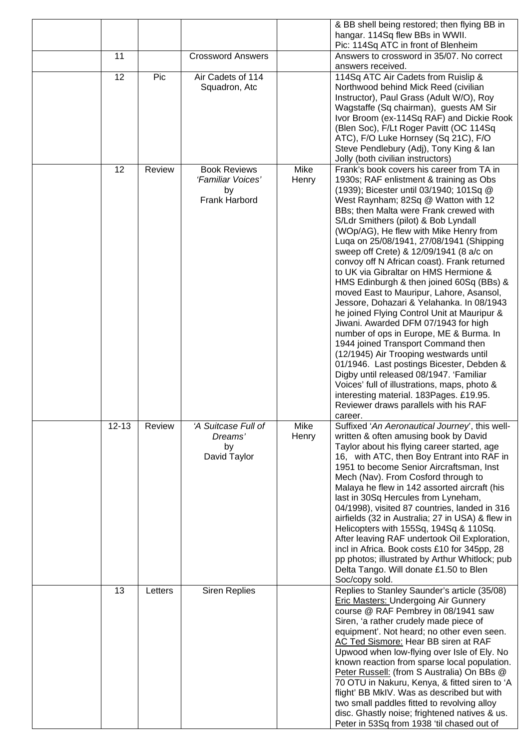|           |         |                                                                 |               | & BB shell being restored; then flying BB in<br>hangar. 114Sq flew BBs in WWII.                                                                                                                                                                                                                                                                                                                                                                                                                                                                                                                                                                                                                                                                                                                                                                                                                                                                                                                                             |
|-----------|---------|-----------------------------------------------------------------|---------------|-----------------------------------------------------------------------------------------------------------------------------------------------------------------------------------------------------------------------------------------------------------------------------------------------------------------------------------------------------------------------------------------------------------------------------------------------------------------------------------------------------------------------------------------------------------------------------------------------------------------------------------------------------------------------------------------------------------------------------------------------------------------------------------------------------------------------------------------------------------------------------------------------------------------------------------------------------------------------------------------------------------------------------|
| 11        |         | <b>Crossword Answers</b>                                        |               | Pic: 114Sq ATC in front of Blenheim<br>Answers to crossword in 35/07. No correct                                                                                                                                                                                                                                                                                                                                                                                                                                                                                                                                                                                                                                                                                                                                                                                                                                                                                                                                            |
|           |         |                                                                 |               | answers received.                                                                                                                                                                                                                                                                                                                                                                                                                                                                                                                                                                                                                                                                                                                                                                                                                                                                                                                                                                                                           |
| 12        | Pic     | Air Cadets of 114<br>Squadron, Atc                              |               | 114Sq ATC Air Cadets from Ruislip &<br>Northwood behind Mick Reed (civilian<br>Instructor), Paul Grass (Adult W/O), Roy                                                                                                                                                                                                                                                                                                                                                                                                                                                                                                                                                                                                                                                                                                                                                                                                                                                                                                     |
|           |         |                                                                 |               | Wagstaffe (Sq chairman), guests AM Sir<br>Ivor Broom (ex-114Sq RAF) and Dickie Rook                                                                                                                                                                                                                                                                                                                                                                                                                                                                                                                                                                                                                                                                                                                                                                                                                                                                                                                                         |
|           |         |                                                                 |               | (Blen Soc), F/Lt Roger Pavitt (OC 114Sq<br>ATC), F/O Luke Hornsey (Sq 21C), F/O<br>Steve Pendlebury (Adj), Tony King & Ian                                                                                                                                                                                                                                                                                                                                                                                                                                                                                                                                                                                                                                                                                                                                                                                                                                                                                                  |
|           |         |                                                                 |               | Jolly (both civilian instructors)                                                                                                                                                                                                                                                                                                                                                                                                                                                                                                                                                                                                                                                                                                                                                                                                                                                                                                                                                                                           |
| 12        | Review  | <b>Book Reviews</b><br>'Familiar Voices'<br>by<br>Frank Harbord | Mike<br>Henry | Frank's book covers his career from TA in<br>1930s; RAF enlistment & training as Obs<br>(1939); Bicester until 03/1940; 101Sq @<br>West Raynham; 82Sq @ Watton with 12<br>BBs; then Malta were Frank crewed with<br>S/Ldr Smithers (pilot) & Bob Lyndall<br>(WOp/AG), He flew with Mike Henry from<br>Luqa on 25/08/1941, 27/08/1941 (Shipping<br>sweep off Crete) & 12/09/1941 (8 a/c on<br>convoy off N African coast). Frank returned<br>to UK via Gibraltar on HMS Hermione &<br>HMS Edinburgh & then joined 60Sq (BBs) &<br>moved East to Mauripur, Lahore, Asansol,<br>Jessore, Dohazari & Yelahanka. In 08/1943<br>he joined Flying Control Unit at Mauripur &<br>Jiwani. Awarded DFM 07/1943 for high<br>number of ops in Europe, ME & Burma. In<br>1944 joined Transport Command then<br>(12/1945) Air Trooping westwards until<br>01/1946. Last postings Bicester, Debden &<br>Digby until released 08/1947. 'Familiar<br>Voices' full of illustrations, maps, photo &<br>interesting material. 183Pages. £19.95. |
| $12 - 13$ | Review  | 'A Suitcase Full of                                             | Mike          | Reviewer draws parallels with his RAF<br>career.<br>Suffixed 'An Aeronautical Journey', this well-                                                                                                                                                                                                                                                                                                                                                                                                                                                                                                                                                                                                                                                                                                                                                                                                                                                                                                                          |
|           |         | Dreams'<br>by<br>David Taylor                                   | Henry         | written & often amusing book by David<br>Taylor about his flying career started, age<br>16, with ATC, then Boy Entrant into RAF in<br>1951 to become Senior Aircraftsman, Inst<br>Mech (Nav). From Cosford through to<br>Malaya he flew in 142 assorted aircraft (his<br>last in 30Sq Hercules from Lyneham,<br>04/1998), visited 87 countries, landed in 316<br>airfields (32 in Australia; 27 in USA) & flew in<br>Helicopters with 155Sq, 194Sq & 110Sq.<br>After leaving RAF undertook Oil Exploration,<br>incl in Africa. Book costs £10 for 345pp, 28<br>pp photos; illustrated by Arthur Whitlock; pub<br>Delta Tango. Will donate £1.50 to Blen<br>Soc/copy sold.                                                                                                                                                                                                                                                                                                                                                   |
| 13        | Letters | <b>Siren Replies</b>                                            |               | Replies to Stanley Saunder's article (35/08)<br><b>Eric Masters: Undergoing Air Gunnery</b><br>course @ RAF Pembrey in 08/1941 saw<br>Siren, 'a rather crudely made piece of<br>equipment'. Not heard; no other even seen.<br>AC Ted Sismore: Hear BB siren at RAF<br>Upwood when low-flying over Isle of Ely. No<br>known reaction from sparse local population.<br>Peter Russell: (from S Australia) On BBs @<br>70 OTU in Nakuru, Kenya, & fitted siren to 'A<br>flight' BB MkIV. Was as described but with<br>two small paddles fitted to revolving alloy<br>disc. Ghastly noise; frightened natives & us.<br>Peter in 53Sq from 1938 'til chased out of                                                                                                                                                                                                                                                                                                                                                                |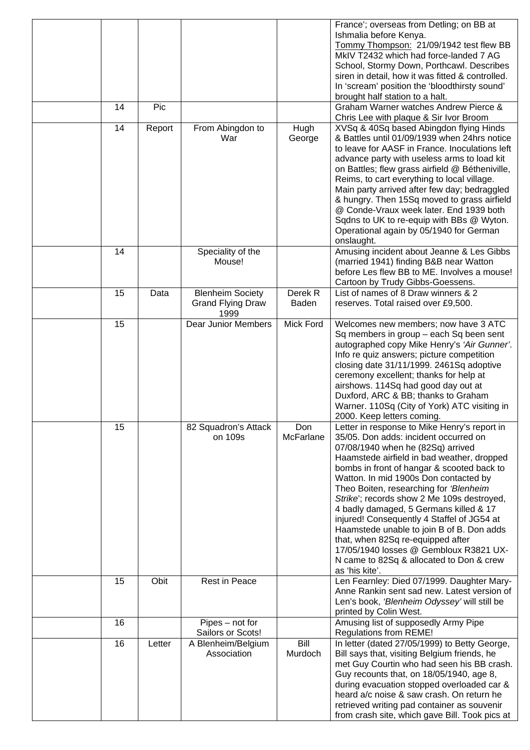| 14 | Pic    |                                                             |                  | France'; overseas from Detling; on BB at<br>Ishmalia before Kenya.<br>Tommy Thompson: 21/09/1942 test flew BB<br>MkIV T2432 which had force-landed 7 AG<br>School, Stormy Down, Porthcawl. Describes<br>siren in detail, how it was fitted & controlled.<br>In 'scream' position the 'bloodthirsty sound'<br>brought half station to a halt.<br>Graham Warner watches Andrew Pierce &                                                                                                                                                                                                                                                     |
|----|--------|-------------------------------------------------------------|------------------|-------------------------------------------------------------------------------------------------------------------------------------------------------------------------------------------------------------------------------------------------------------------------------------------------------------------------------------------------------------------------------------------------------------------------------------------------------------------------------------------------------------------------------------------------------------------------------------------------------------------------------------------|
| 14 | Report | From Abingdon to                                            | Hugh             | Chris Lee with plaque & Sir Ivor Broom<br>XVSq & 40Sq based Abingdon flying Hinds                                                                                                                                                                                                                                                                                                                                                                                                                                                                                                                                                         |
|    |        | War                                                         | George           | & Battles until 01/09/1939 when 24hrs notice<br>to leave for AASF in France. Inoculations left<br>advance party with useless arms to load kit<br>on Battles; flew grass airfield @ Bétheniville,<br>Reims, to cart everything to local village.<br>Main party arrived after few day; bedraggled<br>& hungry. Then 15Sq moved to grass airfield<br>@ Conde-Vraux week later. End 1939 both<br>Sqdns to UK to re-equip with BBs @ Wyton.<br>Operational again by 05/1940 for German<br>onslaught.                                                                                                                                           |
| 14 |        | Speciality of the<br>Mouse!                                 |                  | Amusing incident about Jeanne & Les Gibbs<br>(married 1941) finding B&B near Watton<br>before Les flew BB to ME. Involves a mouse!<br>Cartoon by Trudy Gibbs-Goessens.                                                                                                                                                                                                                                                                                                                                                                                                                                                                    |
| 15 | Data   | <b>Blenheim Society</b><br><b>Grand Flying Draw</b><br>1999 | Derek R<br>Baden | List of names of 8 Draw winners & 2<br>reserves. Total raised over £9,500.                                                                                                                                                                                                                                                                                                                                                                                                                                                                                                                                                                |
| 15 |        | <b>Dear Junior Members</b>                                  | Mick Ford        | Welcomes new members; now have 3 ATC<br>Sq members in group - each Sq been sent<br>autographed copy Mike Henry's 'Air Gunner'.<br>Info re quiz answers; picture competition<br>closing date 31/11/1999. 2461Sq adoptive<br>ceremony excellent; thanks for help at<br>airshows. 114Sq had good day out at<br>Duxford, ARC & BB; thanks to Graham<br>Warner. 110Sq (City of York) ATC visiting in<br>2000. Keep letters coming.                                                                                                                                                                                                             |
| 15 |        | 82 Squadron's Attack<br>on 109s                             | Don<br>McFarlane | Letter in response to Mike Henry's report in<br>35/05. Don adds: incident occurred on<br>07/08/1940 when he (82Sq) arrived<br>Haamstede airfield in bad weather, dropped<br>bombs in front of hangar & scooted back to<br>Watton. In mid 1900s Don contacted by<br>Theo Boiten, researching for 'Blenheim<br>Strike'; records show 2 Me 109s destroyed,<br>4 badly damaged, 5 Germans killed & 17<br>injured! Consequently 4 Staffel of JG54 at<br>Haamstede unable to join B of B. Don adds<br>that, when 82Sq re-equipped after<br>17/05/1940 losses @ Gembloux R3821 UX-<br>N came to 82Sq & allocated to Don & crew<br>as 'his kite'. |
| 15 | Obit   | <b>Rest in Peace</b>                                        |                  | Len Fearnley: Died 07/1999. Daughter Mary-<br>Anne Rankin sent sad new. Latest version of<br>Len's book, 'Blenheim Odyssey' will still be<br>printed by Colin West.                                                                                                                                                                                                                                                                                                                                                                                                                                                                       |
| 16 |        | Pipes - not for<br>Sailors or Scots!                        |                  | Amusing list of supposedly Army Pipe<br><b>Regulations from REME!</b>                                                                                                                                                                                                                                                                                                                                                                                                                                                                                                                                                                     |
| 16 | Letter | A Blenheim/Belgium<br>Association                           | Bill<br>Murdoch  | In letter (dated 27/05/1999) to Betty George,<br>Bill says that, visiting Belgium friends, he<br>met Guy Courtin who had seen his BB crash.<br>Guy recounts that, on 18/05/1940, age 8,<br>during evacuation stopped overloaded car &<br>heard a/c noise & saw crash. On return he<br>retrieved writing pad container as souvenir<br>from crash site, which gave Bill. Took pics at                                                                                                                                                                                                                                                       |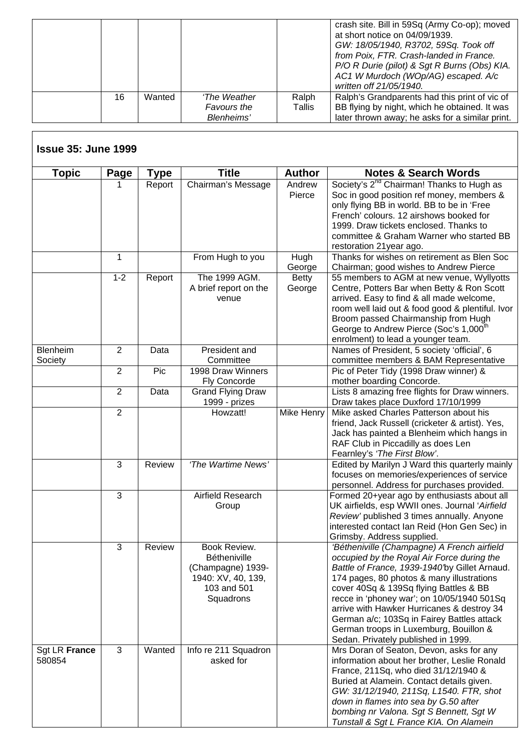|    |        |              |        | crash site. Bill in 59Sq (Army Co-op); moved<br>at short notice on 04/09/1939.<br>GW: 18/05/1940, R3702, 59Sq. Took off<br>from Poix, FTR. Crash-landed in France.<br>P/O R Durie (pilot) & Sgt R Burns (Obs) KIA.<br>AC1 W Murdoch (WOp/AG) escaped. A/c<br>written off 21/05/1940. |
|----|--------|--------------|--------|--------------------------------------------------------------------------------------------------------------------------------------------------------------------------------------------------------------------------------------------------------------------------------------|
| 16 | Wanted | 'The Weather | Ralph  | Ralph's Grandparents had this print of vic of                                                                                                                                                                                                                                        |
|    |        | Favours the  | Tallis | BB flying by night, which he obtained. It was                                                                                                                                                                                                                                        |
|    |        | Blenheims'   |        | later thrown away; he asks for a similar print.                                                                                                                                                                                                                                      |

Г

| <b>Issue 35: June 1999</b> |                |             |                                                                                                            |                        |                                                                                                                                                                                                                                                                                                                                                                                                                                                             |
|----------------------------|----------------|-------------|------------------------------------------------------------------------------------------------------------|------------------------|-------------------------------------------------------------------------------------------------------------------------------------------------------------------------------------------------------------------------------------------------------------------------------------------------------------------------------------------------------------------------------------------------------------------------------------------------------------|
| <b>Topic</b>               | Page           | <b>Type</b> | <b>Title</b>                                                                                               | <b>Author</b>          | <b>Notes &amp; Search Words</b>                                                                                                                                                                                                                                                                                                                                                                                                                             |
|                            | 1              | Report      | Chairman's Message                                                                                         | Andrew<br>Pierce       | Society's 2 <sup>nd</sup> Chairman! Thanks to Hugh as<br>Soc in good position ref money, members &<br>only flying BB in world. BB to be in 'Free<br>French' colours. 12 airshows booked for<br>1999. Draw tickets enclosed. Thanks to<br>committee & Graham Warner who started BB<br>restoration 21year ago.                                                                                                                                                |
|                            | 1              |             | From Hugh to you                                                                                           | Hugh<br>George         | Thanks for wishes on retirement as Blen Soc<br>Chairman; good wishes to Andrew Pierce                                                                                                                                                                                                                                                                                                                                                                       |
|                            | $1 - 2$        | Report      | The 1999 AGM.<br>A brief report on the<br>venue                                                            | <b>Betty</b><br>George | 55 members to AGM at new venue, Wyllyotts<br>Centre, Potters Bar when Betty & Ron Scott<br>arrived. Easy to find & all made welcome,<br>room well laid out & food good & plentiful. Ivor<br>Broom passed Chairmanship from Hugh<br>George to Andrew Pierce (Soc's 1,000 <sup>th</sup><br>enrolment) to lead a younger team.                                                                                                                                 |
| Blenheim<br>Society        | $\overline{2}$ | Data        | President and<br>Committee                                                                                 |                        | Names of President, 5 society 'official', 6<br>committee members & BAM Representative                                                                                                                                                                                                                                                                                                                                                                       |
|                            | $\overline{2}$ | Pic         | 1998 Draw Winners<br><b>Fly Concorde</b>                                                                   |                        | Pic of Peter Tidy (1998 Draw winner) &<br>mother boarding Concorde.                                                                                                                                                                                                                                                                                                                                                                                         |
|                            | $\overline{2}$ | Data        | <b>Grand Flying Draw</b><br>1999 - prizes                                                                  |                        | Lists 8 amazing free flights for Draw winners.<br>Draw takes place Duxford 17/10/1999                                                                                                                                                                                                                                                                                                                                                                       |
|                            | $\overline{2}$ |             | Howzatt!                                                                                                   | Mike Henry             | Mike asked Charles Patterson about his<br>friend, Jack Russell (cricketer & artist). Yes,<br>Jack has painted a Blenheim which hangs in<br>RAF Club in Piccadilly as does Len<br>Fearnley's 'The First Blow'.                                                                                                                                                                                                                                               |
|                            | 3              | Review      | 'The Wartime News'                                                                                         |                        | Edited by Marilyn J Ward this quarterly mainly<br>focuses on memories/experiences of service<br>personnel. Address for purchases provided.                                                                                                                                                                                                                                                                                                                  |
|                            | 3              |             | Airfield Research<br>Group                                                                                 |                        | Formed 20+year ago by enthusiasts about all<br>UK airfields, esp WWII ones. Journal 'Airfield<br>Review' published 3 times annually. Anyone<br>interested contact Ian Reid (Hon Gen Sec) in<br>Grimsby. Address supplied.                                                                                                                                                                                                                                   |
|                            | 3              | Review      | Book Review.<br><b>Bétheniville</b><br>(Champagne) 1939-<br>1940: XV, 40, 139,<br>103 and 501<br>Squadrons |                        | 'Bétheniville (Champagne) A French airfield<br>occupied by the Royal Air Force during the<br>Battle of France, 1939-1940by Gillet Arnaud.<br>174 pages, 80 photos & many illustrations<br>cover 40Sq & 139Sq flying Battles & BB<br>recce in 'phoney war'; on 10/05/1940 501Sq<br>arrive with Hawker Hurricanes & destroy 34<br>German a/c; 103Sq in Fairey Battles attack<br>German troops in Luxemburg, Bouillon &<br>Sedan. Privately published in 1999. |
| Sgt LR France<br>580854    | 3              | Wanted      | Info re 211 Squadron<br>asked for                                                                          |                        | Mrs Doran of Seaton, Devon, asks for any<br>information about her brother, Leslie Ronald<br>France, 211Sq, who died 31/12/1940 &<br>Buried at Alamein. Contact details given.<br>GW: 31/12/1940, 211Sq, L1540. FTR, shot<br>down in flames into sea by G.50 after<br>bombing nr Valona. Sgt S Bennett, Sgt W<br>Tunstall & Sgt L France KIA. On Alamein                                                                                                     |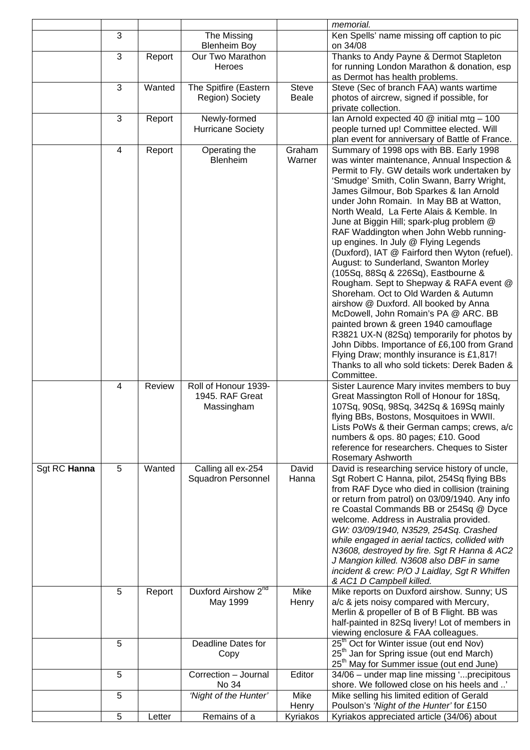|              |                |        |                                                       |                       | memorial.                                                                                                                                                                                                                                                                                                                                                                                                                                                                                                                                                                                                                                                                                                                                                                                                                                                                                                                                                                                                      |
|--------------|----------------|--------|-------------------------------------------------------|-----------------------|----------------------------------------------------------------------------------------------------------------------------------------------------------------------------------------------------------------------------------------------------------------------------------------------------------------------------------------------------------------------------------------------------------------------------------------------------------------------------------------------------------------------------------------------------------------------------------------------------------------------------------------------------------------------------------------------------------------------------------------------------------------------------------------------------------------------------------------------------------------------------------------------------------------------------------------------------------------------------------------------------------------|
|              | 3              |        | The Missing<br><b>Blenheim Boy</b>                    |                       | Ken Spells' name missing off caption to pic<br>on 34/08                                                                                                                                                                                                                                                                                                                                                                                                                                                                                                                                                                                                                                                                                                                                                                                                                                                                                                                                                        |
|              | 3              | Report | Our Two Marathon<br>Heroes                            |                       | Thanks to Andy Payne & Dermot Stapleton<br>for running London Marathon & donation, esp<br>as Dermot has health problems.                                                                                                                                                                                                                                                                                                                                                                                                                                                                                                                                                                                                                                                                                                                                                                                                                                                                                       |
|              | 3              | Wanted | The Spitfire (Eastern<br>Region) Society              | Steve<br><b>Beale</b> | Steve (Sec of branch FAA) wants wartime<br>photos of aircrew, signed if possible, for<br>private collection.                                                                                                                                                                                                                                                                                                                                                                                                                                                                                                                                                                                                                                                                                                                                                                                                                                                                                                   |
|              | 3              | Report | Newly-formed<br><b>Hurricane Society</b>              |                       | Ian Arnold expected 40 $@$ initial mtg - 100<br>people turned up! Committee elected. Will<br>plan event for anniversary of Battle of France.                                                                                                                                                                                                                                                                                                                                                                                                                                                                                                                                                                                                                                                                                                                                                                                                                                                                   |
|              | 4              | Report | Operating the<br>Blenheim                             | Graham<br>Warner      | Summary of 1998 ops with BB. Early 1998<br>was winter maintenance, Annual Inspection &<br>Permit to Fly. GW details work undertaken by<br>'Smudge' Smith, Colin Swann, Barry Wright,<br>James Gilmour, Bob Sparkes & Ian Arnold<br>under John Romain. In May BB at Watton,<br>North Weald, La Ferte Alais & Kemble. In<br>June at Biggin Hill; spark-plug problem @<br>RAF Waddington when John Webb running-<br>up engines. In July @ Flying Legends<br>(Duxford), IAT @ Fairford then Wyton (refuel).<br>August: to Sunderland, Swanton Morley<br>(105Sq, 88Sq & 226Sq), Eastbourne &<br>Rougham. Sept to Shepway & RAFA event @<br>Shoreham. Oct to Old Warden & Autumn<br>airshow @ Duxford. All booked by Anna<br>McDowell, John Romain's PA @ ARC. BB<br>painted brown & green 1940 camouflage<br>R3821 UX-N (82Sq) temporarily for photos by<br>John Dibbs. Importance of £6,100 from Grand<br>Flying Draw; monthly insurance is £1,817!<br>Thanks to all who sold tickets: Derek Baden &<br>Committee. |
|              | $\overline{4}$ | Review | Roll of Honour 1939-<br>1945. RAF Great<br>Massingham |                       | Sister Laurence Mary invites members to buy<br>Great Massington Roll of Honour for 18Sq,<br>107Sq, 90Sq, 98Sq, 342Sq & 169Sq mainly<br>flying BBs, Bostons, Mosquitoes in WWII.<br>Lists PoWs & their German camps; crews, a/c<br>numbers & ops. 80 pages; £10. Good<br>reference for researchers. Cheques to Sister<br>Rosemary Ashworth                                                                                                                                                                                                                                                                                                                                                                                                                                                                                                                                                                                                                                                                      |
| Sgt RC Hanna | 5              | Wanted | Calling all ex-254<br><b>Squadron Personnel</b>       | David<br>Hanna        | David is researching service history of uncle,<br>Sgt Robert C Hanna, pilot, 254Sq flying BBs<br>from RAF Dyce who died in collision (training<br>or return from patrol) on 03/09/1940. Any info<br>re Coastal Commands BB or 254Sq @ Dyce<br>welcome. Address in Australia provided.<br>GW: 03/09/1940, N3529, 254Sq. Crashed<br>while engaged in aerial tactics, collided with<br>N3608, destroyed by fire. Sgt R Hanna & AC2<br>J Mangion killed. N3608 also DBF in same<br>incident & crew: P/O J Laidlay, Sgt R Whiffen<br>& AC1 D Campbell killed.                                                                                                                                                                                                                                                                                                                                                                                                                                                       |
|              | 5              | Report | Duxford Airshow 2 <sup>nd</sup><br>May 1999           | Mike<br>Henry         | Mike reports on Duxford airshow. Sunny; US<br>a/c & jets noisy compared with Mercury,<br>Merlin & propeller of B of B Flight. BB was<br>half-painted in 82Sq livery! Lot of members in<br>viewing enclosure & FAA colleagues.                                                                                                                                                                                                                                                                                                                                                                                                                                                                                                                                                                                                                                                                                                                                                                                  |
|              | 5              |        | Deadline Dates for<br>Copy                            |                       | 25 <sup>th</sup> Oct for Winter issue (out end Nov)<br>25 <sup>th</sup> Jan for Spring issue (out end March)<br>25 <sup>th</sup> May for Summer issue (out end June)                                                                                                                                                                                                                                                                                                                                                                                                                                                                                                                                                                                                                                                                                                                                                                                                                                           |
|              | 5              |        | Correction - Journal<br>No 34                         | Editor                | 34/06 - under map line missing 'precipitous<br>shore. We followed close on his heels and '                                                                                                                                                                                                                                                                                                                                                                                                                                                                                                                                                                                                                                                                                                                                                                                                                                                                                                                     |
|              | 5              |        | 'Night of the Hunter'                                 | Mike<br>Henry         | Mike selling his limited edition of Gerald<br>Poulson's 'Night of the Hunter' for £150                                                                                                                                                                                                                                                                                                                                                                                                                                                                                                                                                                                                                                                                                                                                                                                                                                                                                                                         |
|              | 5              | Letter | Remains of a                                          | Kyriakos              | Kyriakos appreciated article (34/06) about                                                                                                                                                                                                                                                                                                                                                                                                                                                                                                                                                                                                                                                                                                                                                                                                                                                                                                                                                                     |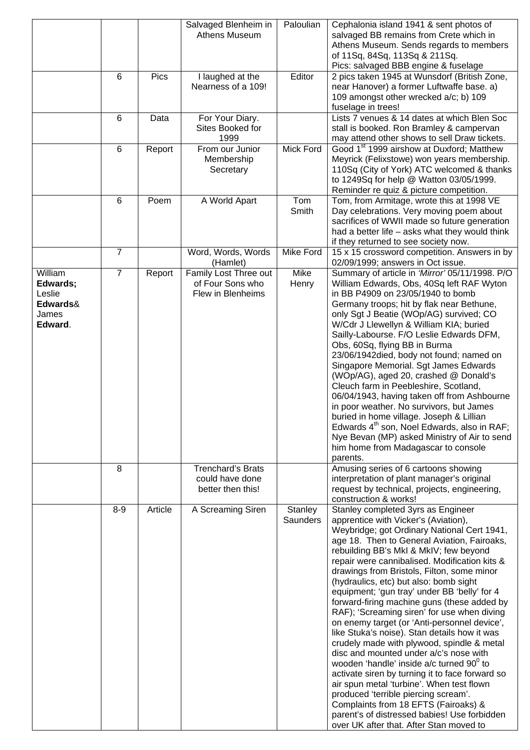|                                                               |                |         | Salvaged Blenheim in<br>Athens Museum                            | Paloulian            | Cephalonia island 1941 & sent photos of<br>salvaged BB remains from Crete which in<br>Athens Museum. Sends regards to members<br>of 11Sq, 84Sq, 113Sq & 211Sq.<br>Pics: salvaged BBB engine & fuselage                                                                                                                                                                                                                                                                                                                                                                                                                                                                                                                                                                                                                                                                                                                                                                                                                               |
|---------------------------------------------------------------|----------------|---------|------------------------------------------------------------------|----------------------|--------------------------------------------------------------------------------------------------------------------------------------------------------------------------------------------------------------------------------------------------------------------------------------------------------------------------------------------------------------------------------------------------------------------------------------------------------------------------------------------------------------------------------------------------------------------------------------------------------------------------------------------------------------------------------------------------------------------------------------------------------------------------------------------------------------------------------------------------------------------------------------------------------------------------------------------------------------------------------------------------------------------------------------|
|                                                               | 6              | Pics    | I laughed at the<br>Nearness of a 109!                           | Editor               | 2 pics taken 1945 at Wunsdorf (British Zone,<br>near Hanover) a former Luftwaffe base. a)<br>109 amongst other wrecked a/c; b) 109<br>fuselage in trees!                                                                                                                                                                                                                                                                                                                                                                                                                                                                                                                                                                                                                                                                                                                                                                                                                                                                             |
|                                                               | 6              | Data    | For Your Diary.<br>Sites Booked for<br>1999                      |                      | Lists 7 venues & 14 dates at which Blen Soc<br>stall is booked. Ron Bramley & campervan<br>may attend other shows to sell Draw tickets.                                                                                                                                                                                                                                                                                                                                                                                                                                                                                                                                                                                                                                                                                                                                                                                                                                                                                              |
|                                                               | 6              | Report  | From our Junior<br>Membership<br>Secretary                       | <b>Mick Ford</b>     | Good 1 <sup>st</sup> 1999 airshow at Duxford; Matthew<br>Meyrick (Felixstowe) won years membership.<br>110Sq (City of York) ATC welcomed & thanks<br>to 1249Sq for help @ Watton 03/05/1999.<br>Reminder re quiz & picture competition.                                                                                                                                                                                                                                                                                                                                                                                                                                                                                                                                                                                                                                                                                                                                                                                              |
|                                                               | 6              | Poem    | A World Apart                                                    | Tom<br>Smith         | Tom, from Armitage, wrote this at 1998 VE<br>Day celebrations. Very moving poem about<br>sacrifices of WWII made so future generation<br>had a better life - asks what they would think<br>if they returned to see society now.                                                                                                                                                                                                                                                                                                                                                                                                                                                                                                                                                                                                                                                                                                                                                                                                      |
|                                                               | 7              |         | Word, Words, Words<br>(Hamlet)                                   | <b>Mike Ford</b>     | 15 x 15 crossword competition. Answers in by<br>02/09/1999; answers in Oct issue.                                                                                                                                                                                                                                                                                                                                                                                                                                                                                                                                                                                                                                                                                                                                                                                                                                                                                                                                                    |
| William<br>Edwards;<br>Leslie<br>Edwards&<br>James<br>Edward. | $\overline{7}$ | Report  | Family Lost Three out<br>of Four Sons who<br>Flew in Blenheims   | <b>Mike</b><br>Henry | Summary of article in 'Mirror' 05/11/1998. P/O<br>William Edwards, Obs, 40Sq left RAF Wyton<br>in BB P4909 on 23/05/1940 to bomb<br>Germany troops; hit by flak near Bethune,<br>only Sgt J Beatie (WOp/AG) survived; CO<br>W/Cdr J Llewellyn & William KIA; buried<br>Sailly-Labourse. F/O Leslie Edwards DFM,<br>Obs, 60Sq, flying BB in Burma<br>23/06/1942died, body not found; named on<br>Singapore Memorial. Sgt James Edwards<br>(WOp/AG), aged 20, crashed @ Donald's<br>Cleuch farm in Peebleshire, Scotland,<br>06/04/1943, having taken off from Ashbourne<br>in poor weather. No survivors, but James<br>buried in home village. Joseph & Lillian<br>Edwards 4 <sup>th</sup> son, Noel Edwards, also in RAF;<br>Nye Bevan (MP) asked Ministry of Air to send<br>him home from Madagascar to console<br>parents.                                                                                                                                                                                                         |
|                                                               | 8              |         | <b>Trenchard's Brats</b><br>could have done<br>better then this! |                      | Amusing series of 6 cartoons showing<br>interpretation of plant manager's original<br>request by technical, projects, engineering,<br>construction & works!                                                                                                                                                                                                                                                                                                                                                                                                                                                                                                                                                                                                                                                                                                                                                                                                                                                                          |
|                                                               | $8 - 9$        | Article | A Screaming Siren                                                | Stanley<br>Saunders  | Stanley completed 3yrs as Engineer<br>apprentice with Vicker's (Aviation),<br>Weybridge; got Ordinary National Cert 1941,<br>age 18. Then to General Aviation, Fairoaks,<br>rebuilding BB's MkI & MkIV; few beyond<br>repair were cannibalised. Modification kits &<br>drawings from Bristols, Filton, some minor<br>(hydraulics, etc) but also: bomb sight<br>equipment; 'gun tray' under BB 'belly' for 4<br>forward-firing machine guns (these added by<br>RAF); 'Screaming siren' for use when diving<br>on enemy target (or 'Anti-personnel device',<br>like Stuka's noise). Stan details how it was<br>crudely made with plywood, spindle & metal<br>disc and mounted under a/c's nose with<br>wooden 'handle' inside a/c turned 90 <sup>0</sup> to<br>activate siren by turning it to face forward so<br>air spun metal 'turbine'. When test flown<br>produced 'terrible piercing scream'.<br>Complaints from 18 EFTS (Fairoaks) &<br>parent's of distressed babies! Use forbidden<br>over UK after that. After Stan moved to |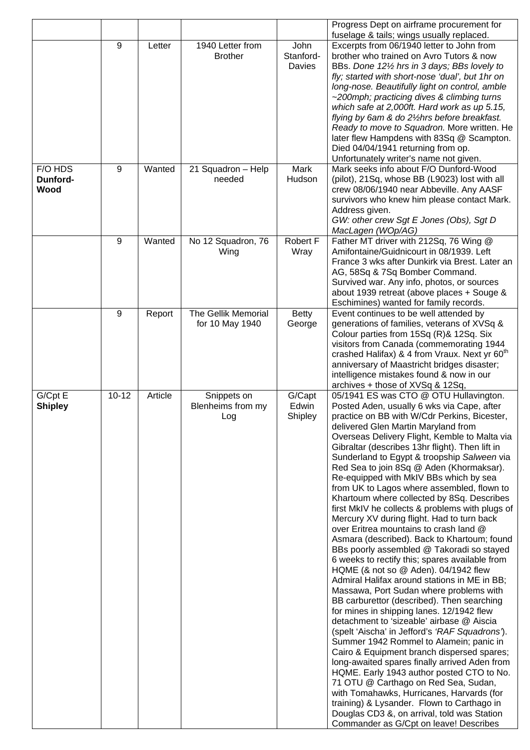|                             |                |         |                                         |                             | Progress Dept on airframe procurement for<br>fuselage & tails; wings usually replaced.                                                                                                                                                                                                                                                                                                                                                                                                                                                                                                                                                                                                                                                                                                                                                                                                                                                                                                                                                                                                                                                                                                                                                                                                                                                                                                                                                                                                                                                                    |
|-----------------------------|----------------|---------|-----------------------------------------|-----------------------------|-----------------------------------------------------------------------------------------------------------------------------------------------------------------------------------------------------------------------------------------------------------------------------------------------------------------------------------------------------------------------------------------------------------------------------------------------------------------------------------------------------------------------------------------------------------------------------------------------------------------------------------------------------------------------------------------------------------------------------------------------------------------------------------------------------------------------------------------------------------------------------------------------------------------------------------------------------------------------------------------------------------------------------------------------------------------------------------------------------------------------------------------------------------------------------------------------------------------------------------------------------------------------------------------------------------------------------------------------------------------------------------------------------------------------------------------------------------------------------------------------------------------------------------------------------------|
|                             | 9              | Letter  | 1940 Letter from<br><b>Brother</b>      | John<br>Stanford-<br>Davies | Excerpts from 06/1940 letter to John from<br>brother who trained on Avro Tutors & now<br>BBs. Done 121/2 hrs in 3 days; BBs lovely to<br>fly; started with short-nose 'dual', but 1hr on<br>long-nose. Beautifully light on control, amble                                                                                                                                                                                                                                                                                                                                                                                                                                                                                                                                                                                                                                                                                                                                                                                                                                                                                                                                                                                                                                                                                                                                                                                                                                                                                                                |
|                             |                |         |                                         |                             | ~200mph; practicing dives & climbing turns<br>which safe at 2,000ft. Hard work as up 5.15,<br>flying by 6am & do 21/2hrs before breakfast.<br>Ready to move to Squadron. More written. He<br>later flew Hampdens with 83Sq @ Scampton.                                                                                                                                                                                                                                                                                                                                                                                                                                                                                                                                                                                                                                                                                                                                                                                                                                                                                                                                                                                                                                                                                                                                                                                                                                                                                                                    |
|                             |                |         |                                         |                             | Died 04/04/1941 returning from op.<br>Unfortunately writer's name not given.                                                                                                                                                                                                                                                                                                                                                                                                                                                                                                                                                                                                                                                                                                                                                                                                                                                                                                                                                                                                                                                                                                                                                                                                                                                                                                                                                                                                                                                                              |
| F/O HDS<br>Dunford-<br>Wood | 9              | Wanted  | 21 Squadron - Help<br>needed            | Mark<br>Hudson              | Mark seeks info about F/O Dunford-Wood<br>(pilot), 21Sq, whose BB (L9023) lost with all<br>crew 08/06/1940 near Abbeville. Any AASF<br>survivors who knew him please contact Mark.<br>Address given.<br>GW: other crew Sgt E Jones (Obs), Sgt D<br>MacLagen (WOp/AG)                                                                                                                                                                                                                                                                                                                                                                                                                                                                                                                                                                                                                                                                                                                                                                                                                                                                                                                                                                                                                                                                                                                                                                                                                                                                                      |
|                             | 9              | Wanted  | No 12 Squadron, 76<br>Wing              | Robert F<br>Wray            | Father MT driver with 212Sq, 76 Wing @<br>Amifontaine/Guidnicourt in 08/1939. Left<br>France 3 wks after Dunkirk via Brest. Later an<br>AG, 58Sq & 7Sq Bomber Command.<br>Survived war. Any info, photos, or sources<br>about 1939 retreat (above places + Souge &<br>Eschimines) wanted for family records.                                                                                                                                                                                                                                                                                                                                                                                                                                                                                                                                                                                                                                                                                                                                                                                                                                                                                                                                                                                                                                                                                                                                                                                                                                              |
|                             | $\overline{9}$ | Report  | The Gellik Memorial<br>for 10 May 1940  | <b>Betty</b><br>George      | Event continues to be well attended by<br>generations of families, veterans of XVSq &<br>Colour parties from 15Sq (R)& 12Sq. Six<br>visitors from Canada (commemorating 1944<br>crashed Halifax) & 4 from Vraux. Next yr 60 <sup>th</sup><br>anniversary of Maastricht bridges disaster;<br>intelligence mistakes found & now in our<br>archives + those of XVSq & 12Sq,                                                                                                                                                                                                                                                                                                                                                                                                                                                                                                                                                                                                                                                                                                                                                                                                                                                                                                                                                                                                                                                                                                                                                                                  |
| G/Cpt E<br><b>Shipley</b>   | $10 - 12$      | Article | Snippets on<br>Blenheims from my<br>Log | G/Capt<br>Edwin<br>Shipley  | 05/1941 ES was CTO @ OTU Hullavington.<br>Posted Aden, usually 6 wks via Cape, after<br>practice on BB with W/Cdr Perkins, Bicester,<br>delivered Glen Martin Maryland from<br>Overseas Delivery Flight, Kemble to Malta via<br>Gibraltar (describes 13hr flight). Then lift in<br>Sunderland to Egypt & troopship Salween via<br>Red Sea to join 8Sq @ Aden (Khormaksar).<br>Re-equipped with MkIV BBs which by sea<br>from UK to Lagos where assembled, flown to<br>Khartoum where collected by 8Sq. Describes<br>first MkIV he collects & problems with plugs of<br>Mercury XV during flight. Had to turn back<br>over Eritrea mountains to crash land @<br>Asmara (described). Back to Khartoum; found<br>BBs poorly assembled @ Takoradi so stayed<br>6 weeks to rectify this; spares available from<br>HQME (& not so @ Aden). 04/1942 flew<br>Admiral Halifax around stations in ME in BB;<br>Massawa, Port Sudan where problems with<br>BB carburettor (described). Then searching<br>for mines in shipping lanes. 12/1942 flew<br>detachment to 'sizeable' airbase @ Aiscia<br>(spelt 'Aischa' in Jefford's 'RAF Squadrons').<br>Summer 1942 Rommel to Alamein; panic in<br>Cairo & Equipment branch dispersed spares;<br>long-awaited spares finally arrived Aden from<br>HQME. Early 1943 author posted CTO to No.<br>71 OTU @ Carthago on Red Sea, Sudan,<br>with Tomahawks, Hurricanes, Harvards (for<br>training) & Lysander. Flown to Carthago in<br>Douglas CD3 &, on arrival, told was Station<br>Commander as G/Cpt on leave! Describes |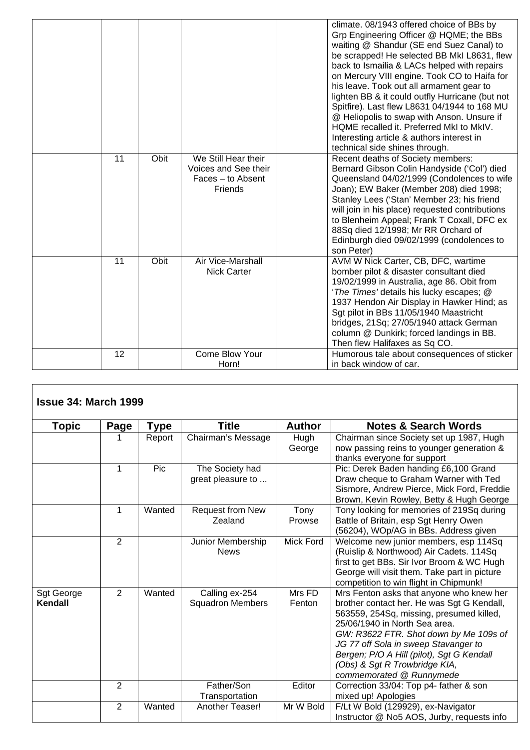|    |      |                                                                             | climate. 08/1943 offered choice of BBs by<br>Grp Engineering Officer @ HQME; the BBs<br>waiting @ Shandur (SE end Suez Canal) to<br>be scrapped! He selected BB MkI L8631, flew<br>back to Ismailia & LACs helped with repairs<br>on Mercury VIII engine. Took CO to Haifa for<br>his leave. Took out all armament gear to<br>lighten BB & it could outfly Hurricane (but not<br>Spitfire). Last flew L8631 04/1944 to 168 MU<br>@ Heliopolis to swap with Anson. Unsure if<br>HQME recalled it. Preferred MkI to MkIV.<br>Interesting article & authors interest in<br>technical side shines through. |
|----|------|-----------------------------------------------------------------------------|--------------------------------------------------------------------------------------------------------------------------------------------------------------------------------------------------------------------------------------------------------------------------------------------------------------------------------------------------------------------------------------------------------------------------------------------------------------------------------------------------------------------------------------------------------------------------------------------------------|
| 11 | Obit | We Still Hear their<br>Voices and See their<br>Faces - to Absent<br>Friends | Recent deaths of Society members:<br>Bernard Gibson Colin Handyside ('Col') died<br>Queensland 04/02/1999 (Condolences to wife<br>Joan); EW Baker (Member 208) died 1998;<br>Stanley Lees ('Stan' Member 23; his friend<br>will join in his place) requested contributions<br>to Blenheim Appeal; Frank T Coxall, DFC ex<br>88Sq died 12/1998; Mr RR Orchard of<br>Edinburgh died 09/02/1999 (condolences to<br>son Peter)                                                                                                                                                                             |
| 11 | Obit | Air Vice-Marshall<br><b>Nick Carter</b>                                     | AVM W Nick Carter, CB, DFC, wartime<br>bomber pilot & disaster consultant died<br>19/02/1999 in Australia, age 86. Obit from<br>'The Times' details his lucky escapes; @<br>1937 Hendon Air Display in Hawker Hind; as<br>Sgt pilot in BBs 11/05/1940 Maastricht<br>bridges, 21Sq; 27/05/1940 attack German<br>column @ Dunkirk; forced landings in BB.<br>Then flew Halifaxes as Sq CO.                                                                                                                                                                                                               |
| 12 |      | Come Blow Your<br>Horn!                                                     | Humorous tale about consequences of sticker<br>in back window of car.                                                                                                                                                                                                                                                                                                                                                                                                                                                                                                                                  |

| <b>Issue 34: March 1999</b> |                |             |                                  |               |                                                                                       |
|-----------------------------|----------------|-------------|----------------------------------|---------------|---------------------------------------------------------------------------------------|
| Topic                       | Page           | <b>Type</b> | Title                            | <b>Author</b> | <b>Notes &amp; Search Words</b>                                                       |
|                             |                | Report      | Chairman's Message               | Hugh          | Chairman since Society set up 1987, Hugh                                              |
|                             |                |             |                                  | George        | now passing reins to younger generation &                                             |
|                             |                |             |                                  |               | thanks everyone for support                                                           |
|                             | $\mathbf 1$    | Pic         | The Society had                  |               | Pic: Derek Baden handing £6,100 Grand                                                 |
|                             |                |             | great pleasure to                |               | Draw cheque to Graham Warner with Ted                                                 |
|                             |                |             |                                  |               | Sismore, Andrew Pierce, Mick Ford, Freddie                                            |
|                             |                |             |                                  |               | Brown, Kevin Rowley, Betty & Hugh George                                              |
|                             | $\mathbf 1$    | Wanted      | Request from New                 | Tony          | Tony looking for memories of 219Sq during                                             |
|                             |                |             | Zealand                          | Prowse        | Battle of Britain, esp Sgt Henry Owen                                                 |
|                             |                |             |                                  |               | (56204), WOp/AG in BBs. Address given                                                 |
|                             | $\overline{2}$ |             | Junior Membership<br><b>News</b> | Mick Ford     | Welcome new junior members, esp 114Sq                                                 |
|                             |                |             |                                  |               | (Ruislip & Northwood) Air Cadets. 114Sq<br>first to get BBs. Sir Ivor Broom & WC Hugh |
|                             |                |             |                                  |               | George will visit them. Take part in picture                                          |
|                             |                |             |                                  |               | competition to win flight in Chipmunk!                                                |
| Sgt George                  | $\overline{2}$ | Wanted      | Calling ex-254                   | Mrs FD        | Mrs Fenton asks that anyone who knew her                                              |
| Kendall                     |                |             | <b>Squadron Members</b>          | Fenton        | brother contact her. He was Sgt G Kendall,                                            |
|                             |                |             |                                  |               | 563559, 254Sq, missing, presumed killed,                                              |
|                             |                |             |                                  |               | 25/06/1940 in North Sea area.                                                         |
|                             |                |             |                                  |               | GW: R3622 FTR. Shot down by Me 109s of                                                |
|                             |                |             |                                  |               | JG 77 off Sola in sweep Stavanger to                                                  |
|                             |                |             |                                  |               | Bergen; P/O A Hill (pilot), Sgt G Kendall                                             |
|                             |                |             |                                  |               | (Obs) & Sgt R Trowbridge KIA,                                                         |
|                             |                |             |                                  |               | commemorated @ Runnymede                                                              |
|                             | $\overline{2}$ |             | Father/Son                       | Editor        | Correction 33/04: Top p4- father & son                                                |
|                             |                |             | Transportation                   |               | mixed up! Apologies                                                                   |
|                             | $\overline{2}$ | Wanted      | Another Teaser!                  | Mr W Bold     | F/Lt W Bold (129929), ex-Navigator                                                    |
|                             |                |             |                                  |               | Instructor @ No5 AOS, Jurby, requests info                                            |

٦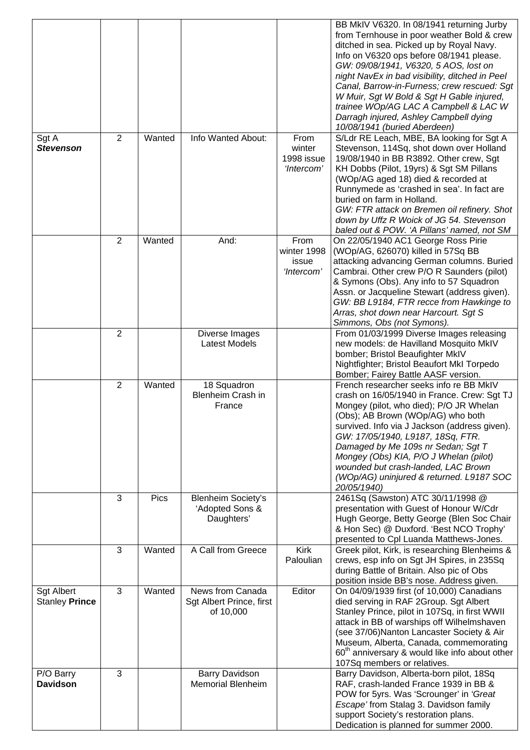| Sgt A<br><b>Stevenson</b>           | $\overline{2}$ | Wanted      | Info Wanted About:                                         | From<br>winter<br>1998 issue<br>'Intercom' | BB MkIV V6320. In 08/1941 returning Jurby<br>from Ternhouse in poor weather Bold & crew<br>ditched in sea. Picked up by Royal Navy.<br>Info on V6320 ops before 08/1941 please.<br>GW: 09/08/1941, V6320, 5 AOS, lost on<br>night NavEx in bad visibility, ditched in Peel<br>Canal, Barrow-in-Furness; crew rescued: Sgt<br>W Muir, Sgt W Bold & Sgt H Gable injured,<br>trainee WOp/AG LAC A Campbell & LAC W<br>Darragh injured, Ashley Campbell dying<br>10/08/1941 (buried Aberdeen)<br>S/Ldr RE Leach, MBE, BA looking for Sgt A<br>Stevenson, 114Sq, shot down over Holland<br>19/08/1940 in BB R3892. Other crew, Sgt<br>KH Dobbs (Pilot, 19yrs) & Sgt SM Pillans<br>(WOp/AG aged 18) died & recorded at |
|-------------------------------------|----------------|-------------|------------------------------------------------------------|--------------------------------------------|------------------------------------------------------------------------------------------------------------------------------------------------------------------------------------------------------------------------------------------------------------------------------------------------------------------------------------------------------------------------------------------------------------------------------------------------------------------------------------------------------------------------------------------------------------------------------------------------------------------------------------------------------------------------------------------------------------------|
|                                     |                |             |                                                            |                                            | Runnymede as 'crashed in sea'. In fact are<br>buried on farm in Holland.<br>GW: FTR attack on Bremen oil refinery. Shot<br>down by Uffz R Woick of JG 54. Stevenson<br>baled out & POW. 'A Pillans' named, not SM                                                                                                                                                                                                                                                                                                                                                                                                                                                                                                |
|                                     | $\overline{2}$ | Wanted      | And:                                                       | From<br>winter 1998<br>issue<br>'Intercom' | On 22/05/1940 AC1 George Ross Pirie<br>(WOp/AG, 626070) killed in 57Sq BB<br>attacking advancing German columns. Buried<br>Cambrai. Other crew P/O R Saunders (pilot)<br>& Symons (Obs). Any info to 57 Squadron<br>Assn. or Jacqueline Stewart (address given).<br>GW: BB L9184, FTR recce from Hawkinge to<br>Arras, shot down near Harcourt. Sgt S<br>Simmons, Obs (not Symons).                                                                                                                                                                                                                                                                                                                              |
|                                     | $\overline{2}$ |             | Diverse Images<br><b>Latest Models</b>                     |                                            | From 01/03/1999 Diverse Images releasing<br>new models: de Havilland Mosquito MkIV<br>bomber; Bristol Beaufighter MkIV<br>Nightfighter; Bristol Beaufort MkI Torpedo<br>Bomber; Fairey Battle AASF version.                                                                                                                                                                                                                                                                                                                                                                                                                                                                                                      |
|                                     | $\overline{2}$ | Wanted      | 18 Squadron<br>Blenheim Crash in<br>France                 |                                            | French researcher seeks info re BB MkIV<br>crash on 16/05/1940 in France. Crew: Sgt TJ<br>Mongey (pilot, who died); P/O JR Whelan<br>(Obs); AB Brown (WOp/AG) who both<br>survived. Info via J Jackson (address given).<br>GW: 17/05/1940, L9187, 18Sq, FTR.<br>Damaged by Me 109s nr Sedan; Sgt T<br>Mongey (Obs) KIA, P/O J Whelan (pilot)<br>wounded but crash-landed, LAC Brown<br>(WOp/AG) uninjured & returned. L9187 SOC<br>20/05/1940)                                                                                                                                                                                                                                                                   |
|                                     | 3              | <b>Pics</b> | <b>Blenheim Society's</b><br>'Adopted Sons &<br>Daughters' |                                            | 2461Sq (Sawston) ATC 30/11/1998 @<br>presentation with Guest of Honour W/Cdr<br>Hugh George, Betty George (Blen Soc Chair<br>& Hon Sec) @ Duxford. 'Best NCO Trophy'<br>presented to Cpl Luanda Matthews-Jones.                                                                                                                                                                                                                                                                                                                                                                                                                                                                                                  |
|                                     | 3              | Wanted      | A Call from Greece                                         | <b>Kirk</b><br>Paloulian                   | Greek pilot, Kirk, is researching Blenheims &<br>crews, esp info on Sgt JH Spires, in 235Sq<br>during Battle of Britain. Also pic of Obs<br>position inside BB's nose. Address given.                                                                                                                                                                                                                                                                                                                                                                                                                                                                                                                            |
| <b>Sgt Albert</b><br>Stanley Prince | 3              | Wanted      | News from Canada<br>Sgt Albert Prince, first<br>of 10,000  | Editor                                     | On 04/09/1939 first (of 10,000) Canadians<br>died serving in RAF 2Group. Sgt Albert<br>Stanley Prince, pilot in 107Sq, in first WWII<br>attack in BB of warships off Wilhelmshaven<br>(see 37/06) Nanton Lancaster Society & Air<br>Museum, Alberta, Canada, commemorating<br>60 <sup>th</sup> anniversary & would like info about other<br>107Sq members or relatives.                                                                                                                                                                                                                                                                                                                                          |
| P/O Barry<br><b>Davidson</b>        | 3              |             | <b>Barry Davidson</b><br><b>Memorial Blenheim</b>          |                                            | Barry Davidson, Alberta-born pilot, 18Sq<br>RAF, crash-landed France 1939 in BB &<br>POW for 5yrs. Was 'Scrounger' in 'Great<br>Escape' from Stalag 3. Davidson family<br>support Society's restoration plans.<br>Dedication is planned for summer 2000.                                                                                                                                                                                                                                                                                                                                                                                                                                                         |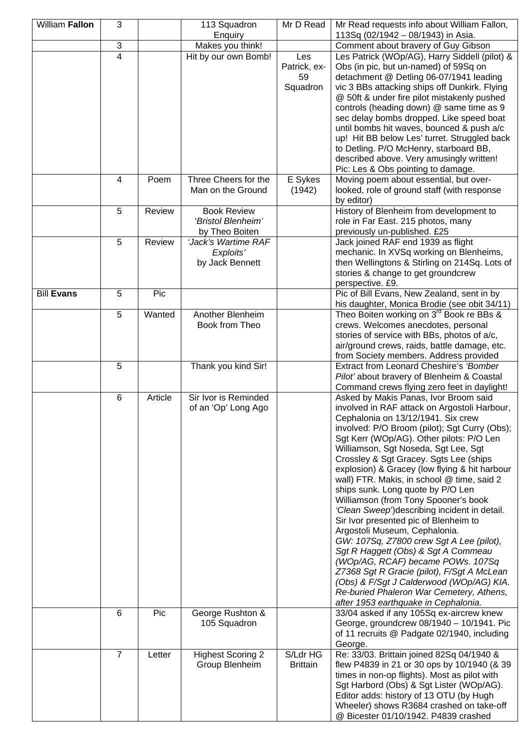| William Fallon    | 3              |         | 113 Squadron<br>Enquiry                                    | Mr D Read                   | Mr Read requests info about William Fallon,<br>113Sq (02/1942 - 08/1943) in Asia.                                                        |
|-------------------|----------------|---------|------------------------------------------------------------|-----------------------------|------------------------------------------------------------------------------------------------------------------------------------------|
|                   | 3              |         | Makes you think!                                           |                             | Comment about bravery of Guy Gibson                                                                                                      |
|                   | 4              |         | Hit by our own Bomb!                                       | Les<br>Patrick, ex-<br>59   | Les Patrick (WOp/AG), Harry Siddell (pilot) &<br>Obs (in pic, but un-named) of 59Sq on<br>detachment @ Detling 06-07/1941 leading        |
|                   |                |         |                                                            | Squadron                    | vic 3 BBs attacking ships off Dunkirk. Flying<br>@ 50ft & under fire pilot mistakenly pushed<br>controls (heading down) @ same time as 9 |
|                   |                |         |                                                            |                             | sec delay bombs dropped. Like speed boat<br>until bombs hit waves, bounced & push a/c<br>up! Hit BB below Les' turret. Struggled back    |
|                   |                |         |                                                            |                             | to Detling. P/O McHenry, starboard BB,<br>described above. Very amusingly written!<br>Pic: Les & Obs pointing to damage.                 |
|                   | 4              | Poem    | Three Cheers for the<br>Man on the Ground                  | E Sykes<br>(1942)           | Moving poem about essential, but over-<br>looked, role of ground staff (with response<br>by editor)                                      |
|                   | 5              | Review  | <b>Book Review</b><br>'Bristol Blenheim'<br>by Theo Boiten |                             | History of Blenheim from development to<br>role in Far East. 215 photos, many<br>previously un-published. £25                            |
|                   | 5              | Review  | 'Jack's Wartime RAF                                        |                             | Jack joined RAF end 1939 as flight                                                                                                       |
|                   |                |         | Exploits'                                                  |                             | mechanic. In XVSq working on Blenheims,                                                                                                  |
|                   |                |         | by Jack Bennett                                            |                             | then Wellingtons & Stirling on 214Sq. Lots of<br>stories & change to get groundcrew<br>perspective. £9.                                  |
| <b>Bill Evans</b> | 5              | Pic     |                                                            |                             | Pic of Bill Evans, New Zealand, sent in by<br>his daughter, Monica Brodie (see obit 34/11)                                               |
|                   | 5              | Wanted  | Another Blenheim                                           |                             | Theo Boiten working on 3 <sup>rd</sup> Book re BBs &                                                                                     |
|                   |                |         | Book from Theo                                             |                             | crews. Welcomes anecdotes, personal                                                                                                      |
|                   |                |         |                                                            |                             | stories of service with BBs, photos of a/c,                                                                                              |
|                   |                |         |                                                            |                             | air/ground crews, raids, battle damage, etc.                                                                                             |
|                   | 5              |         | Thank you kind Sir!                                        |                             | from Society members. Address provided<br>Extract from Leonard Cheshire's 'Bomber                                                        |
|                   |                |         |                                                            |                             | Pilot' about bravery of Blenheim & Coastal                                                                                               |
|                   |                |         |                                                            |                             | Command crews flying zero feet in daylight!                                                                                              |
|                   | 6              | Article | Sir Ivor is Reminded<br>of an 'Op' Long Ago                |                             | Asked by Makis Panas, Ivor Broom said<br>involved in RAF attack on Argostoli Harbour,<br>Cephalonia on 13/12/1941. Six crew              |
|                   |                |         |                                                            |                             | involved: P/O Broom (pilot); Sgt Curry (Obs);<br>Sgt Kerr (WOp/AG). Other pilots: P/O Len<br>Williamson, Sgt Noseda, Sgt Lee, Sgt        |
|                   |                |         |                                                            |                             | Crossley & Sgt Gracey. Sgts Lee (ships<br>explosion) & Gracey (low flying & hit harbour<br>wall) FTR. Makis, in school @ time, said 2    |
|                   |                |         |                                                            |                             | ships sunk. Long quote by P/O Len<br>Williamson (from Tony Spooner's book<br>'Clean Sweep') describing incident in detail.               |
|                   |                |         |                                                            |                             | Sir Ivor presented pic of Blenheim to<br>Argostoli Museum, Cephalonia.<br>GW: 107Sq, Z7800 crew Sgt A Lee (pilot),                       |
|                   |                |         |                                                            |                             | Sgt R Haggett (Obs) & Sgt A Commeau<br>(WOp/AG, RCAF) became POWs. 107Sq<br>Z7368 Sgt R Gracie (pilot), F/Sgt A McLean                   |
|                   |                |         |                                                            |                             | (Obs) & F/Sgt J Calderwood (WOp/AG) KIA.<br>Re-buried Phaleron War Cemetery, Athens,<br>after 1953 earthquake in Cephalonia.             |
|                   | 6              | Pic     | George Rushton &                                           |                             | 33/04 asked if any 105Sq ex-aircrew knew                                                                                                 |
|                   |                |         | 105 Squadron                                               |                             | George, groundcrew 08/1940 - 10/1941. Pic<br>of 11 recruits @ Padgate 02/1940, including<br>George.                                      |
|                   | $\overline{7}$ | Letter  | <b>Highest Scoring 2</b><br>Group Blenheim                 | S/Ldr HG<br><b>Brittain</b> | Re: 33/03. Brittain joined 82Sq 04/1940 &<br>flew P4839 in 21 or 30 ops by 10/1940 (& 39                                                 |
|                   |                |         |                                                            |                             | times in non-op flights). Most as pilot with<br>Sgt Harbord (Obs) & Sgt Lister (WOp/AG).<br>Editor adds: history of 13 OTU (by Hugh      |
|                   |                |         |                                                            |                             | Wheeler) shows R3684 crashed on take-off<br>@ Bicester 01/10/1942. P4839 crashed                                                         |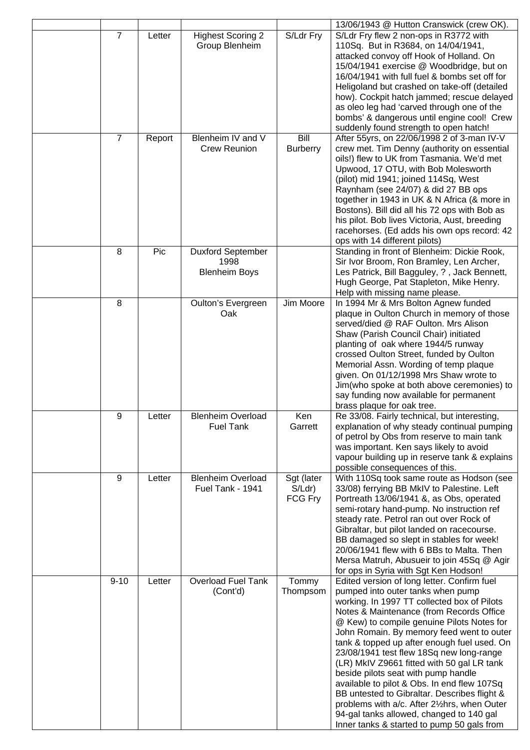|                |        |                                                          |                                    | 13/06/1943 @ Hutton Cranswick (crew OK).                                                                                                                                                                                                                                                                                                                                                                                                                                                                                                                                                                                                                                                        |
|----------------|--------|----------------------------------------------------------|------------------------------------|-------------------------------------------------------------------------------------------------------------------------------------------------------------------------------------------------------------------------------------------------------------------------------------------------------------------------------------------------------------------------------------------------------------------------------------------------------------------------------------------------------------------------------------------------------------------------------------------------------------------------------------------------------------------------------------------------|
| $\overline{7}$ | Letter | <b>Highest Scoring 2</b><br>Group Blenheim               | S/Ldr Fry                          | S/Ldr Fry flew 2 non-ops in R3772 with<br>110Sq. But in R3684, on 14/04/1941,<br>attacked convoy off Hook of Holland. On<br>15/04/1941 exercise @ Woodbridge, but on<br>16/04/1941 with full fuel & bombs set off for                                                                                                                                                                                                                                                                                                                                                                                                                                                                           |
|                |        |                                                          |                                    | Heligoland but crashed on take-off (detailed<br>how). Cockpit hatch jammed; rescue delayed<br>as oleo leg had 'carved through one of the<br>bombs' & dangerous until engine cool! Crew<br>suddenly found strength to open hatch!                                                                                                                                                                                                                                                                                                                                                                                                                                                                |
| 7              | Report | Blenheim IV and V<br><b>Crew Reunion</b>                 | Bill<br><b>Burberry</b>            | After 55yrs, on 22/06/1998 2 of 3-man IV-V<br>crew met. Tim Denny (authority on essential<br>oils!) flew to UK from Tasmania. We'd met<br>Upwood, 17 OTU, with Bob Molesworth<br>(pilot) mid 1941; joined 114Sq, West<br>Raynham (see 24/07) & did 27 BB ops<br>together in 1943 in UK & N Africa (& more in<br>Bostons). Bill did all his 72 ops with Bob as<br>his pilot. Bob lives Victoria, Aust, breeding<br>racehorses. (Ed adds his own ops record: 42<br>ops with 14 different pilots)                                                                                                                                                                                                  |
| 8              | Pic    | <b>Duxford September</b><br>1998<br><b>Blenheim Boys</b> |                                    | Standing in front of Blenheim: Dickie Rook,<br>Sir Ivor Broom, Ron Bramley, Len Archer,<br>Les Patrick, Bill Bagguley, ?, Jack Bennett,<br>Hugh George, Pat Stapleton, Mike Henry.<br>Help with missing name please.                                                                                                                                                                                                                                                                                                                                                                                                                                                                            |
| 8              |        | Oulton's Evergreen<br>Oak                                | Jim Moore                          | In 1994 Mr & Mrs Bolton Agnew funded<br>plaque in Oulton Church in memory of those<br>served/died @ RAF Oulton. Mrs Alison<br>Shaw (Parish Council Chair) initiated<br>planting of oak where 1944/5 runway<br>crossed Oulton Street, funded by Oulton<br>Memorial Assn. Wording of temp plaque<br>given. On 01/12/1998 Mrs Shaw wrote to<br>Jim(who spoke at both above ceremonies) to<br>say funding now available for permanent<br>brass plaque for oak tree.                                                                                                                                                                                                                                 |
| 9              | Letter | <b>Blenheim Overload</b><br><b>Fuel Tank</b>             | Ken<br>Garrett                     | Re 33/08. Fairly technical, but interesting,<br>explanation of why steady continual pumping<br>of petrol by Obs from reserve to main tank<br>was important. Ken says likely to avoid<br>vapour building up in reserve tank & explains<br>possible consequences of this.                                                                                                                                                                                                                                                                                                                                                                                                                         |
| 9              | Letter | <b>Blenheim Overload</b><br>Fuel Tank - 1941             | Sgt (later<br>$S/Ldr$ )<br>FCG Fry | With 110Sq took same route as Hodson (see<br>33/08) ferrying BB MkIV to Palestine. Left<br>Portreath 13/06/1941 &, as Obs, operated<br>semi-rotary hand-pump. No instruction ref<br>steady rate. Petrol ran out over Rock of<br>Gibraltar, but pilot landed on racecourse.<br>BB damaged so slept in stables for week!<br>20/06/1941 flew with 6 BBs to Malta. Then<br>Mersa Matruh, Abusueir to join 45Sq @ Agir<br>for ops in Syria with Sgt Ken Hodson!                                                                                                                                                                                                                                      |
| $9 - 10$       | Letter | Overload Fuel Tank<br>(Cont'd)                           | Tommy<br>Thompsom                  | Edited version of long letter. Confirm fuel<br>pumped into outer tanks when pump<br>working. In 1997 TT collected box of Pilots<br>Notes & Maintenance (from Records Office<br>@ Kew) to compile genuine Pilots Notes for<br>John Romain. By memory feed went to outer<br>tank & topped up after enough fuel used. On<br>23/08/1941 test flew 18Sq new long-range<br>(LR) MkIV Z9661 fitted with 50 gal LR tank<br>beside pilots seat with pump handle<br>available to pilot & Obs. In end flew 107Sq<br>BB untested to Gibraltar. Describes flight &<br>problems with a/c. After 21/2hrs, when Outer<br>94-gal tanks allowed, changed to 140 gal<br>Inner tanks & started to pump 50 gals from |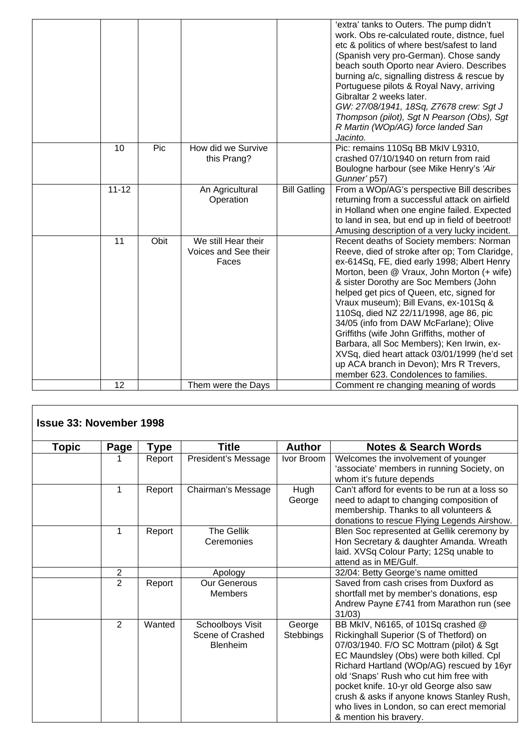|           |      |                      |                     | 'extra' tanks to Outers. The pump didn't         |
|-----------|------|----------------------|---------------------|--------------------------------------------------|
|           |      |                      |                     | work. Obs re-calculated route, distnce, fuel     |
|           |      |                      |                     | etc & politics of where best/safest to land      |
|           |      |                      |                     | (Spanish very pro-German). Chose sandy           |
|           |      |                      |                     | beach south Oporto near Aviero. Describes        |
|           |      |                      |                     | burning a/c, signalling distress & rescue by     |
|           |      |                      |                     | Portuguese pilots & Royal Navy, arriving         |
|           |      |                      |                     | Gibraltar 2 weeks later.                         |
|           |      |                      |                     | GW: 27/08/1941, 18Sq, Z7678 crew: Sgt J          |
|           |      |                      |                     | Thompson (pilot), Sgt N Pearson (Obs), Sgt       |
|           |      |                      |                     | R Martin (WOp/AG) force landed San               |
|           |      |                      |                     | Jacinto.                                         |
| 10        | Pic  | How did we Survive   |                     | Pic: remains 110Sq BB MkIV L9310,                |
|           |      | this Prang?          |                     | crashed 07/10/1940 on return from raid           |
|           |      |                      |                     | Boulogne harbour (see Mike Henry's 'Air          |
|           |      |                      |                     | Gunner' p57)                                     |
| $11 - 12$ |      | An Agricultural      | <b>Bill Gatling</b> | From a WOp/AG's perspective Bill describes       |
|           |      | Operation            |                     | returning from a successful attack on airfield   |
|           |      |                      |                     | in Holland when one engine failed. Expected      |
|           |      |                      |                     | to land in sea, but end up in field of beetroot! |
|           |      |                      |                     | Amusing description of a very lucky incident.    |
| 11        | Obit | We still Hear their  |                     | Recent deaths of Society members: Norman         |
|           |      | Voices and See their |                     | Reeve, died of stroke after op; Tom Claridge,    |
|           |      | Faces                |                     | ex-614Sq, FE, died early 1998; Albert Henry      |
|           |      |                      |                     | Morton, been @ Vraux, John Morton (+ wife)       |
|           |      |                      |                     | & sister Dorothy are Soc Members (John           |
|           |      |                      |                     | helped get pics of Queen, etc, signed for        |
|           |      |                      |                     | Vraux museum); Bill Evans, ex-101Sq &            |
|           |      |                      |                     | 110Sq, died NZ 22/11/1998, age 86, pic           |
|           |      |                      |                     | 34/05 (info from DAW McFarlane); Olive           |
|           |      |                      |                     | Griffiths (wife John Griffiths, mother of        |
|           |      |                      |                     | Barbara, all Soc Members); Ken Irwin, ex-        |
|           |      |                      |                     | XVSq, died heart attack 03/01/1999 (he'd set     |
|           |      |                      |                     | up ACA branch in Devon); Mrs R Trevers,          |
|           |      |                      |                     | member 623. Condolences to families.             |
| 12        |      | Them were the Days   |                     | Comment re changing meaning of words             |

| <b>Issue 33: November 1998</b> |                |        |                                                         |                     |                                                                                                                                                                                                                                                                                                                                                                                                                               |
|--------------------------------|----------------|--------|---------------------------------------------------------|---------------------|-------------------------------------------------------------------------------------------------------------------------------------------------------------------------------------------------------------------------------------------------------------------------------------------------------------------------------------------------------------------------------------------------------------------------------|
| Topic                          | Page           | Type   | <b>Title</b>                                            | <b>Author</b>       | <b>Notes &amp; Search Words</b>                                                                                                                                                                                                                                                                                                                                                                                               |
|                                |                | Report | President's Message                                     | Ivor Broom          | Welcomes the involvement of younger<br>'associate' members in running Society, on<br>whom it's future depends                                                                                                                                                                                                                                                                                                                 |
|                                | 1              | Report | Chairman's Message                                      | Hugh<br>George      | Can't afford for events to be run at a loss so<br>need to adapt to changing composition of<br>membership. Thanks to all volunteers &<br>donations to rescue Flying Legends Airshow.                                                                                                                                                                                                                                           |
|                                | 1              | Report | <b>The Gellik</b><br>Ceremonies                         |                     | Blen Soc represented at Gellik ceremony by<br>Hon Secretary & daughter Amanda. Wreath<br>laid. XVSq Colour Party; 12Sq unable to<br>attend as in ME/Gulf.                                                                                                                                                                                                                                                                     |
|                                | 2              |        | Apology                                                 |                     | 32/04: Betty George's name omitted                                                                                                                                                                                                                                                                                                                                                                                            |
|                                | $\overline{2}$ | Report | <b>Our Generous</b><br><b>Members</b>                   |                     | Saved from cash crises from Duxford as<br>shortfall met by member's donations, esp<br>Andrew Payne £741 from Marathon run (see<br>31/03                                                                                                                                                                                                                                                                                       |
|                                | $\overline{2}$ | Wanted | Schoolboys Visit<br>Scene of Crashed<br><b>Blenheim</b> | George<br>Stebbings | BB MkIV, N6165, of 101Sq crashed @<br>Rickinghall Superior (S of Thetford) on<br>07/03/1940. F/O SC Mottram (pilot) & Sgt<br>EC Maundsley (Obs) were both killed. Cpl<br>Richard Hartland (WOp/AG) rescued by 16yr<br>old 'Snaps' Rush who cut him free with<br>pocket knife. 10-yr old George also saw<br>crush & asks if anyone knows Stanley Rush,<br>who lives in London, so can erect memorial<br>& mention his bravery. |

 $\overline{\phantom{a}}$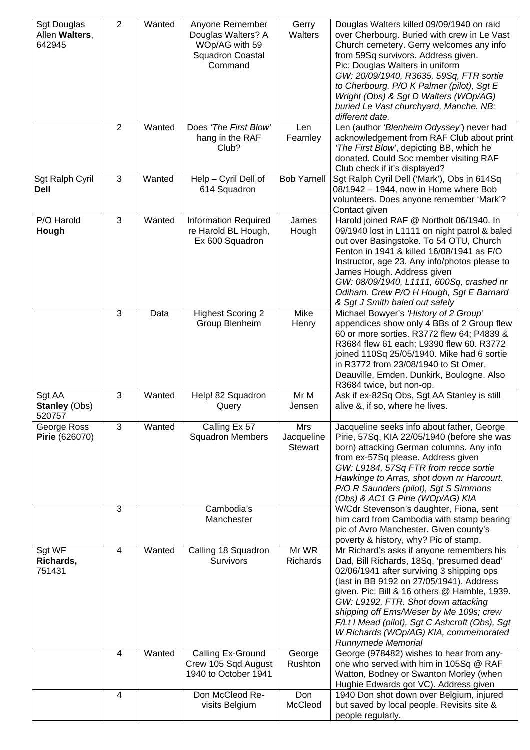| <b>Sgt Douglas</b><br>Allen Walters,<br>642945 | $\overline{2}$          | Wanted | Anyone Remember<br>Douglas Walters? A<br>WOp/AG with 59<br><b>Squadron Coastal</b><br>Command | Gerry<br>Walters             | Douglas Walters killed 09/09/1940 on raid<br>over Cherbourg. Buried with crew in Le Vast<br>Church cemetery. Gerry welcomes any info<br>from 59Sq survivors. Address given.<br>Pic: Douglas Walters in uniform<br>GW: 20/09/1940, R3635, 59Sq, FTR sortie<br>to Cherbourg. P/O K Palmer (pilot), Sgt E<br>Wright (Obs) & Sgt D Walters (WOp/AG)<br>buried Le Vast churchyard, Manche. NB:<br>different date.                       |
|------------------------------------------------|-------------------------|--------|-----------------------------------------------------------------------------------------------|------------------------------|------------------------------------------------------------------------------------------------------------------------------------------------------------------------------------------------------------------------------------------------------------------------------------------------------------------------------------------------------------------------------------------------------------------------------------|
|                                                | $\overline{2}$          | Wanted | Does 'The First Blow'<br>hang in the RAF<br>Club?                                             | Len<br>Fearnley              | Len (author 'Blenheim Odyssey') never had<br>acknowledgement from RAF Club about print<br>'The First Blow', depicting BB, which he<br>donated. Could Soc member visiting RAF<br>Club check if it's displayed?                                                                                                                                                                                                                      |
| Sgt Ralph Cyril<br>Dell                        | 3                       | Wanted | Help - Cyril Dell of<br>614 Squadron                                                          | <b>Bob Yarnell</b>           | Sgt Ralph Cyril Dell ('Mark'), Obs in 614Sq<br>08/1942 - 1944, now in Home where Bob<br>volunteers. Does anyone remember 'Mark'?<br>Contact given                                                                                                                                                                                                                                                                                  |
| P/O Harold<br>Hough                            | 3                       | Wanted | <b>Information Required</b><br>re Harold BL Hough,<br>Ex 600 Squadron                         | James<br>Hough               | Harold joined RAF @ Northolt 06/1940. In<br>09/1940 lost in L1111 on night patrol & baled<br>out over Basingstoke. To 54 OTU, Church<br>Fenton in 1941 & killed 16/08/1941 as F/O<br>Instructor, age 23. Any info/photos please to<br>James Hough. Address given<br>GW: 08/09/1940, L1111, 600Sq, crashed nr<br>Odiham. Crew P/O H Hough, Sgt E Barnard<br>& Sgt J Smith baled out safely                                          |
|                                                | 3                       | Data   | <b>Highest Scoring 2</b><br>Group Blenheim                                                    | Mike<br>Henry                | Michael Bowyer's 'History of 2 Group'<br>appendices show only 4 BBs of 2 Group flew<br>60 or more sorties. R3772 flew 64; P4839 &<br>R3684 flew 61 each; L9390 flew 60. R3772<br>joined 110Sq 25/05/1940. Mike had 6 sortie<br>in R3772 from 23/08/1940 to St Omer,<br>Deauville, Emden. Dunkirk, Boulogne. Also<br>R3684 twice, but non-op.                                                                                       |
| Sgt AA<br><b>Stanley (Obs)</b><br>520757       | 3                       | Wanted | Help! 82 Squadron<br>Query                                                                    | Mr M<br>Jensen               | Ask if ex-82Sq Obs, Sgt AA Stanley is still<br>alive &, if so, where he lives.                                                                                                                                                                                                                                                                                                                                                     |
| George Ross<br>Pirie (626070)                  | 3                       | Wanted | Calling Ex 57<br><b>Squadron Members</b>                                                      | Mrs<br>Jacqueline<br>Stewart | Jacqueline seeks info about father, George<br>Pirie, 57Sq, KIA 22/05/1940 (before she was<br>born) attacking German columns. Any info<br>from ex-57Sq please. Address given<br>GW: L9184, 57Sq FTR from recce sortie<br>Hawkinge to Arras, shot down nr Harcourt.<br>P/O R Saunders (pilot), Sgt S Simmons<br>(Obs) & AC1 G Pirie (WOp/AG) KIA                                                                                     |
|                                                | 3                       |        | Cambodia's<br>Manchester                                                                      |                              | W/Cdr Stevenson's daughter, Fiona, sent<br>him card from Cambodia with stamp bearing<br>pic of Avro Manchester. Given county's<br>poverty & history, why? Pic of stamp.                                                                                                                                                                                                                                                            |
| Sgt WF<br>Richards,<br>751431                  | 4                       | Wanted | Calling 18 Squadron<br>Survivors                                                              | Mr WR<br>Richards            | Mr Richard's asks if anyone remembers his<br>Dad, Bill Richards, 18Sq, 'presumed dead'<br>02/06/1941 after surviving 3 shipping ops<br>(last in BB 9192 on 27/05/1941). Address<br>given. Pic: Bill & 16 others @ Hamble, 1939.<br>GW: L9192, FTR. Shot down attacking<br>shipping off Ems/Weser by Me 109s; crew<br>F/Lt I Mead (pilot), Sgt C Ashcroft (Obs), Sgt<br>W Richards (WOp/AG) KIA, commemorated<br>Runnymede Memorial |
|                                                | 4                       | Wanted | Calling Ex-Ground<br>Crew 105 Sqd August<br>1940 to October 1941                              | George<br>Rushton            | George (978482) wishes to hear from any-<br>one who served with him in 105Sq @ RAF<br>Watton, Bodney or Swanton Morley (when<br>Hughie Edwards got VC). Address given                                                                                                                                                                                                                                                              |
|                                                | $\overline{\mathbf{4}}$ |        | Don McCleod Re-<br>visits Belgium                                                             | Don<br>McCleod               | 1940 Don shot down over Belgium, injured<br>but saved by local people. Revisits site &<br>people regularly.                                                                                                                                                                                                                                                                                                                        |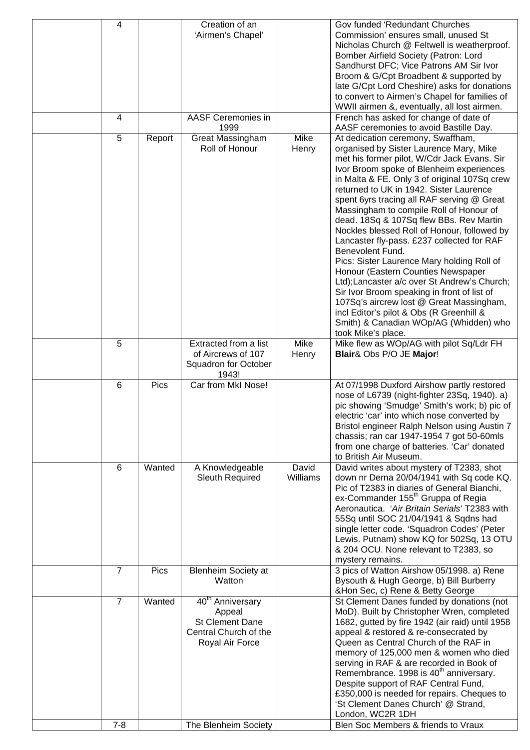| 4              |             | Creation of an               |          | Gov funded 'Redundant Churches                                                               |
|----------------|-------------|------------------------------|----------|----------------------------------------------------------------------------------------------|
|                |             | 'Airmen's Chapel'            |          | Commission' ensures small, unused St                                                         |
|                |             |                              |          | Nicholas Church @ Feltwell is weatherproof.                                                  |
|                |             |                              |          | Bomber Airfield Society (Patron: Lord                                                        |
|                |             |                              |          | Sandhurst DFC; Vice Patrons AM Sir Ivor                                                      |
|                |             |                              |          | Broom & G/Cpt Broadbent & supported by                                                       |
|                |             |                              |          | late G/Cpt Lord Cheshire) asks for donations                                                 |
|                |             |                              |          | to convert to Airmen's Chapel for families of<br>WWII airmen &, eventually, all lost airmen. |
| 4              |             | <b>AASF Ceremonies in</b>    |          | French has asked for change of date of                                                       |
|                |             | 1999                         |          | AASF ceremonies to avoid Bastille Day.                                                       |
| 5              | Report      | Great Massingham             | Mike     | At dedication ceremony, Swaffham,                                                            |
|                |             | Roll of Honour               | Henry    | organised by Sister Laurence Mary, Mike                                                      |
|                |             |                              |          | met his former pilot, W/Cdr Jack Evans. Sir                                                  |
|                |             |                              |          | Ivor Broom spoke of Blenheim experiences                                                     |
|                |             |                              |          | in Malta & FE. Only 3 of original 107Sq crew                                                 |
|                |             |                              |          | returned to UK in 1942. Sister Laurence                                                      |
|                |             |                              |          | spent 6yrs tracing all RAF serving @ Great                                                   |
|                |             |                              |          | Massingham to compile Roll of Honour of                                                      |
|                |             |                              |          | dead. 18Sq & 107Sq flew BBs. Rev Martin                                                      |
|                |             |                              |          | Nockles blessed Roll of Honour, followed by<br>Lancaster fly-pass. £237 collected for RAF    |
|                |             |                              |          | Benevolent Fund.                                                                             |
|                |             |                              |          | Pics: Sister Laurence Mary holding Roll of                                                   |
|                |             |                              |          | Honour (Eastern Counties Newspaper                                                           |
|                |             |                              |          | Ltd); Lancaster a/c over St Andrew's Church;                                                 |
|                |             |                              |          | Sir Ivor Broom speaking in front of list of                                                  |
|                |             |                              |          | 107Sq's aircrew lost @ Great Massingham,                                                     |
|                |             |                              |          | incl Editor's pilot & Obs (R Greenhill &                                                     |
|                |             |                              |          | Smith) & Canadian WOp/AG (Whidden) who                                                       |
| 5              |             | Extracted from a list        | Mike     | took Mike's place.<br>Mike flew as WOp/AG with pilot Sq/Ldr FH                               |
|                |             | of Aircrews of 107           | Henry    | Blair& Obs P/O JE Major!                                                                     |
|                |             | Squadron for October         |          |                                                                                              |
|                |             | 1943!                        |          |                                                                                              |
| 6              | Pics        | Car from MkI Nose!           |          | At 07/1998 Duxford Airshow partly restored                                                   |
|                |             |                              |          | nose of L6739 (night-fighter 23Sq, 1940). a)                                                 |
|                |             |                              |          | pic showing 'Smudge' Smith's work; b) pic of                                                 |
|                |             |                              |          | electric 'car' into which nose converted by                                                  |
|                |             |                              |          | Bristol engineer Ralph Nelson using Austin 7                                                 |
|                |             |                              |          | chassis; ran car 1947-1954 7 got 50-60mls<br>from one charge of batteries. 'Car' donated     |
|                |             |                              |          | to British Air Museum.                                                                       |
| 6              | Wanted      | A Knowledgeable              | David    | David writes about mystery of T2383, shot                                                    |
|                |             | <b>Sleuth Required</b>       | Williams | down nr Derna 20/04/1941 with Sq code KQ.                                                    |
|                |             |                              |          | Pic of T2383 in diaries of General Bianchi,                                                  |
|                |             |                              |          | ex-Commander 155 <sup>th</sup> Gruppa of Regia                                               |
|                |             |                              |          | Aeronautica. 'Air Britain Serials' T2383 with                                                |
|                |             |                              |          | 55Sq until SOC 21/04/1941 & Sqdns had                                                        |
|                |             |                              |          | single letter code. 'Squadron Codes' (Peter                                                  |
|                |             |                              |          | Lewis. Putnam) show KQ for 502Sq, 13 OTU<br>& 204 OCU. None relevant to T2383, so            |
|                |             |                              |          | mystery remains.                                                                             |
| 7              | <b>Pics</b> | <b>Blenheim Society at</b>   |          | 3 pics of Watton Airshow 05/1998. a) Rene                                                    |
|                |             | Watton                       |          | Bysouth & Hugh George, b) Bill Burberry                                                      |
|                |             |                              |          | &Hon Sec, c) Rene & Betty George                                                             |
| $\overline{7}$ | Wanted      | 40 <sup>th</sup> Anniversary |          | St Clement Danes funded by donations (not                                                    |
|                |             | Appeal                       |          | MoD). Built by Christopher Wren, completed                                                   |
|                |             | <b>St Clement Dane</b>       |          | 1682, gutted by fire 1942 (air raid) until 1958                                              |
|                |             | Central Church of the        |          | appeal & restored & re-consecrated by<br>Queen as Central Church of the RAF in               |
|                |             | Royal Air Force              |          | memory of 125,000 men & women who died                                                       |
|                |             |                              |          | serving in RAF & are recorded in Book of                                                     |
|                |             |                              |          | Remembrance. 1998 is 40 <sup>th</sup> anniversary.                                           |
|                |             |                              |          | Despite support of RAF Central Fund,                                                         |
|                |             |                              |          | £350,000 is needed for repairs. Cheques to                                                   |
|                |             |                              |          |                                                                                              |
|                |             |                              |          | 'St Clement Danes Church' @ Strand,                                                          |
| $7 - 8$        |             | The Blenheim Society         |          | London, WC2R 1DH<br>Blen Soc Members & friends to Vraux                                      |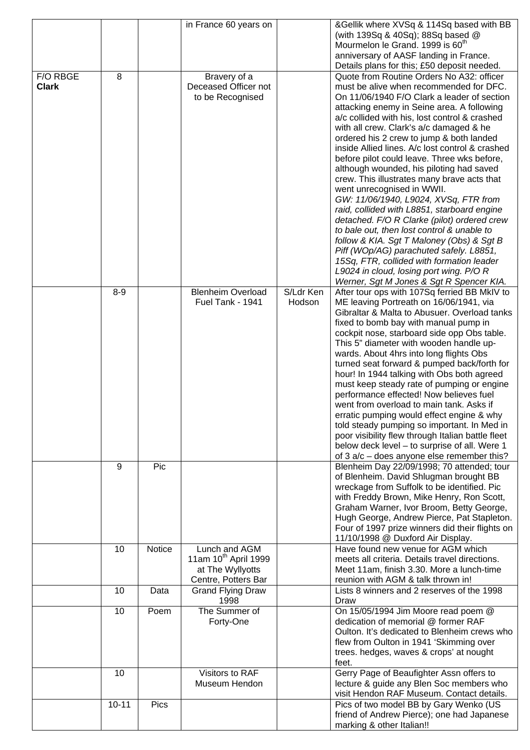|                          |           |        | in France 60 years on                                                                        |                     | &Gellik where XVSq & 114Sq based with BB<br>(with 139Sq & 40Sq); 88Sq based @<br>Mourmelon le Grand. 1999 is 60 <sup>th</sup>                                                                                                                                                                                                                                                                                                                                                                                                                                                                                                                                                                                                                                                                                                                                                                                                                                         |
|--------------------------|-----------|--------|----------------------------------------------------------------------------------------------|---------------------|-----------------------------------------------------------------------------------------------------------------------------------------------------------------------------------------------------------------------------------------------------------------------------------------------------------------------------------------------------------------------------------------------------------------------------------------------------------------------------------------------------------------------------------------------------------------------------------------------------------------------------------------------------------------------------------------------------------------------------------------------------------------------------------------------------------------------------------------------------------------------------------------------------------------------------------------------------------------------|
|                          |           |        |                                                                                              |                     | anniversary of AASF landing in France.<br>Details plans for this; £50 deposit needed.                                                                                                                                                                                                                                                                                                                                                                                                                                                                                                                                                                                                                                                                                                                                                                                                                                                                                 |
| F/O RBGE<br><b>Clark</b> | 8         |        | Bravery of a<br>Deceased Officer not<br>to be Recognised                                     |                     | Quote from Routine Orders No A32: officer<br>must be alive when recommended for DFC.<br>On 11/06/1940 F/O Clark a leader of section<br>attacking enemy in Seine area. A following<br>a/c collided with his, lost control & crashed<br>with all crew. Clark's a/c damaged & he<br>ordered his 2 crew to jump & both landed<br>inside Allied lines. A/c lost control & crashed<br>before pilot could leave. Three wks before,<br>although wounded, his piloting had saved<br>crew. This illustrates many brave acts that<br>went unrecognised in WWII.<br>GW: 11/06/1940, L9024, XVSq, FTR from<br>raid, collided with L8851, starboard engine<br>detached. F/O R Clarke (pilot) ordered crew<br>to bale out, then lost control & unable to<br>follow & KIA. Sgt T Maloney (Obs) & Sgt B<br>Piff (WOp/AG) parachuted safely. L8851,<br>15Sq, FTR, collided with formation leader<br>L9024 in cloud, losing port wing. P/O R<br>Werner, Sgt M Jones & Sgt R Spencer KIA. |
|                          | $8 - 9$   |        | <b>Blenheim Overload</b><br>Fuel Tank - 1941                                                 | S/Ldr Ken<br>Hodson | After tour ops with 107Sq ferried BB MkIV to<br>ME leaving Portreath on 16/06/1941, via<br>Gibraltar & Malta to Abusuer. Overload tanks<br>fixed to bomb bay with manual pump in<br>cockpit nose, starboard side opp Obs table.<br>This 5" diameter with wooden handle up-<br>wards. About 4hrs into long flights Obs<br>turned seat forward & pumped back/forth for<br>hour! In 1944 talking with Obs both agreed<br>must keep steady rate of pumping or engine<br>performance effected! Now believes fuel<br>went from overload to main tank. Asks if<br>erratic pumping would effect engine & why<br>told steady pumping so important. In Med in<br>poor visibility flew through Italian battle fleet<br>below deck level - to surprise of all. Were 1<br>of $3 a/c$ – does anyone else remember this?                                                                                                                                                             |
|                          | 9         | Pic    |                                                                                              |                     | Blenheim Day 22/09/1998; 70 attended; tour<br>of Blenheim. David Shlugman brought BB<br>wreckage from Suffolk to be identified. Pic<br>with Freddy Brown, Mike Henry, Ron Scott,<br>Graham Warner, Ivor Broom, Betty George,<br>Hugh George, Andrew Pierce, Pat Stapleton.<br>Four of 1997 prize winners did their flights on<br>11/10/1998 @ Duxford Air Display.                                                                                                                                                                                                                                                                                                                                                                                                                                                                                                                                                                                                    |
|                          | 10        | Notice | Lunch and AGM<br>11am 10 <sup>th</sup> April 1999<br>at The Wyllyotts<br>Centre, Potters Bar |                     | Have found new venue for AGM which<br>meets all criteria. Details travel directions.<br>Meet 11am, finish 3.30. More a lunch-time<br>reunion with AGM & talk thrown in!                                                                                                                                                                                                                                                                                                                                                                                                                                                                                                                                                                                                                                                                                                                                                                                               |
|                          | 10        | Data   | <b>Grand Flying Draw</b><br>1998                                                             |                     | Lists 8 winners and 2 reserves of the 1998<br>Draw                                                                                                                                                                                                                                                                                                                                                                                                                                                                                                                                                                                                                                                                                                                                                                                                                                                                                                                    |
|                          | 10        | Poem   | The Summer of<br>Forty-One                                                                   |                     | On 15/05/1994 Jim Moore read poem @<br>dedication of memorial @ former RAF<br>Oulton. It's dedicated to Blenheim crews who<br>flew from Oulton in 1941 'Skimming over<br>trees. hedges, waves & crops' at nought<br>feet.                                                                                                                                                                                                                                                                                                                                                                                                                                                                                                                                                                                                                                                                                                                                             |
|                          | 10        |        | Visitors to RAF<br>Museum Hendon                                                             |                     | Gerry Page of Beaufighter Assn offers to<br>lecture & guide any Blen Soc members who<br>visit Hendon RAF Museum. Contact details.                                                                                                                                                                                                                                                                                                                                                                                                                                                                                                                                                                                                                                                                                                                                                                                                                                     |
|                          | $10 - 11$ | Pics   |                                                                                              |                     | Pics of two model BB by Gary Wenko (US<br>friend of Andrew Pierce); one had Japanese<br>marking & other Italian!!                                                                                                                                                                                                                                                                                                                                                                                                                                                                                                                                                                                                                                                                                                                                                                                                                                                     |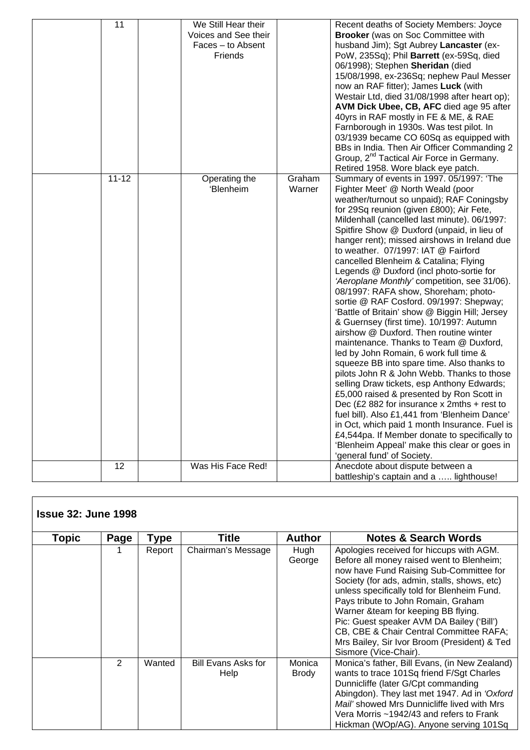| 11        | We Still Hear their  |        | Recent deaths of Society Members: Joyce               |
|-----------|----------------------|--------|-------------------------------------------------------|
|           | Voices and See their |        | Brooker (was on Soc Committee with                    |
|           | Faces - to Absent    |        | husband Jim); Sgt Aubrey Lancaster (ex-               |
|           | Friends              |        | PoW, 235Sq); Phil Barrett (ex-59Sq, died              |
|           |                      |        | 06/1998); Stephen Sheridan (died                      |
|           |                      |        | 15/08/1998, ex-236Sq; nephew Paul Messer              |
|           |                      |        | now an RAF fitter); James Luck (with                  |
|           |                      |        |                                                       |
|           |                      |        | Westair Ltd, died 31/08/1998 after heart op);         |
|           |                      |        | AVM Dick Ubee, CB, AFC died age 95 after              |
|           |                      |        | 40yrs in RAF mostly in FE & ME, & RAE                 |
|           |                      |        | Farnborough in 1930s. Was test pilot. In              |
|           |                      |        | 03/1939 became CO 60Sq as equipped with               |
|           |                      |        | BBs in India. Then Air Officer Commanding 2           |
|           |                      |        | Group, 2 <sup>nd</sup> Tactical Air Force in Germany. |
|           |                      |        | Retired 1958. Wore black eye patch.                   |
| $11 - 12$ | Operating the        | Graham | Summary of events in 1997. 05/1997: 'The              |
|           | 'Blenheim            | Warner | Fighter Meet' @ North Weald (poor                     |
|           |                      |        | weather/turnout so unpaid); RAF Coningsby             |
|           |                      |        | for 29Sq reunion (given £800); Air Fete,              |
|           |                      |        | Mildenhall (cancelled last minute). 06/1997:          |
|           |                      |        | Spitfire Show @ Duxford (unpaid, in lieu of           |
|           |                      |        |                                                       |
|           |                      |        | hanger rent); missed airshows in Ireland due          |
|           |                      |        | to weather. 07/1997: IAT @ Fairford                   |
|           |                      |        | cancelled Blenheim & Catalina; Flying                 |
|           |                      |        | Legends @ Duxford (incl photo-sortie for              |
|           |                      |        | 'Aeroplane Monthly' competition, see 31/06).          |
|           |                      |        | 08/1997: RAFA show, Shoreham; photo-                  |
|           |                      |        | sortie @ RAF Cosford. 09/1997: Shepway;               |
|           |                      |        | 'Battle of Britain' show @ Biggin Hill; Jersey        |
|           |                      |        | & Guernsey (first time). 10/1997: Autumn              |
|           |                      |        | airshow @ Duxford. Then routine winter                |
|           |                      |        | maintenance. Thanks to Team @ Duxford,                |
|           |                      |        | led by John Romain, 6 work full time &                |
|           |                      |        | squeeze BB into spare time. Also thanks to            |
|           |                      |        |                                                       |
|           |                      |        | pilots John R & John Webb. Thanks to those            |
|           |                      |        | selling Draw tickets, esp Anthony Edwards;            |
|           |                      |        | £5,000 raised & presented by Ron Scott in             |
|           |                      |        | Dec (£2 882 for insurance $x$ 2mths + rest to         |
|           |                      |        | fuel bill). Also £1,441 from 'Blenheim Dance'         |
|           |                      |        | in Oct, which paid 1 month Insurance. Fuel is         |
|           |                      |        | £4,544pa. If Member donate to specifically to         |
|           |                      |        | 'Blenheim Appeal' make this clear or goes in          |
|           |                      |        | 'general fund' of Society.                            |
| 12        | Was His Face Red!    |        | Anecdote about dispute between a                      |
|           |                      |        | battleship's captain and a  lighthouse!               |
|           |                      |        |                                                       |

| <b>Issue 32: June 1998</b> |               |        |                                    |                 |                                                                                                                                                                                                                                                                                                                                                                                                                                                                                 |
|----------------------------|---------------|--------|------------------------------------|-----------------|---------------------------------------------------------------------------------------------------------------------------------------------------------------------------------------------------------------------------------------------------------------------------------------------------------------------------------------------------------------------------------------------------------------------------------------------------------------------------------|
| Topic                      | Page          | Type   | Title                              | <b>Author</b>   | <b>Notes &amp; Search Words</b>                                                                                                                                                                                                                                                                                                                                                                                                                                                 |
|                            |               | Report | Chairman's Message                 | Hugh<br>George  | Apologies received for hiccups with AGM.<br>Before all money raised went to Blenheim;<br>now have Fund Raising Sub-Committee for<br>Society (for ads, admin, stalls, shows, etc)<br>unless specifically told for Blenheim Fund.<br>Pays tribute to John Romain, Graham<br>Warner & team for keeping BB flying.<br>Pic: Guest speaker AVM DA Bailey ('Bill')<br>CB, CBE & Chair Central Committee RAFA;<br>Mrs Bailey, Sir Ivor Broom (President) & Ted<br>Sismore (Vice-Chair). |
|                            | $\mathcal{P}$ | Wanted | <b>Bill Evans Asks for</b><br>Help | Monica<br>Brody | Monica's father, Bill Evans, (in New Zealand)<br>wants to trace 101Sq friend F/Sgt Charles<br>Dunnicliffe (later G/Cpt commanding<br>Abingdon). They last met 1947. Ad in 'Oxford<br>Mail' showed Mrs Dunnicliffe lived with Mrs<br>Vera Morris ~1942/43 and refers to Frank<br>Hickman (WOp/AG). Anyone serving 101Sq                                                                                                                                                          |

Γ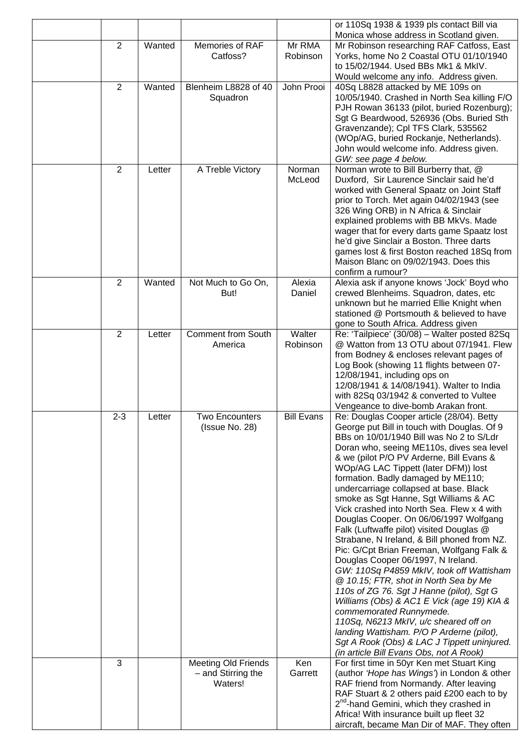|                |        |                                                             |                    | or 110Sq 1938 & 1939 pls contact Bill via                                                                                                                                                                                                                                                                                                                                                                                                                                                                                                                                                                                                                                                                                                                                                                                                                                                                                                                                                                                                                       |
|----------------|--------|-------------------------------------------------------------|--------------------|-----------------------------------------------------------------------------------------------------------------------------------------------------------------------------------------------------------------------------------------------------------------------------------------------------------------------------------------------------------------------------------------------------------------------------------------------------------------------------------------------------------------------------------------------------------------------------------------------------------------------------------------------------------------------------------------------------------------------------------------------------------------------------------------------------------------------------------------------------------------------------------------------------------------------------------------------------------------------------------------------------------------------------------------------------------------|
| $\overline{2}$ | Wanted | Memories of RAF<br>Catfoss?                                 | Mr RMA<br>Robinson | Monica whose address in Scotland given.<br>Mr Robinson researching RAF Catfoss, East<br>Yorks, home No 2 Coastal OTU 01/10/1940<br>to 15/02/1944. Used BBs Mk1 & MkIV.                                                                                                                                                                                                                                                                                                                                                                                                                                                                                                                                                                                                                                                                                                                                                                                                                                                                                          |
| $\overline{2}$ | Wanted | Blenheim L8828 of 40<br>Squadron                            | John Prooi         | Would welcome any info. Address given.<br>40Sq L8828 attacked by ME 109s on<br>10/05/1940. Crashed in North Sea killing F/O<br>PJH Rowan 36133 (pilot, buried Rozenburg);<br>Sgt G Beardwood, 526936 (Obs. Buried Sth<br>Gravenzande); Cpl TFS Clark, 535562<br>(WOp/AG, buried Rockanje, Netherlands).<br>John would welcome info. Address given.<br>GW: see page 4 below.                                                                                                                                                                                                                                                                                                                                                                                                                                                                                                                                                                                                                                                                                     |
| $\overline{2}$ | Letter | A Treble Victory                                            | Norman<br>McLeod   | Norman wrote to Bill Burberry that, @<br>Duxford, Sir Laurence Sinclair said he'd<br>worked with General Spaatz on Joint Staff<br>prior to Torch. Met again 04/02/1943 (see<br>326 Wing ORB) in N Africa & Sinclair<br>explained problems with BB MkVs. Made<br>wager that for every darts game Spaatz lost<br>he'd give Sinclair a Boston. Three darts<br>games lost & first Boston reached 18Sq from<br>Maison Blanc on 09/02/1943. Does this<br>confirm a rumour?                                                                                                                                                                                                                                                                                                                                                                                                                                                                                                                                                                                            |
| $\overline{2}$ | Wanted | Not Much to Go On,<br>But!                                  | Alexia<br>Daniel   | Alexia ask if anyone knows 'Jock' Boyd who<br>crewed Blenheims. Squadron, dates, etc<br>unknown but he married Ellie Knight when<br>stationed @ Portsmouth & believed to have<br>gone to South Africa. Address given                                                                                                                                                                                                                                                                                                                                                                                                                                                                                                                                                                                                                                                                                                                                                                                                                                            |
| $\overline{2}$ | Letter | <b>Comment from South</b><br>America                        | Walter<br>Robinson | Re: 'Tailpiece' (30/08) - Walter posted 82Sq<br>@ Watton from 13 OTU about 07/1941. Flew<br>from Bodney & encloses relevant pages of<br>Log Book (showing 11 flights between 07-<br>12/08/1941, including ops on<br>12/08/1941 & 14/08/1941). Walter to India<br>with 82Sq 03/1942 & converted to Vultee<br>Vengeance to dive-bomb Arakan front.                                                                                                                                                                                                                                                                                                                                                                                                                                                                                                                                                                                                                                                                                                                |
| $2 - 3$        | .etter | <b>Two Encounters</b><br>(Issue No. 28)                     | <b>Bill Evans</b>  | Re: Douglas Cooper article (28/04). Betty<br>George put Bill in touch with Douglas. Of 9<br>BBs on 10/01/1940 Bill was No 2 to S/Ldr<br>Doran who, seeing ME110s, dives sea level<br>& we (pilot P/O PV Arderne, Bill Evans &<br>WOp/AG LAC Tippett (later DFM)) lost<br>formation. Badly damaged by ME110;<br>undercarriage collapsed at base. Black<br>smoke as Sgt Hanne, Sgt Williams & AC<br>Vick crashed into North Sea. Flew x 4 with<br>Douglas Cooper. On 06/06/1997 Wolfgang<br>Falk (Luftwaffe pilot) visited Douglas @<br>Strabane, N Ireland, & Bill phoned from NZ.<br>Pic: G/Cpt Brian Freeman, Wolfgang Falk &<br>Douglas Cooper 06/1997, N Ireland.<br>GW: 110Sq P4859 MkIV, took off Wattisham<br>@ 10.15; FTR, shot in North Sea by Me<br>110s of ZG 76. Sgt J Hanne (pilot), Sgt G<br>Williams (Obs) & AC1 E Vick (age 19) KIA &<br>commemorated Runnymede.<br>110Sq, N6213 MkIV, u/c sheared off on<br>landing Wattisham. P/O P Arderne (pilot),<br>Sgt A Rook (Obs) & LAC J Tippett uninjured.<br>(in article Bill Evans Obs, not A Rook) |
| 3              |        | <b>Meeting Old Friends</b><br>- and Stirring the<br>Waters! | Ken<br>Garrett     | For first time in 50yr Ken met Stuart King<br>(author 'Hope has Wings') in London & other<br>RAF friend from Normandy. After leaving<br>RAF Stuart & 2 others paid £200 each to by<br>2 <sup>nd</sup> -hand Gemini, which they crashed in<br>Africa! With insurance built up fleet 32<br>aircraft, became Man Dir of MAF. They often                                                                                                                                                                                                                                                                                                                                                                                                                                                                                                                                                                                                                                                                                                                            |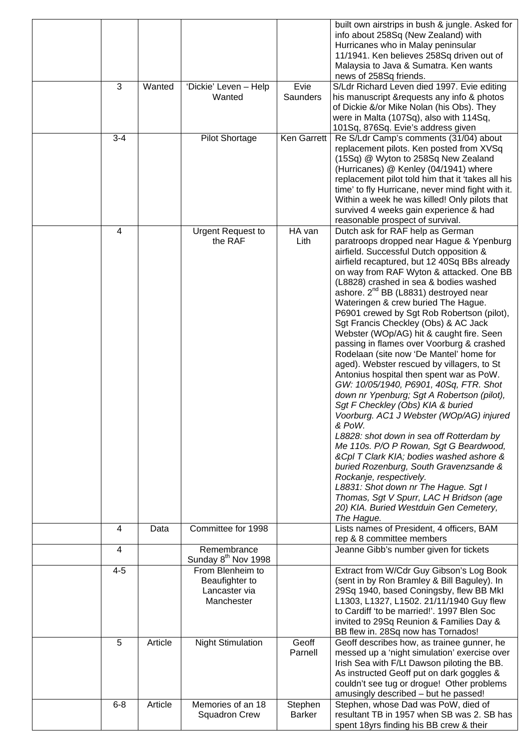| 3       | Wanted  | 'Dickie' Leven - Help                                             | Evie              | built own airstrips in bush & jungle. Asked for<br>info about 258Sq (New Zealand) with<br>Hurricanes who in Malay peninsular<br>11/1941. Ken believes 258Sq driven out of<br>Malaysia to Java & Sumatra. Ken wants<br>news of 258Sq friends.<br>S/Ldr Richard Leven died 1997. Evie editing                                                                                                                                                                                                                                                                                                                                                                                                                                                                                                                                                                                                                                                                                                                                                                                                                                                                                                                        |
|---------|---------|-------------------------------------------------------------------|-------------------|--------------------------------------------------------------------------------------------------------------------------------------------------------------------------------------------------------------------------------------------------------------------------------------------------------------------------------------------------------------------------------------------------------------------------------------------------------------------------------------------------------------------------------------------------------------------------------------------------------------------------------------------------------------------------------------------------------------------------------------------------------------------------------------------------------------------------------------------------------------------------------------------------------------------------------------------------------------------------------------------------------------------------------------------------------------------------------------------------------------------------------------------------------------------------------------------------------------------|
|         |         | Wanted                                                            | Saunders          | his manuscript & requests any info & photos<br>of Dickie &/or Mike Nolan (his Obs). They<br>were in Malta (107Sq), also with 114Sq,<br>101Sq, 876Sq. Evie's address given                                                                                                                                                                                                                                                                                                                                                                                                                                                                                                                                                                                                                                                                                                                                                                                                                                                                                                                                                                                                                                          |
| $3 - 4$ |         | <b>Pilot Shortage</b>                                             | Ken Garrett       | Re S/Ldr Camp's comments (31/04) about<br>replacement pilots. Ken posted from XVSq<br>(15Sq) @ Wyton to 258Sq New Zealand<br>(Hurricanes) @ Kenley (04/1941) where<br>replacement pilot told him that it 'takes all his<br>time' to fly Hurricane, never mind fight with it.<br>Within a week he was killed! Only pilots that<br>survived 4 weeks gain experience & had<br>reasonable prospect of survival.                                                                                                                                                                                                                                                                                                                                                                                                                                                                                                                                                                                                                                                                                                                                                                                                        |
| 4       |         | <b>Urgent Request to</b><br>the RAF                               | HA van<br>Lith    | Dutch ask for RAF help as German<br>paratroops dropped near Hague & Ypenburg<br>airfield. Successful Dutch opposition &<br>airfield recaptured, but 12 40Sq BBs already<br>on way from RAF Wyton & attacked. One BB<br>(L8828) crashed in sea & bodies washed<br>ashore. 2 <sup>nd</sup> BB (L8831) destroyed near<br>Wateringen & crew buried The Hague.<br>P6901 crewed by Sgt Rob Robertson (pilot),<br>Sgt Francis Checkley (Obs) & AC Jack<br>Webster (WOp/AG) hit & caught fire. Seen<br>passing in flames over Voorburg & crashed<br>Rodelaan (site now 'De Mantel' home for<br>aged). Webster rescued by villagers, to St<br>Antonius hospital then spent war as PoW.<br>GW: 10/05/1940, P6901, 40Sq, FTR. Shot<br>down nr Ypenburg; Sgt A Robertson (pilot),<br>Sgt F Checkley (Obs) KIA & buried<br>Voorburg. AC1 J Webster (WOp/AG) injured<br>& PoW.<br>L8828: shot down in sea off Rotterdam by<br>Me 110s. P/O P Rowan, Sgt G Beardwood,<br>&Cpl T Clark KIA; bodies washed ashore &<br>buried Rozenburg, South Gravenzsande &<br>Rockanje, respectively.<br>L8831: Shot down nr The Hague. Sgt I<br>Thomas, Sgt V Spurr, LAC H Bridson (age<br>20) KIA. Buried Westduin Gen Cemetery,<br>The Hague. |
| 4       | Data    | Committee for 1998                                                |                   | Lists names of President, 4 officers, BAM<br>rep & 8 committee members                                                                                                                                                                                                                                                                                                                                                                                                                                                                                                                                                                                                                                                                                                                                                                                                                                                                                                                                                                                                                                                                                                                                             |
| 4       |         | Remembrance<br>Sunday 8 <sup>th</sup> Nov 1998                    |                   | Jeanne Gibb's number given for tickets                                                                                                                                                                                                                                                                                                                                                                                                                                                                                                                                                                                                                                                                                                                                                                                                                                                                                                                                                                                                                                                                                                                                                                             |
| $4 - 5$ |         | From Blenheim to<br>Beaufighter to<br>Lancaster via<br>Manchester |                   | Extract from W/Cdr Guy Gibson's Log Book<br>(sent in by Ron Bramley & Bill Baguley). In<br>29Sq 1940, based Coningsby, flew BB Mkl<br>L1303, L1327, L1502. 21/11/1940 Guy flew<br>to Cardiff 'to be married!'. 1997 Blen Soc<br>invited to 29Sq Reunion & Families Day &<br>BB flew in. 28Sq now has Tornados!                                                                                                                                                                                                                                                                                                                                                                                                                                                                                                                                                                                                                                                                                                                                                                                                                                                                                                     |
| 5       | Article | <b>Night Stimulation</b>                                          | Geoff<br>Parnell  | Geoff describes how, as trainee gunner, he<br>messed up a 'night simulation' exercise over<br>Irish Sea with F/Lt Dawson piloting the BB.<br>As instructed Geoff put on dark goggles &<br>couldn't see tug or drogue! Other problems<br>amusingly described - but he passed!                                                                                                                                                                                                                                                                                                                                                                                                                                                                                                                                                                                                                                                                                                                                                                                                                                                                                                                                       |
| $6 - 8$ | Article | Memories of an 18<br><b>Squadron Crew</b>                         | Stephen<br>Barker | Stephen, whose Dad was PoW, died of<br>resultant TB in 1957 when SB was 2. SB has<br>spent 18yrs finding his BB crew & their                                                                                                                                                                                                                                                                                                                                                                                                                                                                                                                                                                                                                                                                                                                                                                                                                                                                                                                                                                                                                                                                                       |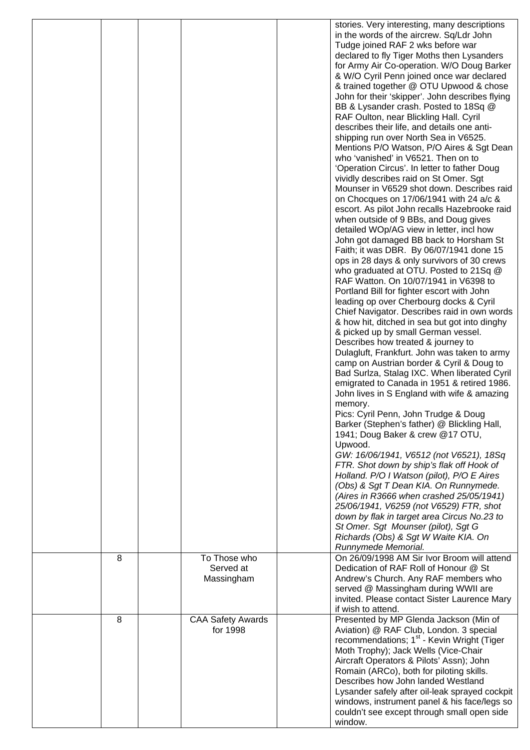|   |                          | stories. Very interesting, many descriptions           |
|---|--------------------------|--------------------------------------------------------|
|   |                          | in the words of the aircrew. Sq/Ldr John               |
|   |                          | Tudge joined RAF 2 wks before war                      |
|   |                          | declared to fly Tiger Moths then Lysanders             |
|   |                          | for Army Air Co-operation. W/O Doug Barker             |
|   |                          |                                                        |
|   |                          | & W/O Cyril Penn joined once war declared              |
|   |                          | & trained together @ OTU Upwood & chose                |
|   |                          | John for their 'skipper'. John describes flying        |
|   |                          | BB & Lysander crash. Posted to 18Sq @                  |
|   |                          | RAF Oulton, near Blickling Hall. Cyril                 |
|   |                          | describes their life, and details one anti-            |
|   |                          | shipping run over North Sea in V6525.                  |
|   |                          | Mentions P/O Watson, P/O Aires & Sgt Dean              |
|   |                          | who 'vanished' in V6521. Then on to                    |
|   |                          | 'Operation Circus'. In letter to father Doug           |
|   |                          | vividly describes raid on St Omer. Sgt                 |
|   |                          | Mounser in V6529 shot down. Describes raid             |
|   |                          |                                                        |
|   |                          | on Chocques on 17/06/1941 with 24 a/c &                |
|   |                          | escort. As pilot John recalls Hazebrooke raid          |
|   |                          | when outside of 9 BBs, and Doug gives                  |
|   |                          | detailed WOp/AG view in letter, incl how               |
|   |                          | John got damaged BB back to Horsham St                 |
|   |                          | Faith; it was DBR. By 06/07/1941 done 15               |
|   |                          | ops in 28 days & only survivors of 30 crews            |
|   |                          | who graduated at OTU. Posted to 21Sq @                 |
|   |                          | RAF Watton. On 10/07/1941 in V6398 to                  |
|   |                          | Portland Bill for fighter escort with John             |
|   |                          | leading op over Cherbourg docks & Cyril                |
|   |                          | Chief Navigator. Describes raid in own words           |
|   |                          |                                                        |
|   |                          | & how hit, ditched in sea but got into dinghy          |
|   |                          | & picked up by small German vessel.                    |
|   |                          | Describes how treated & journey to                     |
|   |                          | Dulagluft, Frankfurt. John was taken to army           |
|   |                          | camp on Austrian border & Cyril & Doug to              |
|   |                          | Bad Surlza, Stalag IXC. When liberated Cyril           |
|   |                          | emigrated to Canada in 1951 & retired 1986.            |
|   |                          | John lives in S England with wife & amazing            |
|   |                          | memory.                                                |
|   |                          | Pics: Cyril Penn, John Trudge & Doug                   |
|   |                          | Barker (Stephen's father) @ Blickling Hall,            |
|   |                          |                                                        |
|   |                          | 1941; Doug Baker & crew @17 OTU,                       |
|   |                          | Upwood.                                                |
|   |                          | GW: 16/06/1941, V6512 (not V6521), 18Sq                |
|   |                          | FTR. Shot down by ship's flak off Hook of              |
|   |                          | Holland. P/O I Watson (pilot), P/O E Aires             |
|   |                          | (Obs) & Sgt T Dean KIA. On Runnymede.                  |
|   |                          | (Aires in R3666 when crashed 25/05/1941)               |
|   |                          | 25/06/1941, V6259 (not V6529) FTR, shot                |
|   |                          | down by flak in target area Circus No.23 to            |
|   |                          | St Omer. Sgt Mounser (pilot), Sgt G                    |
|   |                          | Richards (Obs) & Sgt W Waite KIA. On                   |
|   |                          | Runnymede Memorial.                                    |
| 8 | To Those who             | On 26/09/1998 AM Sir Ivor Broom will attend            |
|   | Served at                | Dedication of RAF Roll of Honour @ St                  |
|   |                          |                                                        |
|   | Massingham               | Andrew's Church. Any RAF members who                   |
|   |                          | served @ Massingham during WWII are                    |
|   |                          | invited. Please contact Sister Laurence Mary           |
|   |                          | if wish to attend.                                     |
| 8 | <b>CAA Safety Awards</b> | Presented by MP Glenda Jackson (Min of                 |
|   | for 1998                 | Aviation) @ RAF Club, London. 3 special                |
|   |                          | recommendations; 1 <sup>st</sup> - Kevin Wright (Tiger |
|   |                          | Moth Trophy); Jack Wells (Vice-Chair                   |
|   |                          | Aircraft Operators & Pilots' Assn); John               |
|   |                          | Romain (ARCo), both for piloting skills.               |
|   |                          | Describes how John landed Westland                     |
|   |                          |                                                        |
|   |                          | Lysander safely after oil-leak sprayed cockpit         |
|   |                          | windows, instrument panel & his face/legs so           |
|   |                          | couldn't see except through small open side            |
|   |                          | window.                                                |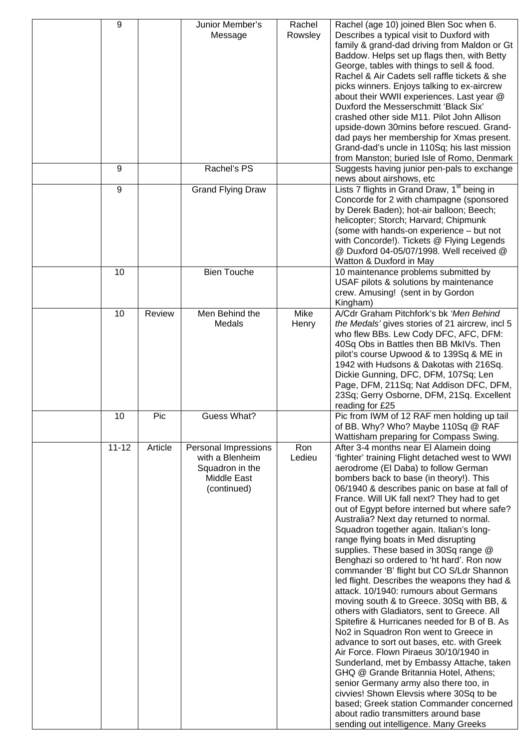| 9         |         | Junior Member's<br>Message                                                               | Rachel<br>Rowsley | Rachel (age 10) joined Blen Soc when 6.<br>Describes a typical visit to Duxford with<br>family & grand-dad driving from Maldon or Gt<br>Baddow. Helps set up flags then, with Betty<br>George, tables with things to sell & food.<br>Rachel & Air Cadets sell raffle tickets & she<br>picks winners. Enjoys talking to ex-aircrew<br>about their WWII experiences. Last year @<br>Duxford the Messerschmitt 'Black Six'<br>crashed other side M11. Pilot John Allison<br>upside-down 30mins before rescued. Grand-<br>dad pays her membership for Xmas present.<br>Grand-dad's uncle in 110Sq; his last mission<br>from Manston; buried Isle of Romo, Denmark                                                                                                                                                                                                                                                                                                                                                                                                                                                                                                                                                                                                              |
|-----------|---------|------------------------------------------------------------------------------------------|-------------------|----------------------------------------------------------------------------------------------------------------------------------------------------------------------------------------------------------------------------------------------------------------------------------------------------------------------------------------------------------------------------------------------------------------------------------------------------------------------------------------------------------------------------------------------------------------------------------------------------------------------------------------------------------------------------------------------------------------------------------------------------------------------------------------------------------------------------------------------------------------------------------------------------------------------------------------------------------------------------------------------------------------------------------------------------------------------------------------------------------------------------------------------------------------------------------------------------------------------------------------------------------------------------|
| 9         |         | Rachel's PS                                                                              |                   | Suggests having junior pen-pals to exchange<br>news about airshows, etc                                                                                                                                                                                                                                                                                                                                                                                                                                                                                                                                                                                                                                                                                                                                                                                                                                                                                                                                                                                                                                                                                                                                                                                                    |
| 9         |         | <b>Grand Flying Draw</b>                                                                 |                   | Lists 7 flights in Grand Draw, 1 <sup>st</sup> being in<br>Concorde for 2 with champagne (sponsored<br>by Derek Baden); hot-air balloon; Beech;<br>helicopter; Storch; Harvard; Chipmunk<br>(some with hands-on experience - but not<br>with Concorde!). Tickets @ Flying Legends<br>@ Duxford 04-05/07/1998. Well received @<br>Watton & Duxford in May                                                                                                                                                                                                                                                                                                                                                                                                                                                                                                                                                                                                                                                                                                                                                                                                                                                                                                                   |
| 10        |         | <b>Bien Touche</b>                                                                       |                   | 10 maintenance problems submitted by<br>USAF pilots & solutions by maintenance<br>crew. Amusing! (sent in by Gordon<br>Kingham)                                                                                                                                                                                                                                                                                                                                                                                                                                                                                                                                                                                                                                                                                                                                                                                                                                                                                                                                                                                                                                                                                                                                            |
| 10        | Review  | Men Behind the<br>Medals                                                                 | Mike<br>Henry     | A/Cdr Graham Pitchfork's bk 'Men Behind<br>the Medals' gives stories of 21 aircrew, incl 5<br>who flew BBs. Lew Cody DFC, AFC, DFM:<br>40Sq Obs in Battles then BB MkIVs. Then<br>pilot's course Upwood & to 139Sq & ME in<br>1942 with Hudsons & Dakotas with 216Sq.<br>Dickie Gunning, DFC, DFM, 107Sq; Len<br>Page, DFM, 211Sq; Nat Addison DFC, DFM,<br>23Sq; Gerry Osborne, DFM, 21Sq. Excellent<br>reading for £25                                                                                                                                                                                                                                                                                                                                                                                                                                                                                                                                                                                                                                                                                                                                                                                                                                                   |
| 10        | Pic     | Guess What?                                                                              |                   | Pic from IWM of 12 RAF men holding up tail<br>of BB. Why? Who? Maybe 110Sq @ RAF<br>Wattisham preparing for Compass Swing.                                                                                                                                                                                                                                                                                                                                                                                                                                                                                                                                                                                                                                                                                                                                                                                                                                                                                                                                                                                                                                                                                                                                                 |
| $11 - 12$ | Article | Personal Impressions<br>with a Blenheim<br>Squadron in the<br>Middle East<br>(continued) | Ron<br>Ledieu     | After 3-4 months near El Alamein doing<br>'fighter' training Flight detached west to WWI<br>aerodrome (El Daba) to follow German<br>bombers back to base (in theory!). This<br>06/1940 & describes panic on base at fall of<br>France. Will UK fall next? They had to get<br>out of Egypt before interned but where safe?<br>Australia? Next day returned to normal.<br>Squadron together again. Italian's long-<br>range flying boats in Med disrupting<br>supplies. These based in 30Sq range @<br>Benghazi so ordered to 'ht hard'. Ron now<br>commander 'B' flight but CO S/Ldr Shannon<br>led flight. Describes the weapons they had &<br>attack. 10/1940: rumours about Germans<br>moving south & to Greece. 30Sq with BB, &<br>others with Gladiators, sent to Greece. All<br>Spitefire & Hurricanes needed for B of B. As<br>No2 in Squadron Ron went to Greece in<br>advance to sort out bases, etc. with Greek<br>Air Force. Flown Piraeus 30/10/1940 in<br>Sunderland, met by Embassy Attache, taken<br>GHQ @ Grande Britannia Hotel, Athens;<br>senior Germany army also there too, in<br>civvies! Shown Elevsis where 30Sq to be<br>based; Greek station Commander concerned<br>about radio transmitters around base<br>sending out intelligence. Many Greeks |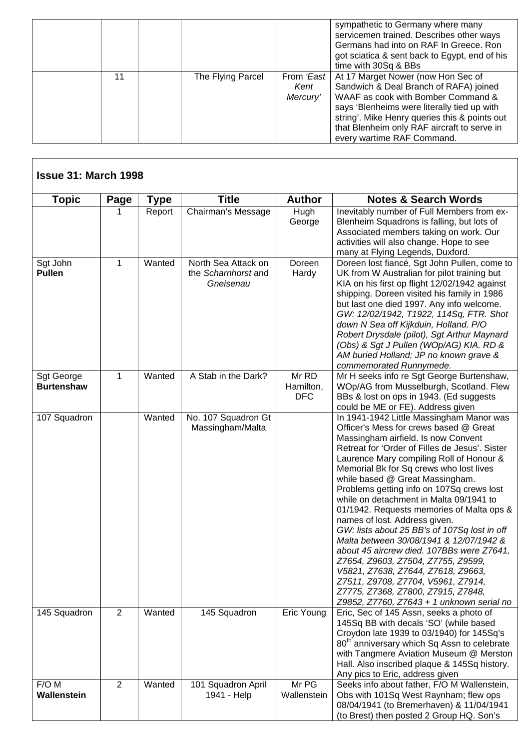|    |                   |                                | sympathetic to Germany where many<br>servicemen trained. Describes other ways<br>Germans had into on RAF In Greece. Ron<br>got sciatica & sent back to Egypt, end of his<br>time with 30Sq & BBs                                                                                                |
|----|-------------------|--------------------------------|-------------------------------------------------------------------------------------------------------------------------------------------------------------------------------------------------------------------------------------------------------------------------------------------------|
| 11 | The Flying Parcel | From 'East<br>Kent<br>Mercury' | At 17 Marget Nower (now Hon Sec of<br>Sandwich & Deal Branch of RAFA) joined<br>WAAF as cook with Bomber Command &<br>says 'Blenheims were literally tied up with<br>string'. Mike Henry queries this & points out<br>that Blenheim only RAF aircraft to serve in<br>every wartime RAF Command. |

 $\mathbf I$ 

| <b>Topic</b>                    | Page                   | Type   | <b>Title</b>                                            | <b>Author</b>                    | <b>Notes &amp; Search Words</b>                                                                                                                                                                                                                                                                                                                                                                                                                                                                                                                                                                                                                                                                                                                                                                                          |
|---------------------------------|------------------------|--------|---------------------------------------------------------|----------------------------------|--------------------------------------------------------------------------------------------------------------------------------------------------------------------------------------------------------------------------------------------------------------------------------------------------------------------------------------------------------------------------------------------------------------------------------------------------------------------------------------------------------------------------------------------------------------------------------------------------------------------------------------------------------------------------------------------------------------------------------------------------------------------------------------------------------------------------|
|                                 |                        | Report | Chairman's Message                                      | Hugh<br>George                   | Inevitably number of Full Members from ex-<br>Blenheim Squadrons is falling, but lots of<br>Associated members taking on work. Our<br>activities will also change. Hope to see<br>many at Flying Legends, Duxford.                                                                                                                                                                                                                                                                                                                                                                                                                                                                                                                                                                                                       |
| Sgt John<br><b>Pullen</b>       | $\mathbf{1}$<br>Wanted |        | North Sea Attack on<br>the Scharnhorst and<br>Gneisenau | Doreen<br>Hardy                  | Doreen lost fiancé, Sgt John Pullen, come to<br>UK from W Australian for pilot training but<br>KIA on his first op flight 12/02/1942 against<br>shipping. Doreen visited his family in 1986<br>but last one died 1997. Any info welcome.<br>GW: 12/02/1942, T1922, 114Sq, FTR. Shot<br>down N Sea off Kijkduin, Holland. P/O<br>Robert Drysdale (pilot), Sgt Arthur Maynard<br>(Obs) & Sgt J Pullen (WOp/AG) KIA. RD &<br>AM buried Holland; JP no known grave &<br>commemorated Runnymede.                                                                                                                                                                                                                                                                                                                              |
| Sgt George<br><b>Burtenshaw</b> | 1                      | Wanted | A Stab in the Dark?                                     | Mr RD<br>Hamilton,<br><b>DFC</b> | Mr H seeks info re Sgt George Burtenshaw,<br>WOp/AG from Musselburgh, Scotland. Flew<br>BBs & lost on ops in 1943. (Ed suggests<br>could be ME or FE). Address given                                                                                                                                                                                                                                                                                                                                                                                                                                                                                                                                                                                                                                                     |
| 107 Squadron                    |                        | Wanted | No. 107 Squadron Gt<br>Massingham/Malta                 |                                  | In 1941-1942 Little Massingham Manor was<br>Officer's Mess for crews based @ Great<br>Massingham airfield. Is now Convent<br>Retreat for 'Order of Filles de Jesus'. Sister<br>Laurence Mary compiling Roll of Honour &<br>Memorial Bk for Sq crews who lost lives<br>while based @ Great Massingham.<br>Problems getting info on 107Sq crews lost<br>while on detachment in Malta 09/1941 to<br>01/1942. Requests memories of Malta ops &<br>names of lost. Address given.<br>GW: lists about 25 BB's of 107Sq lost in off<br>Malta between 30/08/1941 & 12/07/1942 &<br>about 45 aircrew died. 107BBs were Z7641,<br>Z7654, Z9603, Z7504, Z7755, Z9599,<br>V5821, Z7638, Z7644, Z7618, Z9663,<br>Z7511, Z9708, Z7704, V5961, Z7914,<br>Z7775, Z7368, Z7800, Z7915, Z7848,<br>Z9852, Z7760, Z7643 + 1 unknown serial no |
| 145 Squadron                    | 2                      | Wanted | 145 Squadron                                            | Eric Young                       | Eric, Sec of 145 Assn, seeks a photo of<br>145Sq BB with decals 'SO' (while based<br>Croydon late 1939 to 03/1940) for 145Sq's<br>80 <sup>th</sup> anniversary which Sq Assn to celebrate<br>with Tangmere Aviation Museum @ Merston<br>Hall. Also inscribed plaque & 145Sq history.<br>Any pics to Eric, address given                                                                                                                                                                                                                                                                                                                                                                                                                                                                                                  |
| F/O M<br>Wallenstein            | 2                      | Wanted | 101 Squadron April<br>1941 - Help                       | Mr PG<br>Wallenstein             | Seeks info about father, F/O M Wallenstein,<br>Obs with 101Sq West Raynham; flew ops<br>08/04/1941 (to Bremerhaven) & 11/04/1941<br>(to Brest) then posted 2 Group HQ. Son's                                                                                                                                                                                                                                                                                                                                                                                                                                                                                                                                                                                                                                             |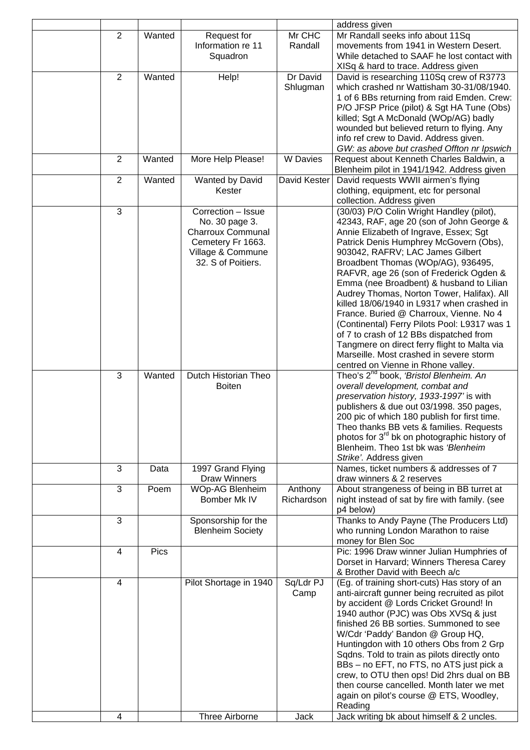|                |        |                          |                   | address given                                                                                 |
|----------------|--------|--------------------------|-------------------|-----------------------------------------------------------------------------------------------|
| $\overline{2}$ | Wanted | Request for              | Mr CHC            | Mr Randall seeks info about 11Sq                                                              |
|                |        | Information re 11        | Randall           | movements from 1941 in Western Desert.                                                        |
|                |        | Squadron                 |                   | While detached to SAAF he lost contact with                                                   |
| $\overline{2}$ | Wanted | Help!                    | Dr David          | XISq & hard to trace. Address given<br>David is researching 110Sq crew of R3773               |
|                |        |                          | Shlugman          | which crashed nr Wattisham 30-31/08/1940.                                                     |
|                |        |                          |                   | 1 of 6 BBs returning from raid Emden. Crew:                                                   |
|                |        |                          |                   | P/O JFSP Price (pilot) & Sgt HA Tune (Obs)                                                    |
|                |        |                          |                   | killed; Sgt A McDonald (WOp/AG) badly                                                         |
|                |        |                          |                   | wounded but believed return to flying. Any                                                    |
|                |        |                          |                   | info ref crew to David. Address given.                                                        |
|                |        |                          |                   | GW: as above but crashed Offton nr Ipswich                                                    |
| $\overline{2}$ | Wanted | More Help Please!        | <b>W</b> Davies   | Request about Kenneth Charles Baldwin, a                                                      |
|                |        |                          |                   | Blenheim pilot in 1941/1942. Address given                                                    |
| $\overline{2}$ | Wanted | Wanted by David          | David Kester      | David requests WWII airmen's flying                                                           |
|                |        | Kester                   |                   | clothing, equipment, etc for personal<br>collection. Address given                            |
| 3              |        | Correction - Issue       |                   | (30/03) P/O Colin Wright Handley (pilot),                                                     |
|                |        | No. 30 page 3.           |                   | 42343, RAF, age 20 (son of John George &                                                      |
|                |        | <b>Charroux Communal</b> |                   | Annie Elizabeth of Ingrave, Essex; Sgt                                                        |
|                |        | Cemetery Fr 1663.        |                   | Patrick Denis Humphrey McGovern (Obs),                                                        |
|                |        | Village & Commune        |                   | 903042, RAFRV; LAC James Gilbert                                                              |
|                |        | 32. S of Poitiers.       |                   | Broadbent Thomas (WOp/AG), 936495,                                                            |
|                |        |                          |                   | RAFVR, age 26 (son of Frederick Ogden &                                                       |
|                |        |                          |                   | Emma (nee Broadbent) & husband to Lilian                                                      |
|                |        |                          |                   | Audrey Thomas, Norton Tower, Halifax). All                                                    |
|                |        |                          |                   | killed 18/06/1940 in L9317 when crashed in                                                    |
|                |        |                          |                   | France. Buried @ Charroux, Vienne. No 4                                                       |
|                |        |                          |                   | (Continental) Ferry Pilots Pool: L9317 was 1                                                  |
|                |        |                          |                   | of 7 to crash of 12 BBs dispatched from<br>Tangmere on direct ferry flight to Malta via       |
|                |        |                          |                   | Marseille. Most crashed in severe storm                                                       |
|                |        |                          |                   | centred on Vienne in Rhone valley.                                                            |
| 3              | Wanted | Dutch Historian Theo     |                   | Theo's 2 <sup>nd</sup> book, 'Bristol Blenheim. An                                            |
|                |        | <b>Boiten</b>            |                   | overall development, combat and                                                               |
|                |        |                          |                   | preservation history, 1933-1997' is with                                                      |
|                |        |                          |                   | publishers & due out 03/1998. 350 pages,                                                      |
|                |        |                          |                   | 200 pic of which 180 publish for first time.                                                  |
|                |        |                          |                   | Theo thanks BB vets & families. Requests                                                      |
|                |        |                          |                   | photos for 3 <sup>rd</sup> bk on photographic history of                                      |
|                |        |                          |                   | Blenheim. Theo 1st bk was 'Blenheim                                                           |
| 3              | Data   | 1997 Grand Flying        |                   | Strike'. Address given<br>Names, ticket numbers & addresses of 7                              |
|                |        | <b>Draw Winners</b>      |                   | draw winners & 2 reserves                                                                     |
| 3              | Poem   | <b>WOp-AG Blenheim</b>   | Anthony           | About strangeness of being in BB turret at                                                    |
|                |        | Bomber Mk IV             | Richardson        | night instead of sat by fire with family. (see                                                |
|                |        |                          |                   | p4 below)                                                                                     |
| 3              |        | Sponsorship for the      |                   | Thanks to Andy Payne (The Producers Ltd)                                                      |
|                |        | <b>Blenheim Society</b>  |                   | who running London Marathon to raise                                                          |
|                |        |                          |                   | money for Blen Soc                                                                            |
| 4              | Pics   |                          |                   | Pic: 1996 Draw winner Julian Humphries of                                                     |
|                |        |                          |                   | Dorset in Harvard; Winners Theresa Carey                                                      |
|                |        |                          |                   | & Brother David with Beech a/c                                                                |
| 4              |        | Pilot Shortage in 1940   | Sq/Ldr PJ<br>Camp | (Eg. of training short-cuts) Has story of an<br>anti-aircraft gunner being recruited as pilot |
|                |        |                          |                   | by accident @ Lords Cricket Ground! In                                                        |
|                |        |                          |                   | 1940 author (PJC) was Obs XVSq & just                                                         |
|                |        |                          |                   | finished 26 BB sorties. Summoned to see                                                       |
|                |        |                          |                   | W/Cdr 'Paddy' Bandon @ Group HQ,                                                              |
|                |        |                          |                   | Huntingdon with 10 others Obs from 2 Grp                                                      |
|                |        |                          |                   |                                                                                               |
|                |        |                          |                   | Sqdns. Told to train as pilots directly onto                                                  |
|                |        |                          |                   | BBs - no EFT, no FTS, no ATS just pick a                                                      |
|                |        |                          |                   | crew, to OTU then ops! Did 2hrs dual on BB                                                    |
|                |        |                          |                   | then course cancelled. Month later we met                                                     |
|                |        |                          |                   | again on pilot's course @ ETS, Woodley,                                                       |
| 4              |        | Three Airborne           | Jack              | Reading<br>Jack writing bk about himself & 2 uncles.                                          |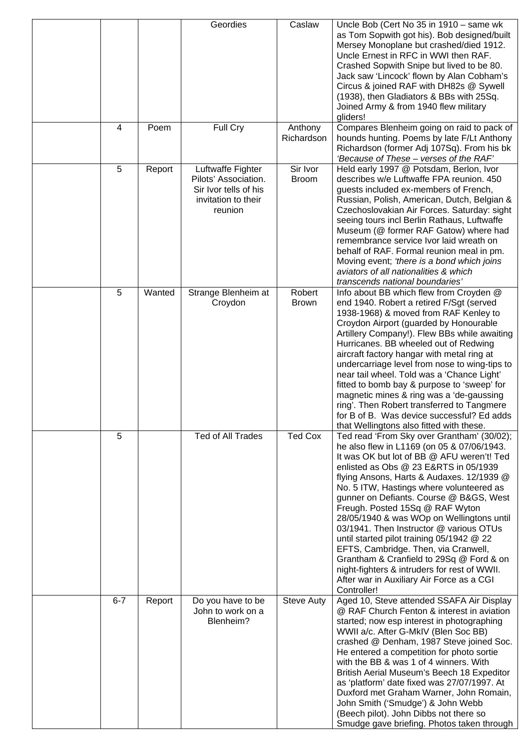|         |        | Geordies                                                                                             | Caslaw                   | Uncle Bob (Cert No 35 in 1910 - same wk<br>as Tom Sopwith got his). Bob designed/built<br>Mersey Monoplane but crashed/died 1912.<br>Uncle Ernest in RFC in WWI then RAF.<br>Crashed Sopwith Snipe but lived to be 80.<br>Jack saw 'Lincock' flown by Alan Cobham's<br>Circus & joined RAF with DH82s @ Sywell<br>(1938), then Gladiators & BBs with 25Sq.<br>Joined Army & from 1940 flew military<br>gliders!                                                                                                                                                                                                                                                                             |
|---------|--------|------------------------------------------------------------------------------------------------------|--------------------------|---------------------------------------------------------------------------------------------------------------------------------------------------------------------------------------------------------------------------------------------------------------------------------------------------------------------------------------------------------------------------------------------------------------------------------------------------------------------------------------------------------------------------------------------------------------------------------------------------------------------------------------------------------------------------------------------|
| 4       | Poem   | Full Cry                                                                                             | Anthony<br>Richardson    | Compares Blenheim going on raid to pack of<br>hounds hunting. Poems by late F/Lt Anthony<br>Richardson (former Adj 107Sq). From his bk<br>'Because of These - verses of the RAF'                                                                                                                                                                                                                                                                                                                                                                                                                                                                                                            |
| 5       | Report | Luftwaffe Fighter<br>Pilots' Association.<br>Sir Ivor tells of his<br>invitation to their<br>reunion | Sir Ivor<br><b>Broom</b> | Held early 1997 @ Potsdam, Berlon, Ivor<br>describes w/e Luftwaffe FPA reunion. 450<br>guests included ex-members of French,<br>Russian, Polish, American, Dutch, Belgian &<br>Czechoslovakian Air Forces. Saturday: sight<br>seeing tours incl Berlin Rathaus, Luftwaffe<br>Museum (@ former RAF Gatow) where had<br>remembrance service Ivor laid wreath on<br>behalf of RAF. Formal reunion meal in pm.<br>Moving event; 'there is a bond which joins<br>aviators of all nationalities & which<br>transcends national boundaries'                                                                                                                                                        |
| 5       | Wanted | Strange Blenheim at<br>Croydon                                                                       | Robert<br><b>Brown</b>   | Info about BB which flew from Croyden @<br>end 1940. Robert a retired F/Sgt (served<br>1938-1968) & moved from RAF Kenley to<br>Croydon Airport (guarded by Honourable<br>Artillery Company!). Flew BBs while awaiting<br>Hurricanes. BB wheeled out of Redwing<br>aircraft factory hangar with metal ring at<br>undercarriage level from nose to wing-tips to<br>near tail wheel. Told was a 'Chance Light'<br>fitted to bomb bay & purpose to 'sweep' for<br>magnetic mines & ring was a 'de-gaussing<br>ring'. Then Robert transferred to Tangmere<br>for B of B. Was device successful? Ed adds<br>that Wellingtons also fitted with these.                                             |
| 5       |        | Ted of All Trades                                                                                    | <b>Ted Cox</b>           | Ted read 'From Sky over Grantham' (30/02);<br>he also flew in L1169 (on 05 & 07/06/1943.<br>It was OK but lot of BB @ AFU weren't! Ted<br>enlisted as Obs @ 23 E&RTS in 05/1939<br>flying Ansons, Harts & Audaxes. 12/1939 @<br>No. 5 ITW, Hastings where volunteered as<br>gunner on Defiants. Course @ B&GS, West<br>Freugh. Posted 15Sq @ RAF Wyton<br>28/05/1940 & was WOp on Wellingtons until<br>03/1941. Then Instructor @ various OTUs<br>until started pilot training 05/1942 @ 22<br>EFTS, Cambridge. Then, via Cranwell,<br>Grantham & Cranfield to 29Sq @ Ford & on<br>night-fighters & intruders for rest of WWII.<br>After war in Auxiliary Air Force as a CGI<br>Controller! |
| $6 - 7$ | Report | Do you have to be<br>John to work on a<br>Blenheim?                                                  | <b>Steve Auty</b>        | Aged 10, Steve attended SSAFA Air Display<br>@ RAF Church Fenton & interest in aviation<br>started; now esp interest in photographing<br>WWII a/c. After G-MkIV (Blen Soc BB)<br>crashed @ Denham, 1987 Steve joined Soc.<br>He entered a competition for photo sortie<br>with the BB & was 1 of 4 winners. With<br>British Aerial Museum's Beech 18 Expeditor<br>as 'platform' date fixed was 27/07/1997. At<br>Duxford met Graham Warner, John Romain,<br>John Smith ('Smudge') & John Webb<br>(Beech pilot). John Dibbs not there so<br>Smudge gave briefing. Photos taken through                                                                                                       |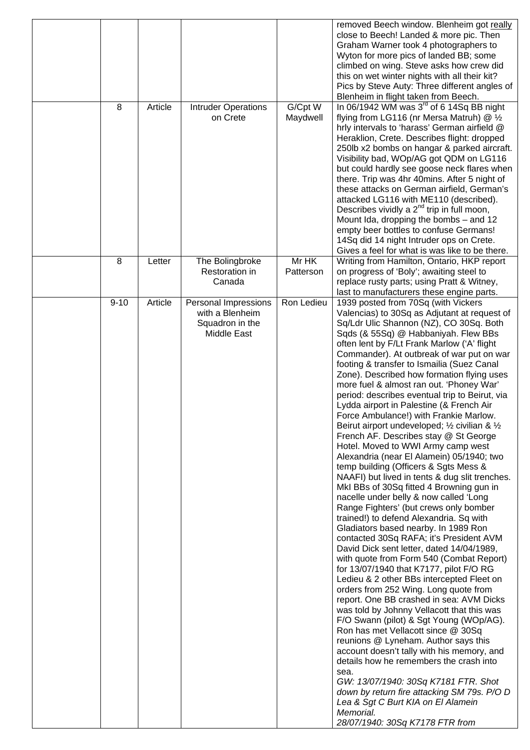| 8        | Article | <b>Intruder Operations</b><br>on Crete                                    | G/Cpt W<br>Maydwell | removed Beech window. Blenheim got really<br>close to Beech! Landed & more pic. Then<br>Graham Warner took 4 photographers to<br>Wyton for more pics of landed BB; some<br>climbed on wing. Steve asks how crew did<br>this on wet winter nights with all their kit?<br>Pics by Steve Auty: Three different angles of<br>Blenheim in flight taken from Beech.<br>In 06/1942 WM was 3 <sup>rd</sup> of 6 14Sq BB night<br>flying from LG116 (nr Mersa Matruh) @ 1/2<br>hrly intervals to 'harass' German airfield @<br>Heraklion, Crete. Describes flight: dropped<br>250lb x2 bombs on hangar & parked aircraft.<br>Visibility bad, WOp/AG got QDM on LG116<br>but could hardly see goose neck flares when                                                                                                                                                                                                                                                                                                                                                                                                                                                                                                                                                                                                                                                                                                                                                                                                                                                                                                                                                                                                                                                                                                           |
|----------|---------|---------------------------------------------------------------------------|---------------------|----------------------------------------------------------------------------------------------------------------------------------------------------------------------------------------------------------------------------------------------------------------------------------------------------------------------------------------------------------------------------------------------------------------------------------------------------------------------------------------------------------------------------------------------------------------------------------------------------------------------------------------------------------------------------------------------------------------------------------------------------------------------------------------------------------------------------------------------------------------------------------------------------------------------------------------------------------------------------------------------------------------------------------------------------------------------------------------------------------------------------------------------------------------------------------------------------------------------------------------------------------------------------------------------------------------------------------------------------------------------------------------------------------------------------------------------------------------------------------------------------------------------------------------------------------------------------------------------------------------------------------------------------------------------------------------------------------------------------------------------------------------------------------------------------------------------|
| 8        |         |                                                                           | Mr HK               | there. Trip was 4hr 40mins. After 5 night of<br>these attacks on German airfield, German's<br>attacked LG116 with ME110 (described).<br>Describes vividly a $2^{nd}$ trip in full moon,<br>Mount Ida, dropping the bombs - and 12<br>empty beer bottles to confuse Germans!<br>14Sq did 14 night Intruder ops on Crete.<br>Gives a feel for what is was like to be there.<br>Writing from Hamilton, Ontario, HKP report                                                                                                                                                                                                                                                                                                                                                                                                                                                                                                                                                                                                                                                                                                                                                                                                                                                                                                                                                                                                                                                                                                                                                                                                                                                                                                                                                                                              |
|          | Letter  | The Bolingbroke<br>Restoration in<br>Canada                               | Patterson           | on progress of 'Boly'; awaiting steel to<br>replace rusty parts; using Pratt & Witney,<br>last to manufacturers these engine parts.                                                                                                                                                                                                                                                                                                                                                                                                                                                                                                                                                                                                                                                                                                                                                                                                                                                                                                                                                                                                                                                                                                                                                                                                                                                                                                                                                                                                                                                                                                                                                                                                                                                                                  |
| $9 - 10$ | Article | Personal Impressions<br>with a Blenheim<br>Squadron in the<br>Middle East | Ron Ledieu          | 1939 posted from 70Sq (with Vickers<br>Valencias) to 30Sq as Adjutant at request of<br>Sq/Ldr Ulic Shannon (NZ), CO 30Sq. Both<br>Sqds (& 55Sq) @ Habbaniyah. Flew BBs<br>often lent by F/Lt Frank Marlow ('A' flight<br>Commander). At outbreak of war put on war<br>footing & transfer to Ismailia (Suez Canal<br>Zone). Described how formation flying uses<br>more fuel & almost ran out. 'Phoney War'<br>period: describes eventual trip to Beirut, via<br>Lydda airport in Palestine (& French Air<br>Force Ambulance!) with Frankie Marlow.<br>Beirut airport undeveloped; 1/2 civilian & 1/2<br>French AF. Describes stay @ St George<br>Hotel. Moved to WWI Army camp west<br>Alexandria (near El Alamein) 05/1940; two<br>temp building (Officers & Sgts Mess &<br>NAAFI) but lived in tents & dug slit trenches.<br>MkI BBs of 30Sq fitted 4 Browning gun in<br>nacelle under belly & now called 'Long<br>Range Fighters' (but crews only bomber<br>trained!) to defend Alexandria. Sq with<br>Gladiators based nearby. In 1989 Ron<br>contacted 30Sq RAFA; it's President AVM<br>David Dick sent letter, dated 14/04/1989,<br>with quote from Form 540 (Combat Report)<br>for 13/07/1940 that K7177, pilot F/O RG<br>Ledieu & 2 other BBs intercepted Fleet on<br>orders from 252 Wing. Long quote from<br>report. One BB crashed in sea: AVM Dicks<br>was told by Johnny Vellacott that this was<br>F/O Swann (pilot) & Sgt Young (WOp/AG).<br>Ron has met Vellacott since @ 30Sq<br>reunions @ Lyneham. Author says this<br>account doesn't tally with his memory, and<br>details how he remembers the crash into<br>sea.<br>GW: 13/07/1940: 30Sq K7181 FTR. Shot<br>down by return fire attacking SM 79s. P/O D<br>Lea & Sgt C Burt KIA on El Alamein<br>Memorial.<br>28/07/1940: 30Sq K7178 FTR from |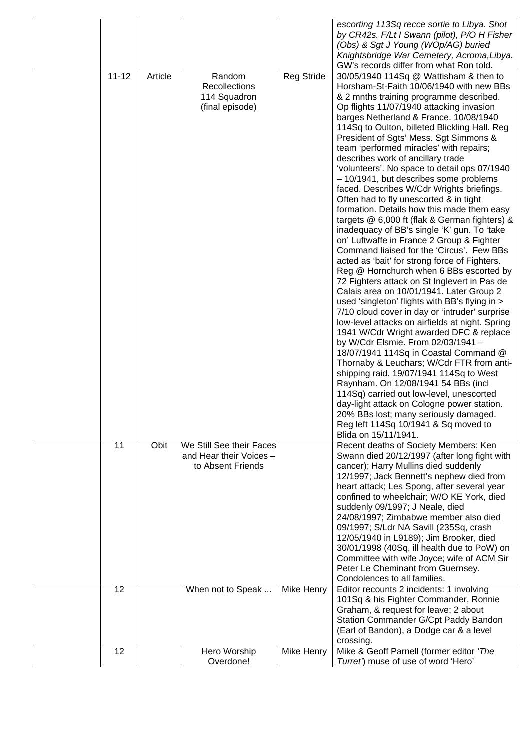|           |         |                                                                          |                   | escorting 113Sq recce sortie to Libya. Shot<br>by CR42s. F/Lt I Swann (pilot), P/O H Fisher<br>(Obs) & Sgt J Young (WOp/AG) buried<br>Knightsbridge War Cemetery, Acroma, Libya.                                                                                                                                                                                                                                                                                                                                                                                                                                                                                                                                                                                                                                                                                                                                                                                                                                                                                                                                                                                                                                                                                                                                                                                                                                                                                                                                                                                                                                                                                              |
|-----------|---------|--------------------------------------------------------------------------|-------------------|-------------------------------------------------------------------------------------------------------------------------------------------------------------------------------------------------------------------------------------------------------------------------------------------------------------------------------------------------------------------------------------------------------------------------------------------------------------------------------------------------------------------------------------------------------------------------------------------------------------------------------------------------------------------------------------------------------------------------------------------------------------------------------------------------------------------------------------------------------------------------------------------------------------------------------------------------------------------------------------------------------------------------------------------------------------------------------------------------------------------------------------------------------------------------------------------------------------------------------------------------------------------------------------------------------------------------------------------------------------------------------------------------------------------------------------------------------------------------------------------------------------------------------------------------------------------------------------------------------------------------------------------------------------------------------|
| $11 - 12$ | Article | Random<br>Recollections<br>114 Squadron<br>(final episode)               | <b>Reg Stride</b> | GW's records differ from what Ron told.<br>30/05/1940 114Sq @ Wattisham & then to<br>Horsham-St-Faith 10/06/1940 with new BBs<br>& 2 mnths training programme described.<br>Op flights 11/07/1940 attacking invasion<br>barges Netherland & France. 10/08/1940<br>114Sq to Oulton, billeted Blickling Hall. Reg<br>President of Sgts' Mess. Sgt Simmons &<br>team 'performed miracles' with repairs;<br>describes work of ancillary trade<br>'volunteers'. No space to detail ops 07/1940<br>- 10/1941, but describes some problems<br>faced. Describes W/Cdr Wrights briefings.<br>Often had to fly unescorted & in tight<br>formation. Details how this made them easy<br>targets @ 6,000 ft (flak & German fighters) &<br>inadequacy of BB's single 'K' gun. To 'take<br>on' Luftwaffe in France 2 Group & Fighter<br>Command liaised for the 'Circus'. Few BBs<br>acted as 'bait' for strong force of Fighters.<br>Reg @ Hornchurch when 6 BBs escorted by<br>72 Fighters attack on St Inglevert in Pas de<br>Calais area on 10/01/1941. Later Group 2<br>used 'singleton' flights with BB's flying in ><br>7/10 cloud cover in day or 'intruder' surprise<br>low-level attacks on airfields at night. Spring<br>1941 W/Cdr Wright awarded DFC & replace<br>by W/Cdr Elsmie. From 02/03/1941 -<br>18/07/1941 114Sq in Coastal Command @<br>Thornaby & Leuchars; W/Cdr FTR from anti-<br>shipping raid. 19/07/1941 114Sq to West<br>Raynham. On 12/08/1941 54 BBs (incl<br>114Sq) carried out low-level, unescorted<br>day-light attack on Cologne power station.<br>20% BBs lost; many seriously damaged.<br>Reg left 114Sq 10/1941 & Sq moved to<br>Blida on 15/11/1941. |
| 11        | Obit    | We Still See their Faces<br>and Hear their Voices -<br>to Absent Friends |                   | Recent deaths of Society Members: Ken<br>Swann died 20/12/1997 (after long fight with<br>cancer); Harry Mullins died suddenly<br>12/1997; Jack Bennett's nephew died from<br>heart attack; Les Spong, after several year<br>confined to wheelchair; W/O KE York, died<br>suddenly 09/1997; J Neale, died<br>24/08/1997; Zimbabwe member also died<br>09/1997; S/Ldr NA Savill (235Sq, crash<br>12/05/1940 in L9189); Jim Brooker, died<br>30/01/1998 (40Sq, ill health due to PoW) on<br>Committee with wife Joyce; wife of ACM Sir<br>Peter Le Cheminant from Guernsey.<br>Condolences to all families.                                                                                                                                                                                                                                                                                                                                                                                                                                                                                                                                                                                                                                                                                                                                                                                                                                                                                                                                                                                                                                                                      |
| 12        |         | When not to Speak                                                        | Mike Henry        | Editor recounts 2 incidents: 1 involving<br>101Sq & his Fighter Commander, Ronnie<br>Graham, & request for leave; 2 about<br>Station Commander G/Cpt Paddy Bandon<br>(Earl of Bandon), a Dodge car & a level<br>crossing.                                                                                                                                                                                                                                                                                                                                                                                                                                                                                                                                                                                                                                                                                                                                                                                                                                                                                                                                                                                                                                                                                                                                                                                                                                                                                                                                                                                                                                                     |
| 12        |         | Hero Worship<br>Overdone!                                                | Mike Henry        | Mike & Geoff Parnell (former editor 'The<br>Turret') muse of use of word 'Hero'                                                                                                                                                                                                                                                                                                                                                                                                                                                                                                                                                                                                                                                                                                                                                                                                                                                                                                                                                                                                                                                                                                                                                                                                                                                                                                                                                                                                                                                                                                                                                                                               |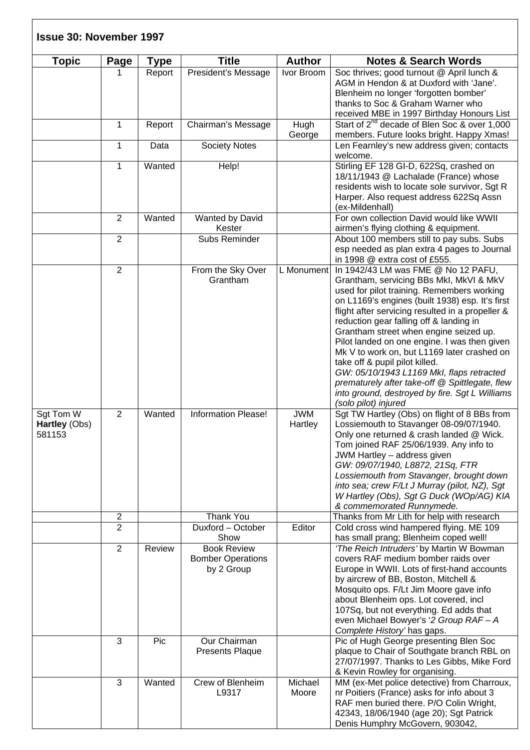| <b>Issue 30: November 1997</b>       |                |             |                                                              |                       |                                                                                                                                                                                                                                                                                                                                                                                                                                                                                                                                                                                                                                    |
|--------------------------------------|----------------|-------------|--------------------------------------------------------------|-----------------------|------------------------------------------------------------------------------------------------------------------------------------------------------------------------------------------------------------------------------------------------------------------------------------------------------------------------------------------------------------------------------------------------------------------------------------------------------------------------------------------------------------------------------------------------------------------------------------------------------------------------------------|
| <b>Topic</b>                         | Page           | <b>Type</b> | <b>Title</b>                                                 | <b>Author</b>         | <b>Notes &amp; Search Words</b>                                                                                                                                                                                                                                                                                                                                                                                                                                                                                                                                                                                                    |
|                                      |                | Report      | President's Message                                          | Ivor Broom            | Soc thrives; good turnout @ April lunch &<br>AGM in Hendon & at Duxford with 'Jane'.<br>Blenheim no longer 'forgotten bomber'<br>thanks to Soc & Graham Warner who<br>received MBE in 1997 Birthday Honours List                                                                                                                                                                                                                                                                                                                                                                                                                   |
|                                      | 1              | Report      | Chairman's Message                                           | Hugh<br>George        | Start of 2 <sup>nd</sup> decade of Blen Soc & over 1,000<br>members. Future looks bright. Happy Xmas!                                                                                                                                                                                                                                                                                                                                                                                                                                                                                                                              |
|                                      | $\mathbf{1}$   | Data        | <b>Society Notes</b>                                         |                       | Len Fearnley's new address given; contacts<br>welcome.                                                                                                                                                                                                                                                                                                                                                                                                                                                                                                                                                                             |
|                                      | $\mathbf{1}$   | Wanted      | Help!                                                        |                       | Stirling EF 128 GI-D, 622Sq, crashed on<br>18/11/1943 @ Lachalade (France) whose<br>residents wish to locate sole survivor, Sgt R<br>Harper. Also request address 622Sq Assn<br>(ex-Mildenhall)                                                                                                                                                                                                                                                                                                                                                                                                                                    |
|                                      | $\overline{2}$ | Wanted      | Wanted by David<br>Kester                                    |                       | For own collection David would like WWII<br>airmen's flying clothing & equipment.                                                                                                                                                                                                                                                                                                                                                                                                                                                                                                                                                  |
|                                      | $\overline{2}$ |             | Subs Reminder                                                |                       | About 100 members still to pay subs. Subs<br>esp needed as plan extra 4 pages to Journal<br>in 1998 @ extra cost of £555.                                                                                                                                                                                                                                                                                                                                                                                                                                                                                                          |
|                                      | $\overline{2}$ |             | From the Sky Over<br>Grantham                                | L Monument            | In 1942/43 LM was FME @ No 12 PAFU,<br>Grantham, servicing BBs MkI, MkVI & MkV<br>used for pilot training. Remembers working<br>on L1169's engines (built 1938) esp. It's first<br>flight after servicing resulted in a propeller &<br>reduction gear falling off & landing in<br>Grantham street when engine seized up.<br>Pilot landed on one engine. I was then given<br>Mk V to work on, but L1169 later crashed on<br>take off & pupil pilot killed.<br>GW: 05/10/1943 L1169 Mkl, flaps retracted<br>prematurely after take-off @ Spittlegate, flew<br>into ground, destroyed by fire. Sgt L Williams<br>(solo pilot) injured |
| Sgt Tom W<br>Hartley (Obs)<br>581153 | $\overline{2}$ | Wanted      | <b>Information Please!</b>                                   | <b>JWM</b><br>Hartley | Sgt TW Hartley (Obs) on flight of 8 BBs from<br>Lossiemouth to Stavanger 08-09/07/1940.<br>Only one returned & crash landed @ Wick.<br>Tom joined RAF 25/06/1939. Any info to<br>JWM Hartley - address given<br>GW: 09/07/1940, L8872, 21Sq, FTR<br>Lossiemouth from Stavanger, brought down<br>into sea; crew F/Lt J Murray (pilot, NZ), Sgt<br>W Hartley (Obs), Sgt G Duck (WOp/AG) KIA<br>& commemorated Runnymede.                                                                                                                                                                                                             |
|                                      | $\overline{c}$ |             | <b>Thank You</b>                                             |                       | Thanks from Mr Lith for help with research                                                                                                                                                                                                                                                                                                                                                                                                                                                                                                                                                                                         |
|                                      | $\overline{2}$ |             | $\overline{\text{D}}$ uxford - October<br>Show               | Editor                | Cold cross wind hampered flying. ME 109<br>has small prang; Blenheim coped well!                                                                                                                                                                                                                                                                                                                                                                                                                                                                                                                                                   |
|                                      | $\overline{2}$ | Review      | <b>Book Review</b><br><b>Bomber Operations</b><br>by 2 Group |                       | 'The Reich Intruders' by Martin W Bowman<br>covers RAF medium bomber raids over<br>Europe in WWII. Lots of first-hand accounts<br>by aircrew of BB, Boston, Mitchell &<br>Mosquito ops. F/Lt Jim Moore gave info<br>about Blenheim ops. Lot covered, incl<br>107Sq, but not everything. Ed adds that<br>even Michael Bowyer's '2 Group RAF - A<br>Complete History' has gaps.                                                                                                                                                                                                                                                      |
|                                      | 3              | Pic         | Our Chairman<br><b>Presents Plaque</b>                       |                       | Pic of Hugh George presenting Blen Soc<br>plaque to Chair of Southgate branch RBL on<br>27/07/1997. Thanks to Les Gibbs, Mike Ford<br>& Kevin Rowley for organising.                                                                                                                                                                                                                                                                                                                                                                                                                                                               |
|                                      | 3              | Wanted      | Crew of Blenheim<br>L9317                                    | Michael<br>Moore      | MM (ex-Met police detective) from Charroux,<br>nr Poitiers (France) asks for info about 3<br>RAF men buried there. P/O Colin Wright,<br>42343, 18/06/1940 (age 20); Sgt Patrick<br>Denis Humphry McGovern, 903042,                                                                                                                                                                                                                                                                                                                                                                                                                 |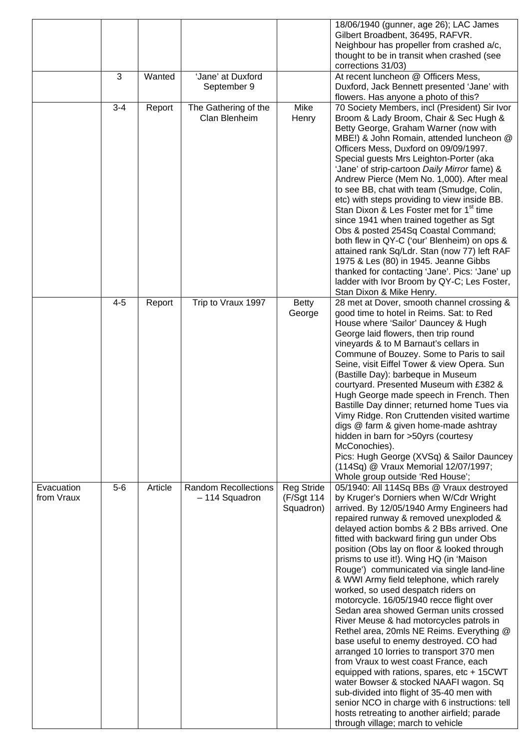|                          |         |         |                                               |                                              | 18/06/1940 (gunner, age 26); LAC James<br>Gilbert Broadbent, 36495, RAFVR.<br>Neighbour has propeller from crashed a/c,<br>thought to be in transit when crashed (see<br>corrections 31/03)                                                                                                                                                                                                                                                                                                                                                                                                                                                                                                                                                                                                                                                                                                                                                                                                                                                                                            |
|--------------------------|---------|---------|-----------------------------------------------|----------------------------------------------|----------------------------------------------------------------------------------------------------------------------------------------------------------------------------------------------------------------------------------------------------------------------------------------------------------------------------------------------------------------------------------------------------------------------------------------------------------------------------------------------------------------------------------------------------------------------------------------------------------------------------------------------------------------------------------------------------------------------------------------------------------------------------------------------------------------------------------------------------------------------------------------------------------------------------------------------------------------------------------------------------------------------------------------------------------------------------------------|
|                          | 3       | Wanted  | 'Jane' at Duxford<br>September 9              |                                              | At recent luncheon @ Officers Mess,<br>Duxford, Jack Bennett presented 'Jane' with<br>flowers. Has anyone a photo of this?                                                                                                                                                                                                                                                                                                                                                                                                                                                                                                                                                                                                                                                                                                                                                                                                                                                                                                                                                             |
|                          | $3 - 4$ | Report  | The Gathering of the<br>Clan Blenheim         | <b>Mike</b><br>Henry                         | 70 Society Members, incl (President) Sir Ivor<br>Broom & Lady Broom, Chair & Sec Hugh &<br>Betty George, Graham Warner (now with<br>MBE!) & John Romain, attended luncheon @<br>Officers Mess, Duxford on 09/09/1997.<br>Special guests Mrs Leighton-Porter (aka<br>'Jane' of strip-cartoon Daily Mirror fame) &<br>Andrew Pierce (Mem No. 1,000). After meal<br>to see BB, chat with team (Smudge, Colin,<br>etc) with steps providing to view inside BB.<br>Stan Dixon & Les Foster met for 1 <sup>st</sup> time<br>since 1941 when trained together as Sgt<br>Obs & posted 254Sq Coastal Command;<br>both flew in QY-C ('our' Blenheim) on ops &<br>attained rank Sq/Ldr. Stan (now 77) left RAF<br>1975 & Les (80) in 1945. Jeanne Gibbs<br>thanked for contacting 'Jane'. Pics: 'Jane' up<br>ladder with Ivor Broom by QY-C; Les Foster,<br>Stan Dixon & Mike Henry.                                                                                                                                                                                                              |
|                          | $4 - 5$ | Report  | Trip to Vraux 1997                            | <b>Betty</b><br>George                       | 28 met at Dover, smooth channel crossing &<br>good time to hotel in Reims. Sat: to Red<br>House where 'Sailor' Dauncey & Hugh<br>George laid flowers, then trip round<br>vineyards & to M Barnaut's cellars in<br>Commune of Bouzey. Some to Paris to sail<br>Seine, visit Eiffel Tower & view Opera. Sun<br>(Bastille Day): barbeque in Museum<br>courtyard. Presented Museum with £382 &<br>Hugh George made speech in French. Then<br>Bastille Day dinner; returned home Tues via<br>Vimy Ridge. Ron Cruttenden visited wartime<br>digs @ farm & given home-made ashtray<br>hidden in barn for >50yrs (courtesy<br>McConochies).<br>Pics: Hugh George (XVSq) & Sailor Dauncey<br>(114Sq) @ Vraux Memorial 12/07/1997;<br>Whole group outside 'Red House';                                                                                                                                                                                                                                                                                                                           |
| Evacuation<br>from Vraux | $5-6$   | Article | <b>Random Recollections</b><br>- 114 Squadron | <b>Reg Stride</b><br>(F/Sgt 114<br>Squadron) | 05/1940: All 114Sq BBs @ Vraux destroyed<br>by Kruger's Dorniers when W/Cdr Wright<br>arrived. By 12/05/1940 Army Engineers had<br>repaired runway & removed unexploded &<br>delayed action bombs & 2 BBs arrived. One<br>fitted with backward firing gun under Obs<br>position (Obs lay on floor & looked through<br>prisms to use it!). Wing HQ (in 'Maison<br>Rouge') communicated via single land-line<br>& WWI Army field telephone, which rarely<br>worked, so used despatch riders on<br>motorcycle. 16/05/1940 recce flight over<br>Sedan area showed German units crossed<br>River Meuse & had motorcycles patrols in<br>Rethel area, 20mls NE Reims. Everything @<br>base useful to enemy destroyed. CO had<br>arranged 10 lorries to transport 370 men<br>from Vraux to west coast France, each<br>equipped with rations, spares, etc + 15CWT<br>water Bowser & stocked NAAFI wagon. Sq<br>sub-divided into flight of 35-40 men with<br>senior NCO in charge with 6 instructions: tell<br>hosts retreating to another airfield; parade<br>through village; march to vehicle |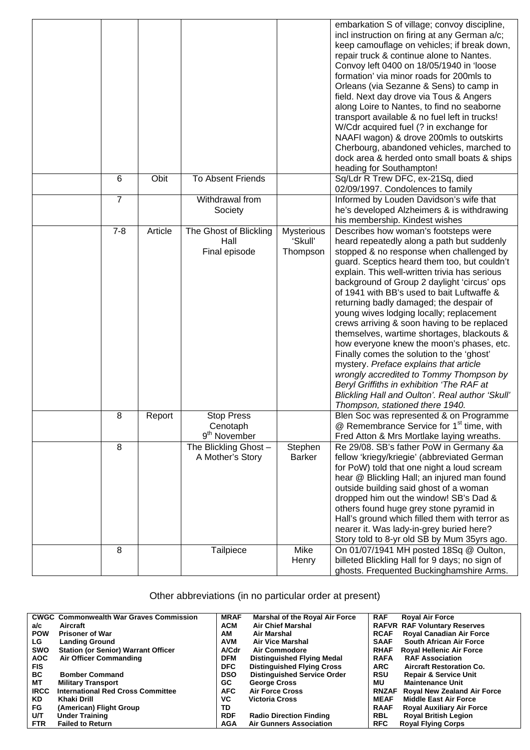|         |         |                                                           |                                   | embarkation S of village; convoy discipline,<br>incl instruction on firing at any German a/c;<br>keep camouflage on vehicles; if break down,<br>repair truck & continue alone to Nantes.<br>Convoy left 0400 on 18/05/1940 in 'loose<br>formation' via minor roads for 200mls to<br>Orleans (via Sezanne & Sens) to camp in<br>field. Next day drove via Tous & Angers<br>along Loire to Nantes, to find no seaborne<br>transport available & no fuel left in trucks!<br>W/Cdr acquired fuel (? in exchange for<br>NAAFI wagon) & drove 200mls to outskirts<br>Cherbourg, abandoned vehicles, marched to<br>dock area & herded onto small boats & ships<br>heading for Southampton!                                                                                                                                                |
|---------|---------|-----------------------------------------------------------|-----------------------------------|------------------------------------------------------------------------------------------------------------------------------------------------------------------------------------------------------------------------------------------------------------------------------------------------------------------------------------------------------------------------------------------------------------------------------------------------------------------------------------------------------------------------------------------------------------------------------------------------------------------------------------------------------------------------------------------------------------------------------------------------------------------------------------------------------------------------------------|
| 6       | Obit    | <b>To Absent Friends</b>                                  |                                   | Sq/Ldr R Trew DFC, ex-21Sq, died<br>02/09/1997. Condolences to family                                                                                                                                                                                                                                                                                                                                                                                                                                                                                                                                                                                                                                                                                                                                                              |
| 7       |         | Withdrawal from<br>Society                                |                                   | Informed by Louden Davidson's wife that<br>he's developed Alzheimers & is withdrawing<br>his membership. Kindest wishes                                                                                                                                                                                                                                                                                                                                                                                                                                                                                                                                                                                                                                                                                                            |
| $7 - 8$ | Article | The Ghost of Blickling<br>Hall<br>Final episode           | Mysterious<br>'Skull'<br>Thompson | Describes how woman's footsteps were<br>heard repeatedly along a path but suddenly<br>stopped & no response when challenged by<br>guard. Sceptics heard them too, but couldn't<br>explain. This well-written trivia has serious<br>background of Group 2 daylight 'circus' ops<br>of 1941 with BB's used to bait Luftwaffe &<br>returning badly damaged; the despair of<br>young wives lodging locally; replacement<br>crews arriving & soon having to be replaced<br>themselves, wartime shortages, blackouts &<br>how everyone knew the moon's phases, etc.<br>Finally comes the solution to the 'ghost'<br>mystery. Preface explains that article<br>wrongly accredited to Tommy Thompson by<br>Beryl Griffiths in exhibition 'The RAF at<br>Blickling Hall and Oulton'. Real author 'Skull'<br>Thompson, stationed there 1940. |
| 8       | Report  | <b>Stop Press</b><br>Cenotaph<br>9 <sup>th</sup> November |                                   | Blen Soc was represented & on Programme<br>@ Remembrance Service for 1 <sup>st</sup> time, with<br>Fred Atton & Mrs Mortlake laying wreaths.                                                                                                                                                                                                                                                                                                                                                                                                                                                                                                                                                                                                                                                                                       |
| 8       |         | The Blickling Ghost -<br>A Mother's Story                 | Stephen<br><b>Barker</b>          | Re 29/08. SB's father PoW in Germany &a<br>fellow 'kriegy/kriegie' (abbreviated German<br>for PoW) told that one night a loud scream<br>hear @ Blickling Hall; an injured man found<br>outside building said ghost of a woman<br>dropped him out the window! SB's Dad &<br>others found huge grey stone pyramid in<br>Hall's ground which filled them with terror as<br>nearer it. Was lady-in-grey buried here?<br>Story told to 8-yr old SB by Mum 35yrs ago.                                                                                                                                                                                                                                                                                                                                                                    |
| 8       |         | Tailpiece                                                 | Mike<br>Henry                     | On 01/07/1941 MH posted 18Sq @ Oulton,<br>billeted Blickling Hall for 9 days; no sign of<br>ghosts. Frequented Buckinghamshire Arms.                                                                                                                                                                                                                                                                                                                                                                                                                                                                                                                                                                                                                                                                                               |

Other abbreviations (in no particular order at present)

|             | <b>CWGC Commonwealth War Graves Commission</b> | <b>MRAF</b>  | <b>Marshal of the Royal Air Force</b> | <b>RAF</b>   | <b>Royal Air Force</b>              |
|-------------|------------------------------------------------|--------------|---------------------------------------|--------------|-------------------------------------|
| a/c         | Aircraft                                       | <b>ACM</b>   | <b>Air Chief Marshal</b>              |              | <b>RAFVR RAF Voluntary Reserves</b> |
| <b>POW</b>  | <b>Prisoner of War</b>                         | АM           | Air Marshal                           | <b>RCAF</b>  | <b>Royal Canadian Air Force</b>     |
| LG.         | <b>Landing Ground</b>                          | <b>AVM</b>   | <b>Air Vice Marshal</b>               | <b>SAAF</b>  | <b>South African Air Force</b>      |
| <b>SWO</b>  | <b>Station (or Senior) Warrant Officer</b>     | <b>A/Cdr</b> | Air Commodore                         | <b>RHAF</b>  | <b>Royal Hellenic Air Force</b>     |
| <b>AOC</b>  | <b>Air Officer Commanding</b>                  | <b>DFM</b>   | <b>Distinguished Flying Medal</b>     | <b>RAFA</b>  | <b>RAF Association</b>              |
| <b>FIS</b>  |                                                | <b>DFC</b>   | <b>Distinguished Flying Cross</b>     | <b>ARC</b>   | <b>Aircraft Restoration Co.</b>     |
| <b>BC</b>   | <b>Bomber Command</b>                          | <b>DSO</b>   | <b>Distinguished Service Order</b>    | <b>RSU</b>   | <b>Repair &amp; Service Unit</b>    |
| MТ          | <b>Military Transport</b>                      | GC.          | <b>George Cross</b>                   | МU           | <b>Maintenance Unit</b>             |
| <b>IRCC</b> | <b>International Red Cross Committee</b>       | <b>AFC</b>   | <b>Air Force Cross</b>                | <b>RNZAF</b> | <b>Royal New Zealand Air Force</b>  |
| <b>KD</b>   | Khaki Drill                                    | VC.          | <b>Victoria Cross</b>                 | <b>MEAF</b>  | <b>Middle East Air Force</b>        |
| FG.         | (American) Flight Group                        | TD           |                                       | <b>RAAF</b>  | <b>Royal Auxiliary Air Force</b>    |
| U/T         | <b>Under Training</b>                          | <b>RDF</b>   | <b>Radio Direction Finding</b>        | <b>RBL</b>   | <b>Royal British Legion</b>         |
| <b>FTR</b>  | <b>Failed to Return</b>                        | AGA          | <b>Air Gunners Association</b>        | <b>RFC</b>   | <b>Royal Flying Corps</b>           |